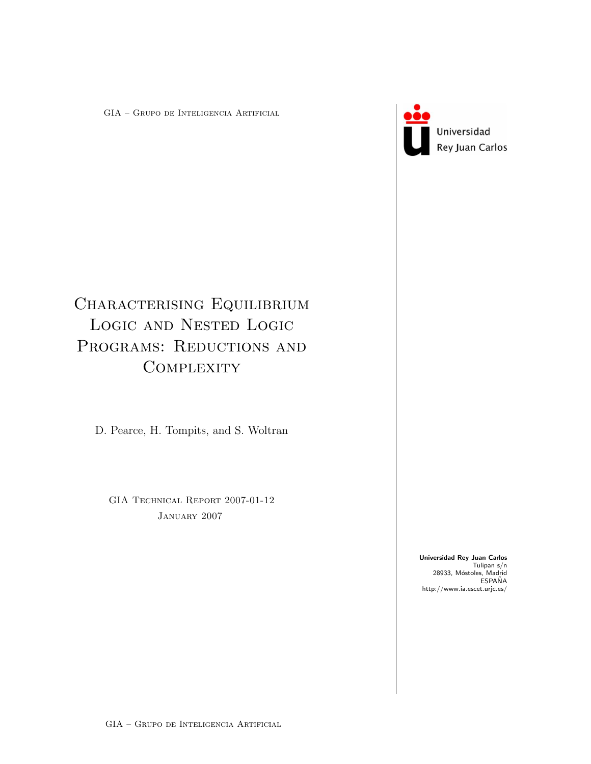GIA – Grupo de Inteligencia Artificial



Universidad Rey Juan Carlos

# CHARACTERISING EQUILIBRIUM Logic and Nested Logic PROGRAMS: REDUCTIONS AND **COMPLEXITY**

D. Pearce, H. Tompits, and S. Woltran

GIA TECHNICAL REPORT 2007-01-12 January 2007

> Universidad Rey Juan Carlos Tulipan s/n 28933, Móstoles, Madrid<br>ESPAÑA http://www.ia.escet.urjc.es/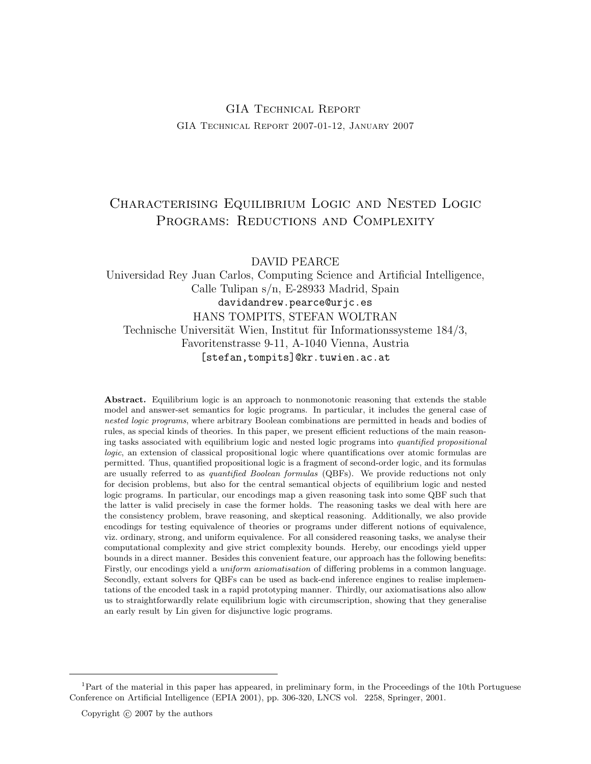## GIA Technical Report GIA Technical Report 2007-01-12, January 2007

## Characterising Equilibrium Logic and Nested Logic PROGRAMS: REDUCTIONS AND COMPLEXITY

DAVID PEARCE

Universidad Rey Juan Carlos, Computing Science and Artificial Intelligence, Calle Tulipan s/n, E-28933 Madrid, Spain davidandrew.pearce@urjc.es HANS TOMPITS, STEFAN WOLTRAN Technische Universität Wien, Institut für Informationssysteme 184/3, Favoritenstrasse 9-11, A-1040 Vienna, Austria [stefan,tompits]@kr.tuwien.ac.at

Abstract. Equilibrium logic is an approach to nonmonotonic reasoning that extends the stable model and answer-set semantics for logic programs. In particular, it includes the general case of nested logic programs, where arbitrary Boolean combinations are permitted in heads and bodies of rules, as special kinds of theories. In this paper, we present efficient reductions of the main reasoning tasks associated with equilibrium logic and nested logic programs into quantified propositional logic, an extension of classical propositional logic where quantifications over atomic formulas are permitted. Thus, quantified propositional logic is a fragment of second-order logic, and its formulas are usually referred to as *quantified Boolean formulas* (QBFs). We provide reductions not only for decision problems, but also for the central semantical objects of equilibrium logic and nested logic programs. In particular, our encodings map a given reasoning task into some QBF such that the latter is valid precisely in case the former holds. The reasoning tasks we deal with here are the consistency problem, brave reasoning, and skeptical reasoning. Additionally, we also provide encodings for testing equivalence of theories or programs under different notions of equivalence, viz. ordinary, strong, and uniform equivalence. For all considered reasoning tasks, we analyse their computational complexity and give strict complexity bounds. Hereby, our encodings yield upper bounds in a direct manner. Besides this convenient feature, our approach has the following benefits: Firstly, our encodings yield a uniform axiomatisation of differing problems in a common language. Secondly, extant solvers for QBFs can be used as back-end inference engines to realise implementations of the encoded task in a rapid prototyping manner. Thirdly, our axiomatisations also allow us to straightforwardly relate equilibrium logic with circumscription, showing that they generalise an early result by Lin given for disjunctive logic programs.

<sup>&</sup>lt;sup>1</sup>Part of the material in this paper has appeared, in preliminary form, in the Proceedings of the 10th Portuguese Conference on Artificial Intelligence (EPIA 2001), pp. 306-320, LNCS vol. 2258, Springer, 2001.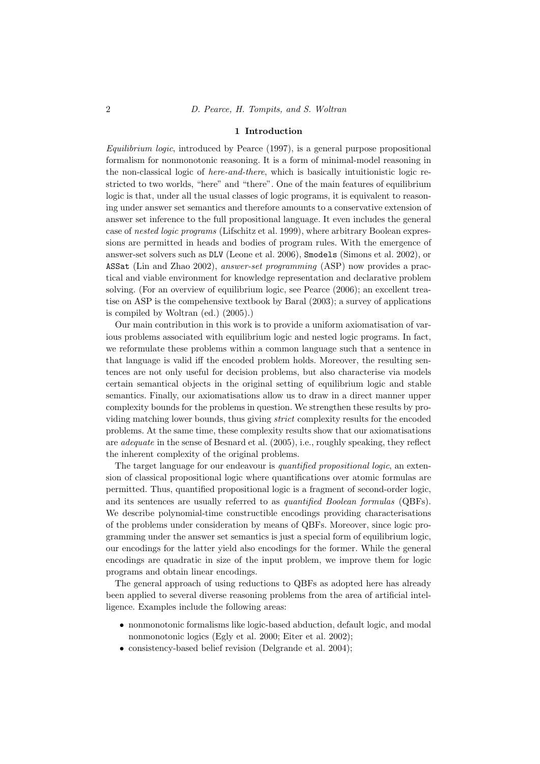#### 1 Introduction

Equilibrium logic, introduced by Pearce (1997), is a general purpose propositional formalism for nonmonotonic reasoning. It is a form of minimal-model reasoning in the non-classical logic of here-and-there, which is basically intuitionistic logic restricted to two worlds, "here" and "there". One of the main features of equilibrium logic is that, under all the usual classes of logic programs, it is equivalent to reasoning under answer set semantics and therefore amounts to a conservative extension of answer set inference to the full propositional language. It even includes the general case of nested logic programs (Lifschitz et al. 1999), where arbitrary Boolean expressions are permitted in heads and bodies of program rules. With the emergence of answer-set solvers such as DLV (Leone et al. 2006), Smodels (Simons et al. 2002), or ASSat (Lin and Zhao 2002), answer-set programming (ASP) now provides a practical and viable environment for knowledge representation and declarative problem solving. (For an overview of equilibrium logic, see Pearce (2006); an excellent treatise on ASP is the compehensive textbook by Baral (2003); a survey of applications is compiled by Woltran (ed.) (2005).)

Our main contribution in this work is to provide a uniform axiomatisation of various problems associated with equilibrium logic and nested logic programs. In fact, we reformulate these problems within a common language such that a sentence in that language is valid iff the encoded problem holds. Moreover, the resulting sentences are not only useful for decision problems, but also characterise via models certain semantical objects in the original setting of equilibrium logic and stable semantics. Finally, our axiomatisations allow us to draw in a direct manner upper complexity bounds for the problems in question. We strengthen these results by providing matching lower bounds, thus giving strict complexity results for the encoded problems. At the same time, these complexity results show that our axiomatisations are adequate in the sense of Besnard et al. (2005), i.e., roughly speaking, they reflect the inherent complexity of the original problems.

The target language for our endeavour is *quantified propositional logic*, an extension of classical propositional logic where quantifications over atomic formulas are permitted. Thus, quantified propositional logic is a fragment of second-order logic, and its sentences are usually referred to as quantified Boolean formulas (QBFs). We describe polynomial-time constructible encodings providing characterisations of the problems under consideration by means of QBFs. Moreover, since logic programming under the answer set semantics is just a special form of equilibrium logic, our encodings for the latter yield also encodings for the former. While the general encodings are quadratic in size of the input problem, we improve them for logic programs and obtain linear encodings.

The general approach of using reductions to QBFs as adopted here has already been applied to several diverse reasoning problems from the area of artificial intelligence. Examples include the following areas:

- nonmonotonic formalisms like logic-based abduction, default logic, and modal nonmonotonic logics (Egly et al. 2000; Eiter et al. 2002);
- consistency-based belief revision (Delgrande et al. 2004);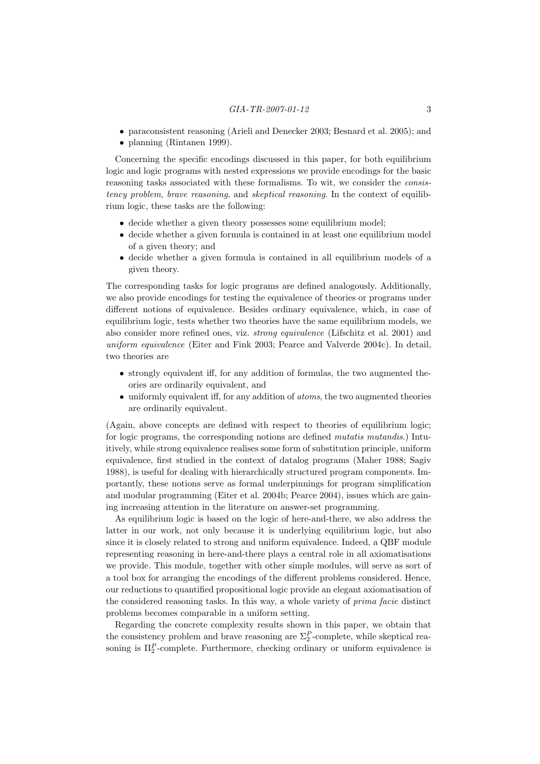- paraconsistent reasoning (Arieli and Denecker 2003; Besnard et al. 2005); and
- planning (Rintanen 1999).

Concerning the specific encodings discussed in this paper, for both equilibrium logic and logic programs with nested expressions we provide encodings for the basic reasoning tasks associated with these formalisms. To wit, we consider the consistency problem, brave reasoning, and skeptical reasoning. In the context of equilibrium logic, these tasks are the following:

- decide whether a given theory possesses some equilibrium model;
- decide whether a given formula is contained in at least one equilibrium model of a given theory; and
- decide whether a given formula is contained in all equilibrium models of a given theory.

The corresponding tasks for logic programs are defined analogously. Additionally, we also provide encodings for testing the equivalence of theories or programs under different notions of equivalence. Besides ordinary equivalence, which, in case of equilibrium logic, tests whether two theories have the same equilibrium models, we also consider more refined ones, viz. strong equivalence (Lifschitz et al. 2001) and uniform equivalence (Eiter and Fink 2003; Pearce and Valverde 2004c). In detail, two theories are

- strongly equivalent iff, for any addition of formulas, the two augmented theories are ordinarily equivalent, and
- uniformly equivalent iff, for any addition of *atoms*, the two augmented theories are ordinarily equivalent.

(Again, above concepts are defined with respect to theories of equilibrium logic; for logic programs, the corresponding notions are defined *mutatis mutandis*.) Intuitively, while strong equivalence realises some form of substitution principle, uniform equivalence, first studied in the context of datalog programs (Maher 1988; Sagiv 1988), is useful for dealing with hierarchically structured program components. Importantly, these notions serve as formal underpinnings for program simplification and modular programming (Eiter et al. 2004b; Pearce 2004), issues which are gaining increasing attention in the literature on answer-set programming.

As equilibrium logic is based on the logic of here-and-there, we also address the latter in our work, not only because it is underlying equilibrium logic, but also since it is closely related to strong and uniform equivalence. Indeed, a QBF module representing reasoning in here-and-there plays a central role in all axiomatisations we provide. This module, together with other simple modules, will serve as sort of a tool box for arranging the encodings of the different problems considered. Hence, our reductions to quantified propositional logic provide an elegant axiomatisation of the considered reasoning tasks. In this way, a whole variety of prima facie distinct problems becomes comparable in a uniform setting.

Regarding the concrete complexity results shown in this paper, we obtain that the consistency problem and brave reasoning are  $\Sigma_2^P$ -complete, while skeptical reasoning is  $\Pi_2^P$ -complete. Furthermore, checking ordinary or uniform equivalence is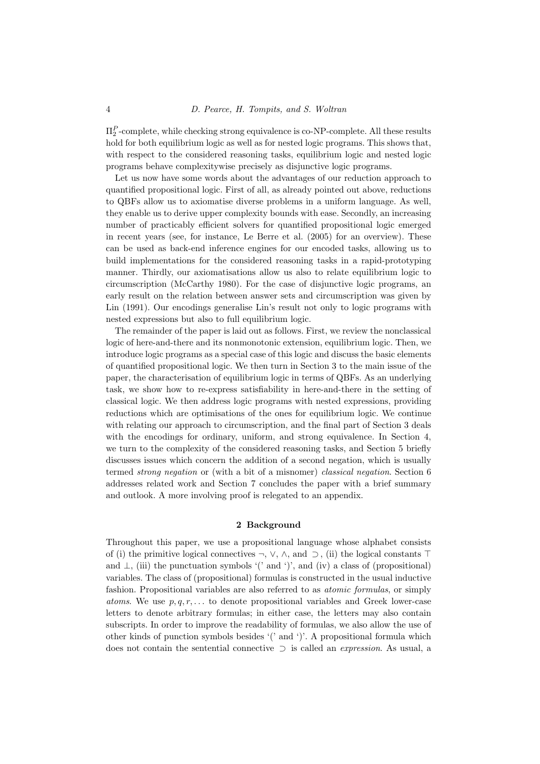$\Pi_2^P$ -complete, while checking strong equivalence is co-NP-complete. All these results hold for both equilibrium logic as well as for nested logic programs. This shows that, with respect to the considered reasoning tasks, equilibrium logic and nested logic programs behave complexitywise precisely as disjunctive logic programs.

Let us now have some words about the advantages of our reduction approach to quantified propositional logic. First of all, as already pointed out above, reductions to QBFs allow us to axiomatise diverse problems in a uniform language. As well, they enable us to derive upper complexity bounds with ease. Secondly, an increasing number of practicably efficient solvers for quantified propositional logic emerged in recent years (see, for instance, Le Berre et al. (2005) for an overview). These can be used as back-end inference engines for our encoded tasks, allowing us to build implementations for the considered reasoning tasks in a rapid-prototyping manner. Thirdly, our axiomatisations allow us also to relate equilibrium logic to circumscription (McCarthy 1980). For the case of disjunctive logic programs, an early result on the relation between answer sets and circumscription was given by Lin (1991). Our encodings generalise Lin's result not only to logic programs with nested expressions but also to full equilibrium logic.

The remainder of the paper is laid out as follows. First, we review the nonclassical logic of here-and-there and its nonmonotonic extension, equilibrium logic. Then, we introduce logic programs as a special case of this logic and discuss the basic elements of quantified propositional logic. We then turn in Section 3 to the main issue of the paper, the characterisation of equilibrium logic in terms of QBFs. As an underlying task, we show how to re-express satisfiability in here-and-there in the setting of classical logic. We then address logic programs with nested expressions, providing reductions which are optimisations of the ones for equilibrium logic. We continue with relating our approach to circumscription, and the final part of Section 3 deals with the encodings for ordinary, uniform, and strong equivalence. In Section 4, we turn to the complexity of the considered reasoning tasks, and Section 5 briefly discusses issues which concern the addition of a second negation, which is usually termed strong negation or (with a bit of a misnomer) classical negation. Section 6 addresses related work and Section 7 concludes the paper with a brief summary and outlook. A more involving proof is relegated to an appendix.

## 2 Background

Throughout this paper, we use a propositional language whose alphabet consists of (i) the primitive logical connectives  $\neg$ ,  $\vee$ ,  $\wedge$ , and  $\supset$ , (ii) the logical constants  $\top$ and  $\perp$ , (iii) the punctuation symbols '(' and ')', and (iv) a class of (propositional) variables. The class of (propositional) formulas is constructed in the usual inductive fashion. Propositional variables are also referred to as atomic formulas, or simply atoms. We use  $p, q, r, \ldots$  to denote propositional variables and Greek lower-case letters to denote arbitrary formulas; in either case, the letters may also contain subscripts. In order to improve the readability of formulas, we also allow the use of other kinds of punction symbols besides '(' and ')'. A propositional formula which does not contain the sentential connective  $\supset$  is called an *expression*. As usual, a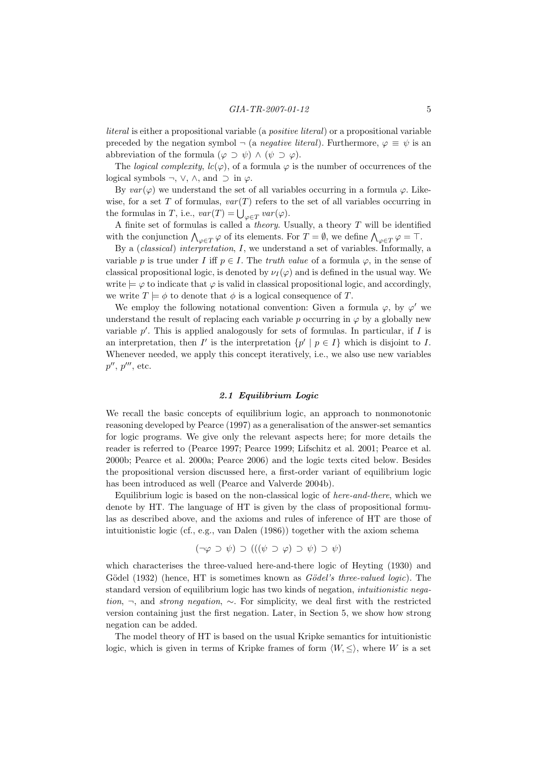literal is either a propositional variable (a positive literal) or a propositional variable preceded by the negation symbol  $\neg$  (a *negative literal*). Furthermore,  $\varphi \equiv \psi$  is an abbreviation of the formula  $(\varphi \supset \psi) \wedge (\psi \supset \varphi)$ .

The *logical complexity*,  $lc(\varphi)$ , of a formula  $\varphi$  is the number of occurrences of the logical symbols  $\neg$ ,  $\vee$ ,  $\wedge$ , and  $\supset$  in  $\varphi$ .

By  $var(\varphi)$  we understand the set of all variables occurring in a formula  $\varphi$ . Likewise, for a set T of formulas,  $var(T)$  refers to the set of all variables occurring in the formulas in T, i.e.,  $var(T) = \bigcup_{\varphi \in T} var(\varphi)$ .

A finite set of formulas is called a *theory*. Usually, a theory  $T$  will be identified with the conjunction  $\bigwedge_{\varphi \in T} \varphi$  of its elements. For  $T = \emptyset$ , we define  $\bigwedge_{\varphi \in T} \varphi = \top$ .

By a (classical) interpretation, I, we understand a set of variables. Informally, a variable p is true under I iff  $p \in I$ . The *truth value* of a formula  $\varphi$ , in the sense of classical propositional logic, is denoted by  $\nu_I(\varphi)$  and is defined in the usual way. We write  $\models \varphi$  to indicate that  $\varphi$  is valid in classical propositional logic, and accordingly, we write  $T \models \phi$  to denote that  $\phi$  is a logical consequence of T.

We employ the following notational convention: Given a formula  $\varphi$ , by  $\varphi'$  we understand the result of replacing each variable  $p$  occurring in  $\varphi$  by a globally new variable  $p'$ . This is applied analogously for sets of formulas. In particular, if  $I$  is an interpretation, then I' is the interpretation  $\{p' \mid p \in I\}$  which is disjoint to I. Whenever needed, we apply this concept iteratively, i.e., we also use new variables  $p'', p''',$  etc.

## 2.1 Equilibrium Logic

We recall the basic concepts of equilibrium logic, an approach to nonmonotonic reasoning developed by Pearce (1997) as a generalisation of the answer-set semantics for logic programs. We give only the relevant aspects here; for more details the reader is referred to (Pearce 1997; Pearce 1999; Lifschitz et al. 2001; Pearce et al. 2000b; Pearce et al. 2000a; Pearce 2006) and the logic texts cited below. Besides the propositional version discussed here, a first-order variant of equilibrium logic has been introduced as well (Pearce and Valverde 2004b).

Equilibrium logic is based on the non-classical logic of here-and-there, which we denote by HT. The language of HT is given by the class of propositional formulas as described above, and the axioms and rules of inference of HT are those of intuitionistic logic (cf., e.g., van Dalen (1986)) together with the axiom schema

$$
(\neg \varphi \supset \psi) \supset (((\psi \supset \varphi) \supset \psi) \supset \psi)
$$

which characterises the three-valued here-and-there logic of Heyting (1930) and Gödel (1932) (hence, HT is sometimes known as  $Gödel's three-valued logic$ ). The standard version of equilibrium logic has two kinds of negation, intuitionistic negation, ¬, and strong negation, ∼. For simplicity, we deal first with the restricted version containing just the first negation. Later, in Section 5, we show how strong negation can be added.

The model theory of HT is based on the usual Kripke semantics for intuitionistic logic, which is given in terms of Kripke frames of form  $\langle W, \leq \rangle$ , where W is a set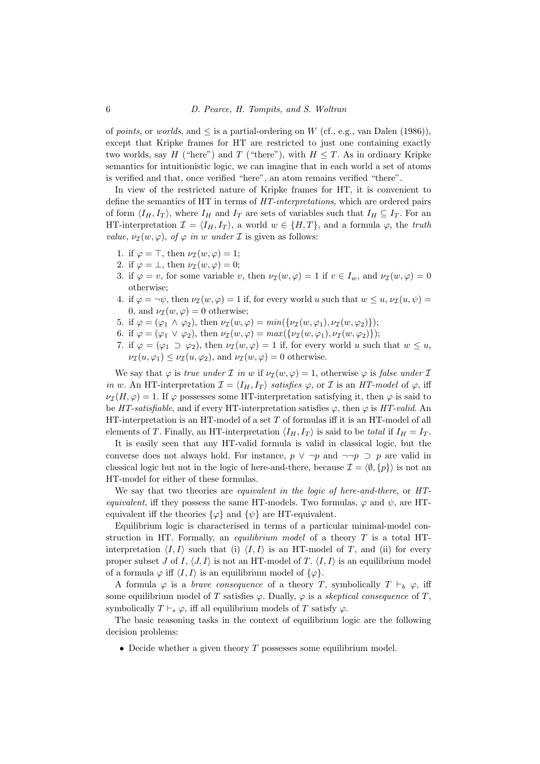of points, or worlds, and  $\leq$  is a partial-ordering on W (cf., e.g., van Dalen (1986)), except that Kripke frames for HT are restricted to just one containing exactly two worlds, say H ("here") and T ("there"), with  $H \leq T$ . As in ordinary Kripke semantics for intuitionistic logic, we can imagine that in each world a set of atoms is verified and that, once verified "here", an atom remains verified "there".

In view of the restricted nature of Kripke frames for HT, it is convenient to define the semantics of HT in terms of HT-interpretations, which are ordered pairs of form  $\langle I_H, I_T \rangle$ , where  $I_H$  and  $I_T$  are sets of variables such that  $I_H \subseteq I_T$ . For an HT-interpretation  $\mathcal{I} = \langle I_H, I_T \rangle$ , a world  $w \in \{H, T\}$ , and a formula  $\varphi$ , the truth value,  $\nu_{\mathcal{I}}(w, \varphi)$ , of  $\varphi$  in w under  $\mathcal{I}$  is given as follows:

- 1. if  $\varphi = \top$ , then  $\nu_{\mathcal{I}}(w, \varphi) = 1$ ;
- 2. if  $\varphi = \bot$ , then  $\nu_{\mathcal{I}}(w, \varphi) = 0$ ;
- 3. if  $\varphi = v$ , for some variable v, then  $\nu_{\mathcal{I}}(w, \varphi) = 1$  if  $v \in I_w$ , and  $\nu_{\mathcal{I}}(w, \varphi) = 0$ otherwise;
- 4. if  $\varphi = \neg \psi$ , then  $\nu_{\mathcal{I}}(w, \varphi) = 1$  if, for every world u such that  $w \leq u$ ,  $\nu_{\mathcal{I}}(u, \psi) =$ 0, and  $\nu_{\mathcal{I}}(w, \varphi) = 0$  otherwise;
- 5. if  $\varphi = (\varphi_1 \wedge \varphi_2)$ , then  $\nu_{\mathcal{I}}(w, \varphi) = min(\{\nu_{\mathcal{I}}(w, \varphi_1), \nu_{\mathcal{I}}(w, \varphi_2)\})$ ;
- 6. if  $\varphi = (\varphi_1 \lor \varphi_2)$ , then  $\nu_{\mathcal{I}}(w, \varphi) = max({\nu_{\mathcal{I}}(w, \varphi_1), \nu_{\mathcal{I}}(w, \varphi_2)});$
- 7. if  $\varphi = (\varphi_1 \supset \varphi_2)$ , then  $\nu_{\mathcal{I}}(w, \varphi) = 1$  if, for every world u such that  $w \leq u$ ,  $\nu_{\mathcal{I}}(u, \varphi_1) \leq \nu_{\mathcal{I}}(u, \varphi_2)$ , and  $\nu_{\mathcal{I}}(w, \varphi) = 0$  otherwise.

We say that  $\varphi$  is *true under*  $\mathcal I$  *in w* if  $\nu_{\mathcal I}(w, \varphi) = 1$ , otherwise  $\varphi$  is false under  $\mathcal I$ in w. An HT-interpretation  $\mathcal{I} = \langle I_H, I_T \rangle$  satisfies  $\varphi$ , or  $\mathcal I$  is an HT-model of  $\varphi$ , iff  $\nu_{\mathcal{I}}(H,\varphi) = 1$ . If  $\varphi$  possesses some HT-interpretation satisfying it, then  $\varphi$  is said to be HT-satisfiable, and if every HT-interpretation satisfies  $\varphi$ , then  $\varphi$  is HT-valid. An HT-interpretation is an HT-model of a set T of formulas iff it is an HT-model of all elements of T. Finally, an HT-interpretation  $\langle I_H, I_T \rangle$  is said to be total if  $I_H = I_T$ .

It is easily seen that any HT-valid formula is valid in classical logic, but the converse does not always hold. For instance,  $p \vee \neg p$  and  $\neg \neg p \supset p$  are valid in classical logic but not in the logic of here-and-there, because  $\mathcal{I} = \langle \emptyset, \{p\} \rangle$  is not an HT-model for either of these formulas.

We say that two theories are equivalent in the logic of here-and-there, or HTequivalent, iff they possess the same HT-models. Two formulas,  $\varphi$  and  $\psi$ , are HTequivalent iff the theories  $\{\varphi\}$  and  $\{\psi\}$  are HT-equivalent.

Equilibrium logic is characterised in terms of a particular minimal-model construction in HT. Formally, an *equilibrium model* of a theory  $T$  is a total HTinterpretation  $\langle I, I \rangle$  such that (i)  $\langle I, I \rangle$  is an HT-model of T, and (ii) for every proper subset J of I,  $\langle J, I \rangle$  is not an HT-model of T.  $\langle I, I \rangle$  is an equilibrium model of a formula  $\varphi$  iff  $\langle I, I \rangle$  is an equilibrium model of  $\{\varphi\}.$ 

A formula  $\varphi$  is a *brave consequence* of a theory T, symbolically  $T \vdash_b \varphi$ , iff some equilibrium model of T satisfies  $\varphi$ . Dually,  $\varphi$  is a skeptical consequence of T, symbolically  $T \vdash_s \varphi$ , iff all equilibrium models of T satisfy  $\varphi$ .

The basic reasoning tasks in the context of equilibrium logic are the following decision problems:

• Decide whether a given theory  $T$  possesses some equilibrium model.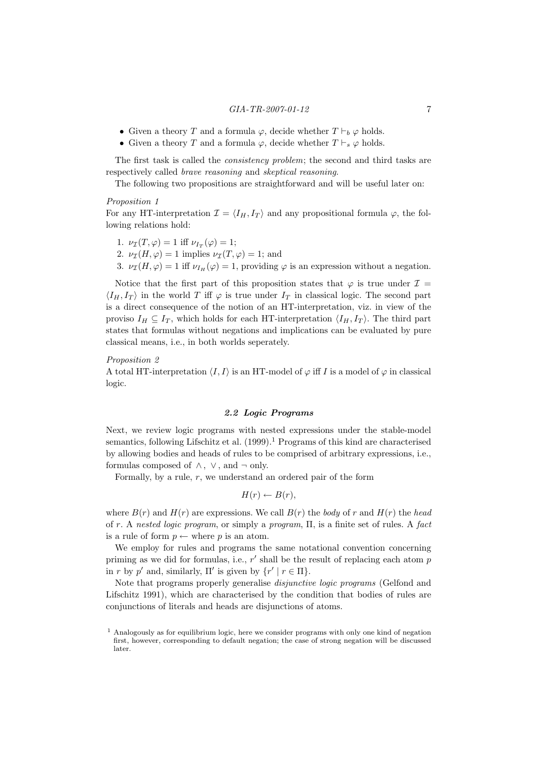- Given a theory T and a formula  $\varphi$ , decide whether  $T \vdash_b \varphi$  holds.
- Given a theory T and a formula  $\varphi$ , decide whether  $T \vdash_s \varphi$  holds.

The first task is called the consistency problem; the second and third tasks are respectively called brave reasoning and skeptical reasoning.

The following two propositions are straightforward and will be useful later on:

#### Proposition 1

For any HT-interpretation  $\mathcal{I} = \langle I_H, I_T \rangle$  and any propositional formula  $\varphi$ , the following relations hold:

- 1.  $\nu_{\mathcal{I}}(T,\varphi) = 1$  iff  $\nu_{I_T}(\varphi) = 1$ ;
- 2.  $\nu_{\mathcal{I}}(H, \varphi) = 1$  implies  $\nu_{\mathcal{I}}(T, \varphi) = 1$ ; and
- 3.  $\nu_{\mathcal{I}}(H, \varphi) = 1$  iff  $\nu_{I_H}(\varphi) = 1$ , providing  $\varphi$  is an expression without a negation.

Notice that the first part of this proposition states that  $\varphi$  is true under  $\mathcal{I} =$  $\langle I_H, I_T \rangle$  in the world T iff  $\varphi$  is true under  $I_T$  in classical logic. The second part is a direct consequence of the notion of an HT-interpretation, viz. in view of the proviso  $I_H \subseteq I_T$ , which holds for each HT-interpretation  $\langle I_H, I_T \rangle$ . The third part states that formulas without negations and implications can be evaluated by pure classical means, i.e., in both worlds seperately.

## Proposition 2

A total HT-interpretation  $\langle I, I \rangle$  is an HT-model of  $\varphi$  iff I is a model of  $\varphi$  in classical logic.

## 2.2 Logic Programs

Next, we review logic programs with nested expressions under the stable-model semantics, following Lifschitz et al.  $(1999).<sup>1</sup>$  Programs of this kind are characterised by allowing bodies and heads of rules to be comprised of arbitrary expressions, i.e., formulas composed of  $\wedge$ ,  $\vee$ , and  $\neg$  only.

Formally, by a rule,  $r$ , we understand an ordered pair of the form

$$
H(r) \leftarrow B(r),
$$

where  $B(r)$  and  $H(r)$  are expressions. We call  $B(r)$  the body of r and  $H(r)$  the head of r. A nested logic program, or simply a program, Π, is a finite set of rules. A fact is a rule of form  $p \leftarrow$  where p is an atom.

We employ for rules and programs the same notational convention concerning priming as we did for formulas, i.e.,  $r'$  shall be the result of replacing each atom  $p$ in r by p' and, similarly,  $\Pi'$  is given by  $\{r' \mid r \in \Pi\}.$ 

Note that programs properly generalise *disjunctive logic programs* (Gelfond and Lifschitz 1991), which are characterised by the condition that bodies of rules are conjunctions of literals and heads are disjunctions of atoms.

 $<sup>1</sup>$  Analogously as for equilibrium logic, here we consider programs with only one kind of negation</sup> first, however, corresponding to default negation; the case of strong negation will be discussed later.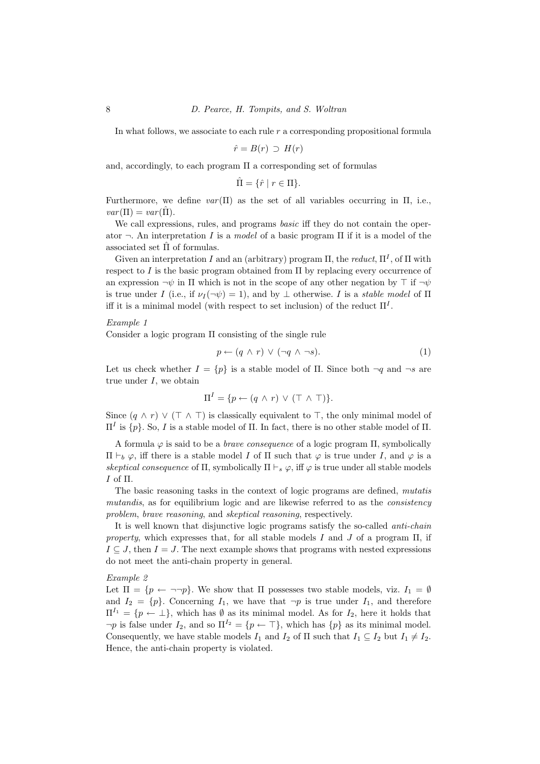In what follows, we associate to each rule r a corresponding propositional formula

$$
\hat{r} = B(r) \supset H(r)
$$

and, accordingly, to each program  $\Pi$  a corresponding set of formulas

$$
\hat{\Pi} = \{ \hat{r} \mid r \in \Pi \}.
$$

Furthermore, we define  $var(\Pi)$  as the set of all variables occurring in  $\Pi$ , i.e.,  $var(\Pi) = var(\hat{\Pi}).$ 

We call expressions, rules, and programs *basic* iff they do not contain the operator  $\neg$ . An interpretation I is a model of a basic program  $\Pi$  if it is a model of the associated set  $\Pi$  of formulas.

Given an interpretation I and an (arbitrary) program  $\Pi$ , the reduct,  $\Pi^I$ , of  $\Pi$  with respect to I is the basic program obtained from Π by replacing every occurrence of an expression  $\neg \psi$  in  $\Pi$  which is not in the scope of any other negation by  $\top$  if  $\neg \psi$ is true under I (i.e., if  $\nu_I(\neg \psi) = 1$ ), and by  $\bot$  otherwise. I is a *stable model* of  $\Pi$ iff it is a minimal model (with respect to set inclusion) of the reduct  $\Pi^I$ .

## Example 1

Consider a logic program Π consisting of the single rule

$$
p \leftarrow (q \land r) \lor (\neg q \land \neg s). \tag{1}
$$

Let us check whether  $I = \{p\}$  is a stable model of  $\Pi$ . Since both  $\neg q$  and  $\neg s$  are true under  $I$ , we obtain

$$
\Pi^I = \{ p \leftarrow (q \land r) \lor (\top \land \top) \}.
$$

Since  $(q \wedge r) \vee (\top \wedge \top)$  is classically equivalent to  $\top$ , the only minimal model of  $\Pi<sup>I</sup>$  is {p}. So, *I* is a stable model of Π. In fact, there is no other stable model of Π.

A formula  $\varphi$  is said to be a *brave consequence* of a logic program  $\Pi$ , symbolically  $\Pi \vdash_b \varphi$ , iff there is a stable model I of  $\Pi$  such that  $\varphi$  is true under I, and  $\varphi$  is a skeptical consequence of  $\Pi$ , symbolically  $\Pi \vdash_s \varphi$ , iff  $\varphi$  is true under all stable models I of Π.

The basic reasoning tasks in the context of logic programs are defined, mutatis mutandis, as for equilibrium logic and are likewise referred to as the *consistency* problem, brave reasoning, and skeptical reasoning, respectively.

It is well known that disjunctive logic programs satisfy the so-called *anti-chain* property, which expresses that, for all stable models I and J of a program  $\Pi$ , if  $I \subseteq J$ , then  $I = J$ . The next example shows that programs with nested expressions do not meet the anti-chain property in general.

## Example 2

Let  $\Pi = \{p \leftarrow \neg \neg p\}$ . We show that  $\Pi$  possesses two stable models, viz.  $I_1 = \emptyset$ and  $I_2 = \{p\}$ . Concerning  $I_1$ , we have that  $\neg p$  is true under  $I_1$ , and therefore  $\Pi^{I_1} = \{p \leftarrow \perp\}$ , which has  $\emptyset$  as its minimal model. As for  $I_2$ , here it holds that  $\neg p$  is false under  $I_2$ , and so  $\Pi^{I_2} = \{p \leftarrow \top\}$ , which has  $\{p\}$  as its minimal model. Consequently, we have stable models  $I_1$  and  $I_2$  of  $\Pi$  such that  $I_1 \subseteq I_2$  but  $I_1 \neq I_2$ . Hence, the anti-chain property is violated.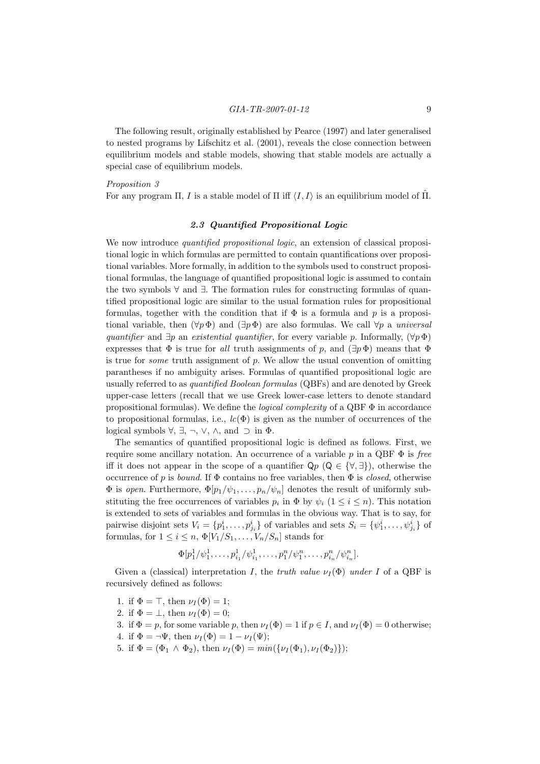The following result, originally established by Pearce (1997) and later generalised to nested programs by Lifschitz et al. (2001), reveals the close connection between equilibrium models and stable models, showing that stable models are actually a special case of equilibrium models.

## Proposition 3

For any program  $\Pi$ , I is a stable model of  $\Pi$  iff  $\langle I, I \rangle$  is an equilibrium model of  $\Pi$ .

## 2.3 Quantified Propositional Logic

We now introduce *quantified propositional logic*, an extension of classical propositional logic in which formulas are permitted to contain quantifications over propositional variables. More formally, in addition to the symbols used to construct propositional formulas, the language of quantified propositional logic is assumed to contain the two symbols ∀ and ∃. The formation rules for constructing formulas of quantified propositional logic are similar to the usual formation rules for propositional formulas, together with the condition that if  $\Phi$  is a formula and p is a propositional variable, then  $(\forall p \Phi)$  and  $(\exists p \Phi)$  are also formulas. We call  $\forall p$  a universal quantifier and  $\exists p$  an existential quantifier, for every variable p. Informally,  $(\forall p \Phi)$ expresses that  $\Phi$  is true for all truth assignments of p, and  $(\exists p \Phi)$  means that  $\Phi$ is true for *some* truth assignment of  $p$ . We allow the usual convention of omitting parantheses if no ambiguity arises. Formulas of quantified propositional logic are usually referred to as quantified Boolean formulas (QBFs) and are denoted by Greek upper-case letters (recall that we use Greek lower-case letters to denote standard propositional formulas). We define the *logical complexity* of a QBF  $\Phi$  in accordance to propositional formulas, i.e.,  $lc(\Phi)$  is given as the number of occurrences of the logical symbols  $\forall$ ,  $\exists$ ,  $\neg$ ,  $\lor$ ,  $\land$ , and  $\supset$  in  $\Phi$ .

The semantics of quantified propositional logic is defined as follows. First, we require some ancillary notation. An occurrence of a variable p in a QBF  $\Phi$  is free iff it does not appear in the scope of a quantifier  $\mathsf{Q} p$  ( $\mathsf{Q} \in \{\forall,\exists\}$ ), otherwise the occurrence of p is bound. If  $\Phi$  contains no free variables, then  $\Phi$  is closed, otherwise  $\Phi$  is open. Furthermore,  $\Phi[p_1/\psi_1,\ldots,p_n/\psi_n]$  denotes the result of uniformly substituting the free occurrences of variables  $p_i$  in  $\Phi$  by  $\psi_i$   $(1 \leq i \leq n)$ . This notation is extended to sets of variables and formulas in the obvious way. That is to say, for pairwise disjoint sets  $V_i = \{p_1^i, \ldots, p_{j_i}^i\}$  of variables and sets  $S_i = \{\psi_1^i, \ldots, \psi_{j_i}^i\}$  of formulas, for  $1 \leq i \leq n$ ,  $\Phi[V_1/S_1, \ldots, V_n/S_n]$  stands for

$$
\Phi[p_1^1/\psi_1^1,\ldots,p_{i_1}^1/\psi_{i_1}^1,\ldots,p_1^n/\psi_1^n,\ldots,p_{i_n}^n/\psi_{i_n}^n].
$$

Given a (classical) interpretation I, the truth value  $\nu_I(\Phi)$  under I of a QBF is recursively defined as follows:

- 1. if  $\Phi = \top$ , then  $\nu_I(\Phi) = 1$ ;
- 2. if  $\Phi = \bot$ , then  $\nu_I(\Phi) = 0$ ;
- 3. if  $\Phi = p$ , for some variable p, then  $\nu_I(\Phi) = 1$  if  $p \in I$ , and  $\nu_I(\Phi) = 0$  otherwise;
- 4. if  $\Phi = \neg \Psi$ , then  $\nu_I(\Phi) = 1 \nu_I(\Psi)$ ;
- 5. if  $\Phi = (\Phi_1 \wedge \Phi_2)$ , then  $\nu_I(\Phi) = min(\{\nu_I(\Phi_1), \nu_I(\Phi_2)\})$ ;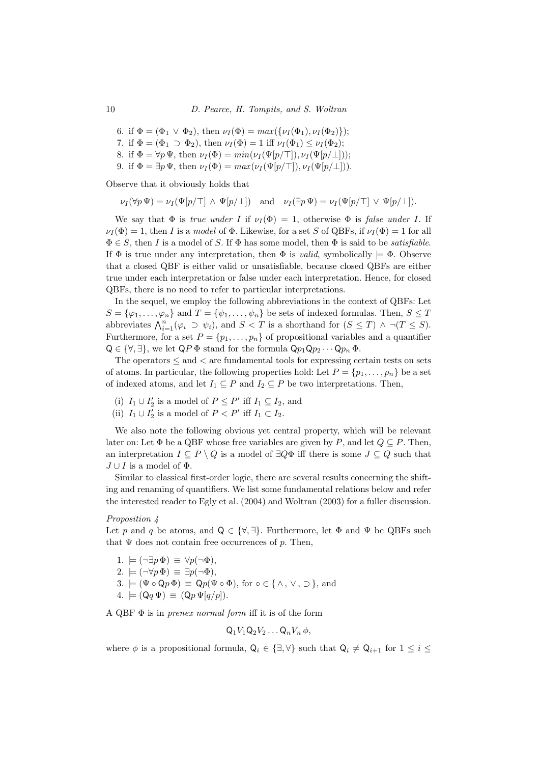- 6. if  $\Phi = (\Phi_1 \vee \Phi_2)$ , then  $\nu_I(\Phi) = \max(\{\nu_I(\Phi_1), \nu_I(\Phi_2)\})$ ;
- 7. if  $\Phi = (\Phi_1 \supset \Phi_2)$ , then  $\nu_I(\Phi) = 1$  iff  $\nu_I(\Phi_1) \leq \nu_I(\Phi_2)$ ;
- 8. if  $\Phi = \forall p \Psi$ , then  $\nu_I(\Phi) = min(\nu_I(\Psi[p/\top]), \nu_I(\Psi[p/\bot]))$ ;
- 9. if  $\Phi = \exists p \Psi$ , then  $\nu_I(\Phi) = max(\nu_I(\Psi[p/\top]), \nu_I(\Psi[p/\bot]))$ .

Observe that it obviously holds that

 $\nu_I(\forall p \Psi) = \nu_I(\Psi[p/\top] \wedge \Psi[p/\bot])$  and  $\nu_I(\exists p \Psi) = \nu_I(\Psi[p/\top] \vee \Psi[p/\bot]).$ 

We say that  $\Phi$  is *true under I* if  $\nu_I(\Phi) = 1$ , otherwise  $\Phi$  is *false under I*. If  $\nu_I(\Phi) = 1$ , then I is a model of  $\Phi$ . Likewise, for a set S of QBFs, if  $\nu_I(\Phi) = 1$  for all  $\Phi \in S$ , then I is a model of S. If  $\Phi$  has some model, then  $\Phi$  is said to be *satisfiable*. If  $\Phi$  is true under any interpretation, then  $\Phi$  is *valid*, symbolically  $\models \Phi$ . Observe that a closed QBF is either valid or unsatisfiable, because closed QBFs are either true under each interpretation or false under each interpretation. Hence, for closed QBFs, there is no need to refer to particular interpretations.

In the sequel, we employ the following abbreviations in the context of QBFs: Let  $S = {\varphi_1, \ldots, \varphi_n}$  and  $T = {\psi_1, \ldots, \psi_n}$  be sets of indexed formulas. Then,  $S \leq T$ abbreviates  $\bigwedge_{i=1}^{n} (\varphi_i \supset \psi_i)$ , and  $S < T$  is a shorthand for  $(S \leq T) \land \neg (T \leq S)$ . Furthermore, for a set  $P = \{p_1, \ldots, p_n\}$  of propositional variables and a quantifier  $Q \in {\forall, \exists}$ , we let  $QP \Phi$  stand for the formula  $Qp_1Qp_2 \cdots Qp_n \Phi$ .

The operators  $\leq$  and  $\lt$  are fundamental tools for expressing certain tests on sets of atoms. In particular, the following properties hold: Let  $P = \{p_1, \ldots, p_n\}$  be a set of indexed atoms, and let  $I_1 \subseteq P$  and  $I_2 \subseteq P$  be two interpretations. Then,

- (i)  $I_1 \cup I'_2$  is a model of  $P \le P'$  iff  $I_1 \subseteq I_2$ , and
- (ii)  $I_1 \cup I'_2$  is a model of  $P < P'$  iff  $I_1 \subset I_2$ .

We also note the following obvious yet central property, which will be relevant later on: Let  $\Phi$  be a QBF whose free variables are given by P, and let  $Q \subseteq P$ . Then, an interpretation  $I \subseteq P \setminus Q$  is a model of  $\exists Q\Phi$  iff there is some  $J \subseteq Q$  such that  $J \cup I$  is a model of  $\Phi$ .

Similar to classical first-order logic, there are several results concerning the shifting and renaming of quantifiers. We list some fundamental relations below and refer the interested reader to Egly et al. (2004) and Woltran (2003) for a fuller discussion.

## Proposition 4

Let p and q be atoms, and  $Q \in \{\forall, \exists\}$ . Furthermore, let  $\Phi$  and  $\Psi$  be QBFs such that  $\Psi$  does not contain free occurrences of p. Then,

- 1.  $\models (\neg \exists p \, \Phi) \equiv \forall p (\neg \Phi),$
- 2.  $\models (\neg \forall p \Phi) \equiv \exists p (\neg \Phi),$
- 3.  $=(\Psi \circ \mathsf{Q} p \Phi) \equiv \mathsf{Q} p(\Psi \circ \Phi)$ , for  $\circ \in \{\wedge, \vee, \supset \}$ , and
- $4. \models (Qq \Psi) \equiv (Qp \Psi[q/p]).$

A OBF  $\Phi$  is in *prenex normal form* iff it is of the form

$$
Q_1V_1Q_2V_2\ldots Q_nV_n\,\phi,
$$

where  $\phi$  is a propositional formula,  $Q_i \in \{\exists, \forall\}$  such that  $Q_i \neq Q_{i+1}$  for  $1 \leq i \leq$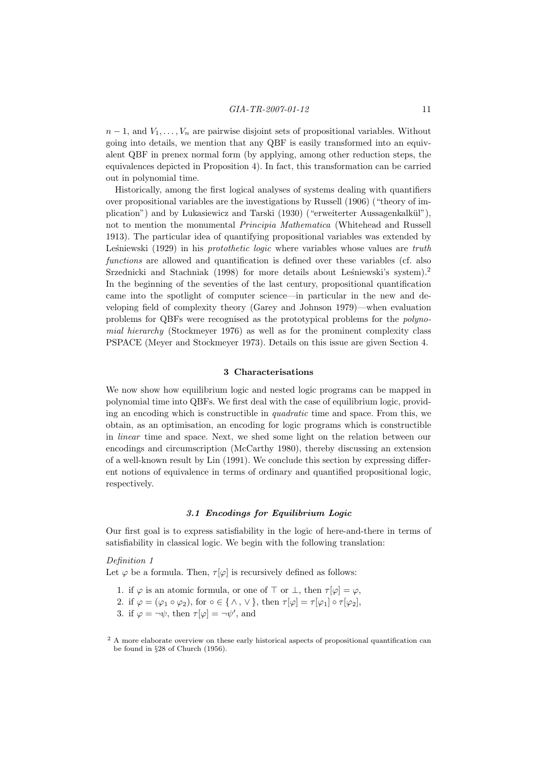$n-1$ , and  $V_1, \ldots, V_n$  are pairwise disjoint sets of propositional variables. Without going into details, we mention that any QBF is easily transformed into an equivalent QBF in prenex normal form (by applying, among other reduction steps, the equivalences depicted in Proposition 4). In fact, this transformation can be carried out in polynomial time.

Historically, among the first logical analyses of systems dealing with quantifiers over propositional variables are the investigations by Russell (1906) ("theory of implication") and by Lukasiewicz and Tarski (1930) ("erweiterter Aussagenkalkül"), not to mention the monumental Principia Mathematica (Whitehead and Russell 1913). The particular idea of quantifying propositional variables was extended by Leśniewski (1929) in his *protothetic logic* where variables whose values are  $truth$ functions are allowed and quantification is defined over these variables (cf. also Srzednicki and Stachniak  $(1998)$  for more details about Leśniewski's system).<sup>2</sup> In the beginning of the seventies of the last century, propositional quantification came into the spotlight of computer science—in particular in the new and developing field of complexity theory (Garey and Johnson 1979)—when evaluation problems for QBFs were recognised as the prototypical problems for the polynomial hierarchy (Stockmeyer 1976) as well as for the prominent complexity class PSPACE (Meyer and Stockmeyer 1973). Details on this issue are given Section 4.

## 3 Characterisations

We now show how equilibrium logic and nested logic programs can be mapped in polynomial time into QBFs. We first deal with the case of equilibrium logic, providing an encoding which is constructible in quadratic time and space. From this, we obtain, as an optimisation, an encoding for logic programs which is constructible in linear time and space. Next, we shed some light on the relation between our encodings and circumscription (McCarthy 1980), thereby discussing an extension of a well-known result by Lin (1991). We conclude this section by expressing different notions of equivalence in terms of ordinary and quantified propositional logic, respectively.

#### 3.1 Encodings for Equilibrium Logic

Our first goal is to express satisfiability in the logic of here-and-there in terms of satisfiability in classical logic. We begin with the following translation:

## Definition 1

Let  $\varphi$  be a formula. Then,  $\tau[\varphi]$  is recursively defined as follows:

- 1. if  $\varphi$  is an atomic formula, or one of  $\top$  or  $\bot$ , then  $\tau[\varphi] = \varphi$ ,
- 2. if  $\varphi = (\varphi_1 \circ \varphi_2)$ , for  $\circ \in \{\wedge, \vee\}$ , then  $\tau[\varphi] = \tau[\varphi_1] \circ \tau[\varphi_2]$ ,
- 3. if  $\varphi = \neg \psi$ , then  $\tau[\varphi] = \neg \psi'$ , and

<sup>&</sup>lt;sup>2</sup> A more elaborate overview on these early historical aspects of propositional quantification can be found in §28 of Church (1956).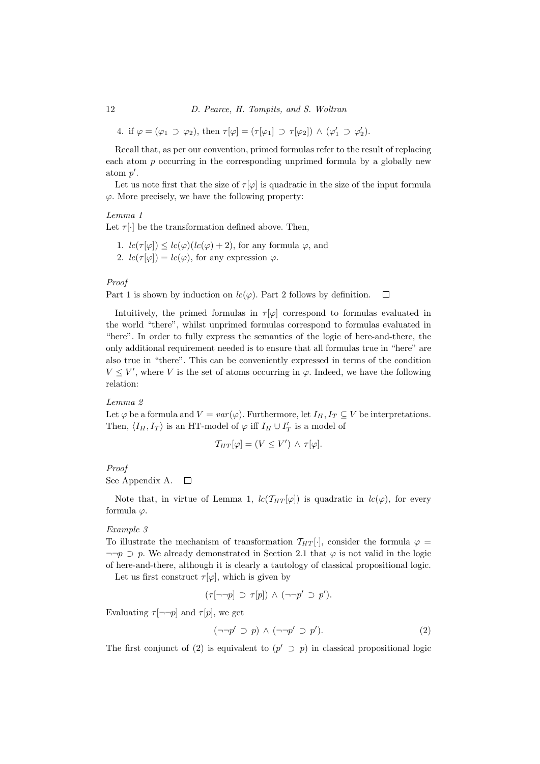12 D. Pearce, H. Tompits, and S. Woltran

4. if  $\varphi = (\varphi_1 \supset \varphi_2)$ , then  $\tau[\varphi] = (\tau[\varphi_1] \supset \tau[\varphi_2]) \wedge (\varphi_1' \supset \varphi_2').$ 

Recall that, as per our convention, primed formulas refer to the result of replacing each atom  $p$  occurring in the corresponding unprimed formula by a globally new atom  $p'$ .

Let us note first that the size of  $\tau[\varphi]$  is quadratic in the size of the input formula  $\varphi$ . More precisely, we have the following property:

## Lemma 1

Let  $\tau[\cdot]$  be the transformation defined above. Then,

- 1.  $lc(\tau[\varphi]) \leq lc(\varphi)(lc(\varphi)+2)$ , for any formula  $\varphi$ , and
- 2.  $lc(\tau[\varphi]) = lc(\varphi)$ , for any expression  $\varphi$ .

## Proof

Part 1 is shown by induction on  $lc(\varphi)$ . Part 2 follows by definition.  $\Box$ 

Intuitively, the primed formulas in  $\tau[\varphi]$  correspond to formulas evaluated in the world "there", whilst unprimed formulas correspond to formulas evaluated in "here". In order to fully express the semantics of the logic of here-and-there, the only additional requirement needed is to ensure that all formulas true in "here" are also true in "there". This can be conveniently expressed in terms of the condition  $V \leq V'$ , where V is the set of atoms occurring in  $\varphi$ . Indeed, we have the following relation:

## Lemma 2

Let  $\varphi$  be a formula and  $V = var(\varphi)$ . Furthermore, let  $I_H, I_T \subseteq V$  be interpretations. Then,  $\langle I_H, I_T \rangle$  is an HT-model of  $\varphi$  iff  $I_H \cup I'_T$  is a model of

$$
\mathcal{T}_{HT}[\varphi] = (V \leq V') \wedge \tau[\varphi].
$$

Proof

See Appendix A.  $\Box$ 

Note that, in virtue of Lemma 1,  $lc(\mathcal{T}_{HT}[\varphi])$  is quadratic in  $lc(\varphi)$ , for every formula  $\varphi$ .

## Example 3

To illustrate the mechanism of transformation  $T_{HT}[\cdot]$ , consider the formula  $\varphi =$  $\neg\neg p$  D p. We already demonstrated in Section 2.1 that  $\varphi$  is not valid in the logic of here-and-there, although it is clearly a tautology of classical propositional logic.

Let us first construct  $\tau[\varphi]$ , which is given by

$$
(\tau[\neg\neg p] \supset \tau[p]) \wedge (\neg\neg p' \supset p').
$$

Evaluating  $\tau[\neg\neg p]$  and  $\tau[p]$ , we get

$$
(\neg \neg p' \supset p) \land (\neg \neg p' \supset p'). \tag{2}
$$

The first conjunct of (2) is equivalent to  $(p' \supset p)$  in classical propositional logic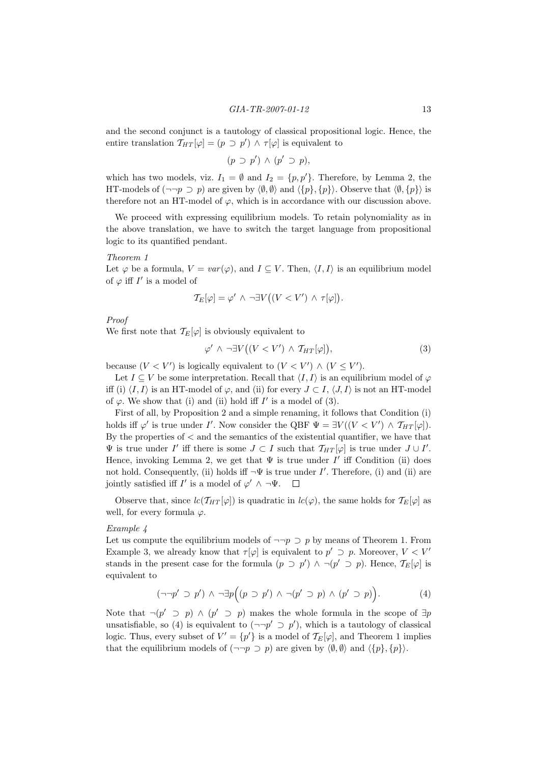and the second conjunct is a tautology of classical propositional logic. Hence, the entire translation  $T_{HT}[\varphi] = (p \supset p') \wedge \tau[\varphi]$  is equivalent to

$$
(p \supset p') \wedge (p' \supset p),
$$

which has two models, viz.  $I_1 = \emptyset$  and  $I_2 = \{p, p'\}$ . Therefore, by Lemma 2, the HT-models of  $(\neg\neg p \supset p)$  are given by  $\langle \emptyset, \emptyset \rangle$  and  $\langle \{p\}, \{p\} \rangle$ . Observe that  $\langle \emptyset, \{p\} \rangle$  is therefore not an HT-model of  $\varphi$ , which is in accordance with our discussion above.

We proceed with expressing equilibrium models. To retain polynomiality as in the above translation, we have to switch the target language from propositional logic to its quantified pendant.

#### Theorem 1

Let  $\varphi$  be a formula,  $V = var(\varphi)$ , and  $I \subseteq V$ . Then,  $\langle I, I \rangle$  is an equilibrium model of  $\varphi$  iff  $I'$  is a model of

$$
\mathcal{T}_E[\varphi] = \varphi' \land \neg \exists V ((V < V') \land \tau[\varphi]).
$$

Proof

We first note that  $\mathcal{T}_E[\varphi]$  is obviously equivalent to

$$
\varphi' \land \neg \exists V \big( (V < V') \land T_{HT}[\varphi] \big), \tag{3}
$$

because  $(V \lt V')$  is logically equivalent to  $(V \lt V') \wedge (V \leq V')$ .

Let  $I \subseteq V$  be some interpretation. Recall that  $\langle I, I \rangle$  is an equilibrium model of  $\varphi$ iff (i)  $\langle I, I \rangle$  is an HT-model of  $\varphi$ , and (ii) for every  $J \subset I$ ,  $\langle J, I \rangle$  is not an HT-model of  $\varphi$ . We show that (i) and (ii) hold iff  $I'$  is a model of (3).

First of all, by Proposition 2 and a simple renaming, it follows that Condition (i) holds iff  $\varphi'$  is true under I'. Now consider the QBF  $\Psi = \exists V((V \langle V' \rangle \wedge \mathcal{T}_{HT}[\varphi])$ . By the properties of < and the semantics of the existential quantifier, we have that  $\Psi$  is true under  $I'$  iff there is some  $J \subset I$  such that  $\mathcal{T}_{HT}[\varphi]$  is true under  $J \cup I'$ . Hence, invoking Lemma 2, we get that  $\Psi$  is true under I' iff Condition (ii) does not hold. Consequently, (ii) holds iff  $\neg \Psi$  is true under I'. Therefore, (i) and (ii) are jointly satisfied iff  $I'$  is a model of  $\varphi' \wedge \neg \Psi$ .

Observe that, since  $lc(\mathcal{T}_{HT}[\varphi])$  is quadratic in  $lc(\varphi)$ , the same holds for  $\mathcal{T}_{E}[\varphi]$  as well, for every formula  $\varphi$ .

#### Example 4

Let us compute the equilibrium models of  $\neg\neg p \supset p$  by means of Theorem 1. From Example 3, we already know that  $\tau[\varphi]$  is equivalent to  $p' \supset p$ . Moreover,  $V \subset V'$ stands in the present case for the formula  $(p \supset p') \wedge \neg (p' \supset p)$ . Hence,  $\mathcal{T}_E[\varphi]$  is equivalent to

$$
(\neg\neg p' \supset p') \land \neg \exists p \Big( (p \supset p') \land \neg (p' \supset p) \land (p' \supset p) \Big). \tag{4}
$$

Note that  $\neg(p' \supset p) \wedge (p' \supset p)$  makes the whole formula in the scope of  $\exists p$ unsatisfiable, so (4) is equivalent to  $(\neg\neg p' \supset p')$ , which is a tautology of classical logic. Thus, every subset of  $V' = \{p'\}$  is a model of  $\mathcal{T}_E[\varphi]$ , and Theorem 1 implies that the equilibrium models of  $(\neg\neg p \supset p)$  are given by  $\langle \emptyset, \emptyset \rangle$  and  $\langle \{p\}, \{p\}\rangle$ .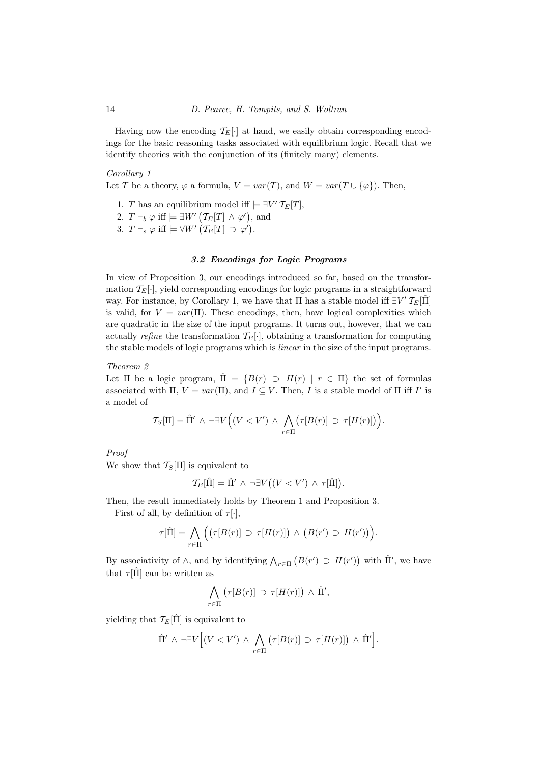Having now the encoding  $\mathcal{T}_E[\cdot]$  at hand, we easily obtain corresponding encodings for the basic reasoning tasks associated with equilibrium logic. Recall that we identify theories with the conjunction of its (finitely many) elements.

## Corollary 1

Let T be a theory,  $\varphi$  a formula,  $V = var(T)$ , and  $W = var(T \cup {\varphi})$ . Then,

- 1. T has an equilibrium model iff  $\models \exists V' T_E[T]$ ,
- 2.  $T \vdash_b \varphi$  iff  $\models \exists W' (\mathcal{T}_E[T] \land \varphi'),$  and
- 3.  $T \vdash_s \varphi \text{ iff } \models \forall W' \left( \mathcal{T}_E[T] \supset \varphi' \right).$

## 3.2 Encodings for Logic Programs

In view of Proposition 3, our encodings introduced so far, based on the transformation  $\mathcal{T}_E[\cdot]$ , yield corresponding encodings for logic programs in a straightforward way. For instance, by Corollary 1, we have that  $\Pi$  has a stable model iff  $\exists V' T_E[\hat{\Pi}]$ is valid, for  $V = var(\Pi)$ . These encodings, then, have logical complexities which are quadratic in the size of the input programs. It turns out, however, that we can actually refine the transformation  $\mathcal{T}_E[\cdot]$ , obtaining a transformation for computing the stable models of logic programs which is linear in the size of the input programs.

## Theorem 2

Let  $\Pi$  be a logic program,  $\hat{\Pi} = \{B(r) \supset H(r) \mid r \in \Pi\}$  the set of formulas associated with  $\Pi$ ,  $V = var(\Pi)$ , and  $I \subseteq V$ . Then, I is a stable model of  $\Pi$  iff I' is a model of

$$
\mathcal{T}_S[\Pi] = \hat{\Pi}' \land \neg \exists V \Big( (V < V') \land \bigwedge_{r \in \Pi} \big( \tau[B(r)] \supset \tau[H(r)] \big) \Big).
$$

## Proof

We show that  $\mathcal{T}_{S}[\Pi]$  is equivalent to

$$
\mathcal{T}_E[\hat{\Pi}] = \hat{\Pi}' \land \neg \exists V((V \lt V') \land \tau[\hat{\Pi}]).
$$

Then, the result immediately holds by Theorem 1 and Proposition 3.

First of all, by definition of  $\tau[\cdot]$ ,

$$
\tau[\hat{\Pi}] = \bigwedge_{r \in \Pi} \Big( \big( \tau[B(r)] \supset \tau[H(r)] \big) \wedge \big( B(r') \supset H(r') \big) \Big).
$$

By associativity of  $\wedge$ , and by identifying  $\bigwedge_{r\in\Pi} (B(r') \supset H(r'))$  with  $\Pi'$ , we have that  $\tau$  [Π] can be written as

$$
\bigwedge_{r\in\Pi} \big(\tau[B(r)]\supset \tau[H(r)]\big) \wedge \hat{\Pi}',
$$

yielding that  $\mathcal{T}_E[\hat{\Pi}]$  is equivalent to

$$
\hat{\Pi}' \ \wedge \ \neg \exists V \Big[ (V < V') \ \wedge \ \bigwedge_{r \in \Pi} \big( \tau[B(r)] \ \supset \ \tau[H(r)] \big) \ \wedge \ \hat{\Pi}' \Big].
$$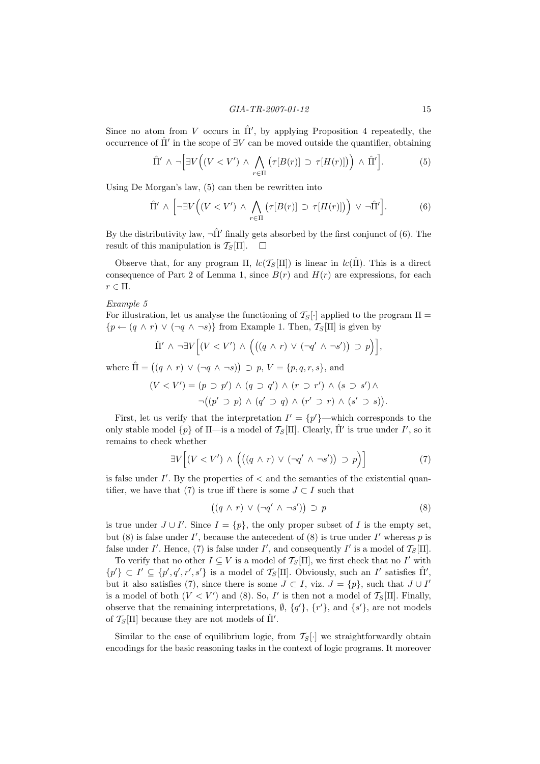Since no atom from V occurs in  $\Pi'$ , by applying Proposition 4 repeatedly, the occurrence of  $\hat{\Pi}'$  in the scope of  $\exists V$  can be moved outside the quantifier, obtaining

$$
\hat{\Pi}' \wedge \neg \Big[ \exists V \Big( (V < V') \wedge \bigwedge_{r \in \Pi} \big( \tau[B(r)] \supset \tau[H(r)] \big) \Big) \wedge \hat{\Pi}' \Big]. \tag{5}
$$

Using De Morgan's law, (5) can then be rewritten into

$$
\hat{\Pi}' \wedge \left[ \neg \exists V \Big( (V < V') \wedge \bigwedge_{r \in \Pi} \big( \tau[B(r)] \supset \tau[H(r)] \big) \Big) \vee \neg \hat{\Pi}' \right]. \tag{6}
$$

By the distributivity law,  $\neg \hat{\Pi}'$  finally gets absorbed by the first conjunct of (6). The result of this manipulation is  $\mathcal{T}_{S}[\Pi]$ .  $\Box$ 

Observe that, for any program  $\Pi$ ,  $lc(\mathcal{T}_{S}[\Pi])$  is linear in  $lc(\hat{\Pi})$ . This is a direct consequence of Part 2 of Lemma 1, since  $B(r)$  and  $H(r)$  are expressions, for each  $r \in \Pi$ .

Example 5

For illustration, let us analyse the functioning of  $\mathcal{T}_{S}[\cdot]$  applied to the program  $\Pi =$  ${p \leftarrow (q \land r) \lor (\neg q \land \neg s)}$  from Example 1. Then,  $\mathcal{T}_{S}[\Pi]$  is given by

$$
\hat{\Pi}' \wedge \neg \exists V \Big[ (V < V') \wedge \Big( \big( (q \wedge r) \vee (\neg q' \wedge \neg s') \big) \supset p \Big) \Big],
$$

where  $\hat{\Pi} = ((q \wedge r) \vee (\neg q \wedge \neg s)) \supset p, V = \{p, q, r, s\},\$ and

$$
(V < V') = (p \supset p') \land (q \supset q') \land (r \supset r') \land (s \supset s') \land
$$
  
 
$$
\neg((p' \supset p) \land (q' \supset q) \land (r' \supset r) \land (s' \supset s)).
$$

First, let us verify that the interpretation  $I' = \{p'\}$ —which corresponds to the only stable model  $\{p\}$  of  $\Pi$ —is a model of  $\mathcal{T}_{S}[\Pi]$ . Clearly,  $\hat{\Pi}'$  is true under  $I'$ , so it remains to check whether

$$
\exists V \Big[ (V < V') \land \Big( \big( (q \land r) \lor (\neg q' \land \neg s') \big) \supset p \Big) \Big] \tag{7}
$$

is false under  $I'$ . By the properties of  $\lt$  and the semantics of the existential quantifier, we have that (7) is true iff there is some  $J \subset I$  such that

$$
((q \wedge r) \vee (\neg q' \wedge \neg s')) \supset p \tag{8}
$$

is true under  $J \cup I'$ . Since  $I = \{p\}$ , the only proper subset of I is the empty set, but  $(8)$  is false under I', because the antecedent of  $(8)$  is true under I' whereas p is false under I'. Hence, (7) is false under I', and consequently I' is a model of  $T_S[\Pi]$ .

To verify that no other  $I \subseteq V$  is a model of  $\mathcal{T}_{S}[\Pi]$ , we first check that no  $I'$  with  $\{p'\}\subset I' \subseteq \{p',q',r',s'\}$  is a model of  $\mathcal{T}_{S}[\Pi]$ . Obviously, such an I' satisfies  $\hat{\Pi}'$ , but it also satisfies (7), since there is some  $J \subset I$ , viz.  $J = \{p\}$ , such that  $J \cup I'$ is a model of both  $(V < V')$  and (8). So, I' is then not a model of  $\mathcal{T}_{S}[\Pi]$ . Finally, observe that the remaining interpretations,  $\emptyset$ ,  $\{q'\}, \{r'\}$ , and  $\{s'\}$ , are not models of  $\mathcal{T}_{S}[\Pi]$  because they are not models of  $\hat{\Pi}'$ .

Similar to the case of equilibrium logic, from  $T_S[\cdot]$  we straightforwardly obtain encodings for the basic reasoning tasks in the context of logic programs. It moreover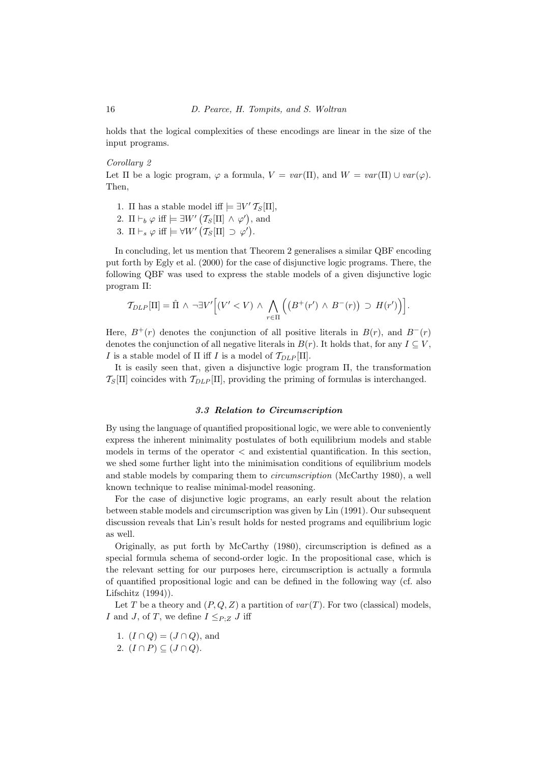holds that the logical complexities of these encodings are linear in the size of the input programs.

## Corollary 2

Let  $\Pi$  be a logic program,  $\varphi$  a formula,  $V = var(\Pi)$ , and  $W = var(\Pi) \cup var(\varphi)$ . Then,

- 1.  $\Pi$  has a stable model iff  $\models \exists V' T_S[\Pi],$
- 2.  $\Pi \vdash_b \varphi$  iff  $\models \exists W' (\mathcal{T}_S[\Pi] \land \varphi'),$  and
- 3.  $\Pi \vdash_s \varphi \text{ iff } \models \forall W' \left( \mathcal{T}_S[\Pi] \supset \varphi' \right).$

In concluding, let us mention that Theorem 2 generalises a similar QBF encoding put forth by Egly et al. (2000) for the case of disjunctive logic programs. There, the following QBF was used to express the stable models of a given disjunctive logic program Π:

$$
\mathcal{T}_{DLP}[\Pi] = \hat{\Pi} \wedge \neg \exists V' \Big[ (V' < V) \wedge \bigwedge_{r \in \Pi} \Big( \big( B^+(r') \wedge B^-(r) \big) \supset H(r') \Big) \Big].
$$

Here,  $B^+(r)$  denotes the conjunction of all positive literals in  $B(r)$ , and  $B^-(r)$ denotes the conjunction of all negative literals in  $B(r)$ . It holds that, for any  $I \subseteq V$ , I is a stable model of  $\Pi$  iff I is a model of  $\mathcal{T}_{DLP}[\Pi].$ 

It is easily seen that, given a disjunctive logic program Π, the transformation  $\mathcal{T}_{S}[\Pi]$  coincides with  $\mathcal{T}_{DLP}[\Pi]$ , providing the priming of formulas is interchanged.

## 3.3 Relation to Circumscription

By using the language of quantified propositional logic, we were able to conveniently express the inherent minimality postulates of both equilibrium models and stable models in terms of the operator < and existential quantification. In this section, we shed some further light into the minimisation conditions of equilibrium models and stable models by comparing them to circumscription (McCarthy 1980), a well known technique to realise minimal-model reasoning.

For the case of disjunctive logic programs, an early result about the relation between stable models and circumscription was given by Lin (1991). Our subsequent discussion reveals that Lin's result holds for nested programs and equilibrium logic as well.

Originally, as put forth by McCarthy (1980), circumscription is defined as a special formula schema of second-order logic. In the propositional case, which is the relevant setting for our purposes here, circumscription is actually a formula of quantified propositional logic and can be defined in the following way (cf. also Lifschitz (1994)).

Let T be a theory and  $(P, Q, Z)$  a partition of  $var(T)$ . For two (classical) models, I and J, of T, we define  $I \leq_{P,Z} J$  iff

- 1.  $(I \cap Q) = (J \cap Q)$ , and
- 2.  $(I \cap P) \subseteq (J \cap Q)$ .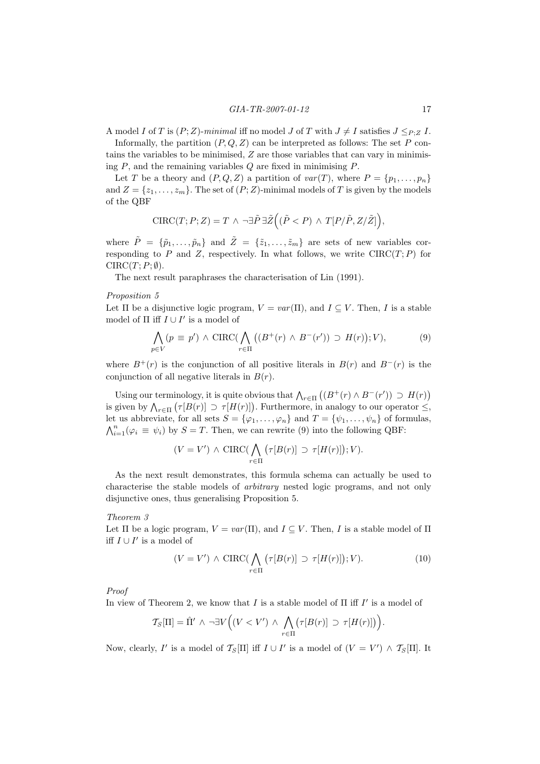A model I of T is  $(P;Z)$ -minimal iff no model J of T with  $J \neq I$  satisfies  $J \leq_{P,Z} I$ .

Informally, the partition  $(P, Q, Z)$  can be interpreted as follows: The set P contains the variables to be minimised,  $Z$  are those variables that can vary in minimising  $P$ , and the remaining variables  $Q$  are fixed in minimising  $P$ .

Let T be a theory and  $(P, Q, Z)$  a partition of  $var(T)$ , where  $P = \{p_1, \ldots, p_n\}$ and  $Z = \{z_1, \ldots, z_m\}$ . The set of  $(P;Z)$ -minimal models of T is given by the models of the QBF

$$
\text{CIRC}(T;P;Z) = T \wedge \neg \exists \tilde{P} \,\exists \tilde{Z} \Big( (\tilde{P} < P) \wedge T[P/\tilde{P}, Z/\tilde{Z}] \Big),
$$

where  $\tilde{P} = \{\tilde{p}_1, \ldots, \tilde{p}_n\}$  and  $\tilde{Z} = \{\tilde{z}_1, \ldots, \tilde{z}_m\}$  are sets of new variables corresponding to P and Z, respectively. In what follows, we write  $CIRC(T; P)$  for  $CIRC(T; P; \emptyset).$ 

The next result paraphrases the characterisation of Lin (1991).

## Proposition 5

Let  $\Pi$  be a disjunctive logic program,  $V = var(\Pi)$ , and  $I \subseteq V$ . Then, I is a stable model of  $\Pi$  iff  $I \cup I'$  is a model of

$$
\bigwedge_{p \in V} (p \equiv p') \land \text{CIRC}(\bigwedge_{r \in \Pi} ((B^+(r) \land B^-(r')) \supset H(r)); V), \tag{9}
$$

where  $B^+(r)$  is the conjunction of all positive literals in  $B(r)$  and  $B^-(r)$  is the conjunction of all negative literals in  $B(r)$ .

Using our terminology, it is quite obvious that  $\bigwedge_{r\in\Pi} \left( (B^+(r) \wedge B^-(r')) \supset H(r) \right)$ is given by  $\bigwedge_{r\in\Pi} \big(\tau[B(r)]\supset \tau[H(r)]\big)$ . Furthermore, in analogy to our operator  $\leq$ , let us abbreviate, for all sets  $S = {\varphi_1, \ldots, \varphi_n}$  and  $T = {\psi_1, \ldots, \psi_n}$  of formulas,  $\bigwedge_{i=1}^{n}(\varphi_{i} \equiv \psi_{i})$  by  $S = T$ . Then, we can rewrite (9) into the following QBF:

$$
(V = V') \wedge \text{CIRC}(\bigwedge_{r \in \Pi} (\tau[B(r)] \supset \tau[H(r)]); V).
$$

As the next result demonstrates, this formula schema can actually be used to characterise the stable models of arbitrary nested logic programs, and not only disjunctive ones, thus generalising Proposition 5.

## Theorem 3

Let  $\Pi$  be a logic program,  $V = var(\Pi)$ , and  $I \subseteq V$ . Then, I is a stable model of  $\Pi$ iff  $I \cup I'$  is a model of

$$
(V = V') \wedge \text{CIRC}(\bigwedge_{r \in \Pi} (\tau[B(r)] \supset \tau[H(r)]); V). \tag{10}
$$

Proof

In view of Theorem 2, we know that I is a stable model of  $\Pi$  iff  $I'$  is a model of

$$
\mathcal{T}_S[\Pi] = \hat{\Pi}' \land \neg \exists V \Big( (V < V') \land \bigwedge_{r \in \Pi} \big( \tau[B(r)] \supset \tau[H(r)] \big) \Big).
$$

Now, clearly, I' is a model of  $\mathcal{T}_{S}[\Pi]$  iff  $I \cup I'$  is a model of  $(V = V') \wedge \mathcal{T}_{S}[\Pi]$ . It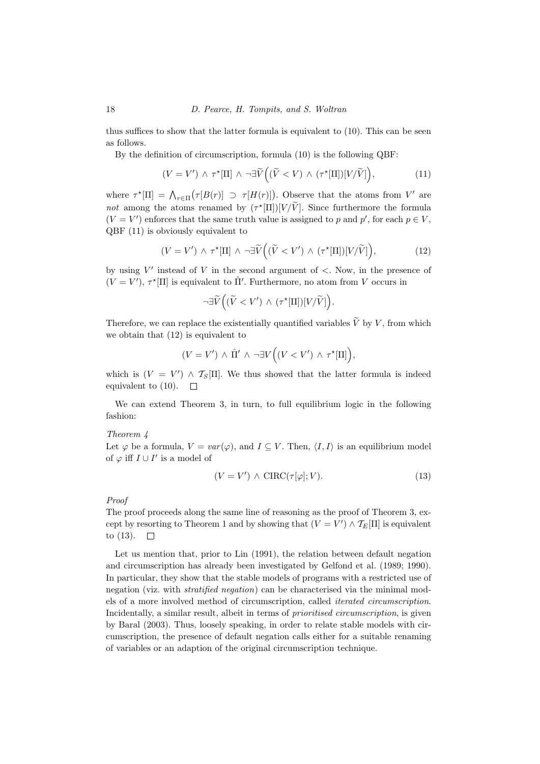thus suffices to show that the latter formula is equivalent to (10). This can be seen as follows.

By the definition of circumscription, formula (10) is the following QBF:

$$
(V = V') \wedge \tau^*[\Pi] \wedge \neg \exists \widetilde{V} \Big( (\widetilde{V} < V) \wedge (\tau^*[\Pi]) [V/\widetilde{V}] \Big), \tag{11}
$$

where  $\tau^*[\Pi] = \bigwedge_{r \in \Pi} (\tau[B(r)] \supset \tau[H(r)])$ . Observe that the atoms from V' are not among the atoms renamed by  $(\tau^*[\Pi])[V/V]$ . Since furthermore the formula  $(V = V')$  enforces that the same truth value is assigned to p and p', for each  $p \in V$ , QBF (11) is obviously equivalent to

$$
(V = V') \wedge \tau^*[\Pi] \wedge \neg \exists \widetilde{V} \Big( (\widetilde{V} < V') \wedge (\tau^*[\Pi]) [V/\widetilde{V}] \Big), \tag{12}
$$

by using  $V'$  instead of V in the second argument of  $\lt$ . Now, in the presence of  $(V = V')$ ,  $\tau^*[\Pi]$  is equivalent to  $\hat{\Pi}'$ . Furthermore, no atom from V occurs in

$$
\neg \exists \widetilde{V} \Big( (\widetilde{V} < V') \wedge (\tau^*[\Pi]) [V/\widetilde{V}] \Big).
$$

Therefore, we can replace the existentially quantified variables  $\widetilde{V}$  by V, from which we obtain that (12) is equivalent to

$$
(V = V') \wedge \hat{\Pi}' \wedge \neg \exists V ((V < V') \wedge \tau^*[\Pi]),
$$

which is  $(V = V') \wedge \mathcal{T}_S[\Pi]$ . We thus showed that the latter formula is indeed equivalent to  $(10)$ .  $\Box$ 

We can extend Theorem 3, in turn, to full equilibrium logic in the following fashion:

### Theorem 4

Let  $\varphi$  be a formula,  $V = var(\varphi)$ , and  $I \subseteq V$ . Then,  $\langle I, I \rangle$  is an equilibrium model of  $\varphi$  iff  $I \cup I'$  is a model of

$$
(V = V') \wedge \text{CIRC}(\tau[\varphi]; V). \tag{13}
$$

Proof

The proof proceeds along the same line of reasoning as the proof of Theorem 3, except by resorting to Theorem 1 and by showing that  $(V = V') \wedge \mathcal{T}_E[\Pi]$  is equivalent to  $(13)$ .  $\Box$ 

Let us mention that, prior to Lin (1991), the relation between default negation and circumscription has already been investigated by Gelfond et al. (1989; 1990). In particular, they show that the stable models of programs with a restricted use of negation (viz. with stratified negation) can be characterised via the minimal models of a more involved method of circumscription, called iterated circumscription. Incidentally, a similar result, albeit in terms of prioritised circumscription, is given by Baral (2003). Thus, loosely speaking, in order to relate stable models with circumscription, the presence of default negation calls either for a suitable renaming of variables or an adaption of the original circumscription technique.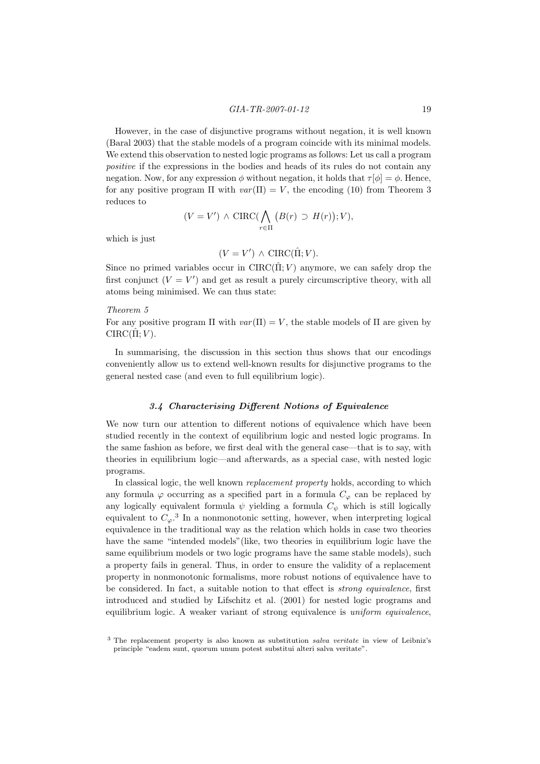However, in the case of disjunctive programs without negation, it is well known (Baral 2003) that the stable models of a program coincide with its minimal models. We extend this observation to nested logic programs as follows: Let us call a program positive if the expressions in the bodies and heads of its rules do not contain any negation. Now, for any expression  $\phi$  without negation, it holds that  $\tau[\phi] = \phi$ . Hence, for any positive program  $\Pi$  with  $var(\Pi) = V$ , the encoding (10) from Theorem 3 reduces to

$$
(V = V') \wedge \text{CIRC}(\bigwedge_{r \in \Pi} (B(r) \supset H(r)); V),
$$

which is just

$$
(V = V') \wedge \text{CIRC}(\hat{\Pi}; V).
$$

Since no primed variables occur in  $CIRC(\hat{\Pi};V)$  anymore, we can safely drop the first conjunct  $(V = V')$  and get as result a purely circumscriptive theory, with all atoms being minimised. We can thus state:

#### Theorem 5

For any positive program  $\Pi$  with  $var(\Pi) = V$ , the stable models of  $\Pi$  are given by  $CIRC(\hat{\Pi};V)$ .

In summarising, the discussion in this section thus shows that our encodings conveniently allow us to extend well-known results for disjunctive programs to the general nested case (and even to full equilibrium logic).

## 3.4 Characterising Different Notions of Equivalence

We now turn our attention to different notions of equivalence which have been studied recently in the context of equilibrium logic and nested logic programs. In the same fashion as before, we first deal with the general case—that is to say, with theories in equilibrium logic—and afterwards, as a special case, with nested logic programs.

In classical logic, the well known *replacement property* holds, according to which any formula  $\varphi$  occurring as a specified part in a formula  $C_{\varphi}$  can be replaced by any logically equivalent formula  $\psi$  yielding a formula  $C_{\psi}$  which is still logically equivalent to  $C_{\varphi}$ .<sup>3</sup> In a nonmonotonic setting, however, when interpreting logical equivalence in the traditional way as the relation which holds in case two theories have the same "intended models"(like, two theories in equilibrium logic have the same equilibrium models or two logic programs have the same stable models), such a property fails in general. Thus, in order to ensure the validity of a replacement property in nonmonotonic formalisms, more robust notions of equivalence have to be considered. In fact, a suitable notion to that effect is strong equivalence, first introduced and studied by Lifschitz et al. (2001) for nested logic programs and equilibrium logic. A weaker variant of strong equivalence is uniform equivalence,

<sup>3</sup> The replacement property is also known as substitution salva veritate in view of Leibniz's principle "eadem sunt, quorum unum potest substitui alteri salva veritate".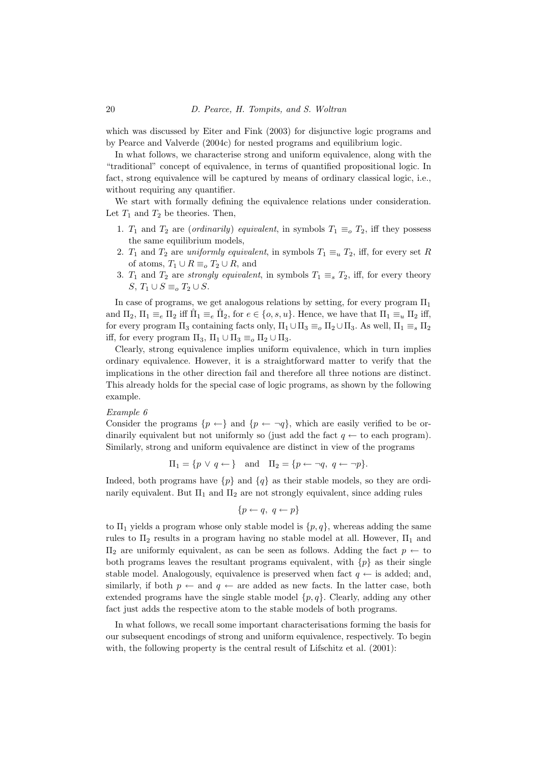which was discussed by Eiter and Fink (2003) for disjunctive logic programs and by Pearce and Valverde (2004c) for nested programs and equilibrium logic.

In what follows, we characterise strong and uniform equivalence, along with the "traditional" concept of equivalence, in terms of quantified propositional logic. In fact, strong equivalence will be captured by means of ordinary classical logic, i.e., without requiring any quantifier.

We start with formally defining the equivalence relations under consideration. Let  $T_1$  and  $T_2$  be theories. Then,

- 1.  $T_1$  and  $T_2$  are (*ordinarily*) *equivalent*, in symbols  $T_1 \equiv_o T_2$ , iff they possess the same equilibrium models,
- 2.  $T_1$  and  $T_2$  are uniformly equivalent, in symbols  $T_1 \equiv_u T_2$ , iff, for every set R of atoms,  $T_1 \cup R \equiv_o T_2 \cup R$ , and
- 3.  $T_1$  and  $T_2$  are *strongly equivalent*, in symbols  $T_1 \equiv_s T_2$ , iff, for every theory S,  $T_1 \cup S \equiv_o T_2 \cup S$ .

In case of programs, we get analogous relations by setting, for every program  $\Pi_1$ and  $\Pi_2$ ,  $\Pi_1 \equiv_e \Pi_2$  iff  $\hat{\Pi}_1 \equiv_e \hat{\Pi}_2$ , for  $e \in \{o, s, u\}$ . Hence, we have that  $\Pi_1 \equiv_u \Pi_2$  iff, for every program  $\Pi_3$  containing facts only,  $\Pi_1 \cup \Pi_3 \equiv_o \Pi_2 \cup \Pi_3$ . As well,  $\Pi_1 \equiv_s \Pi_2$ iff, for every program  $\Pi_3$ ,  $\Pi_1 \cup \Pi_3 \equiv_o \Pi_2 \cup \Pi_3$ .

Clearly, strong equivalence implies uniform equivalence, which in turn implies ordinary equivalence. However, it is a straightforward matter to verify that the implications in the other direction fail and therefore all three notions are distinct. This already holds for the special case of logic programs, as shown by the following example.

#### Example 6

Consider the programs  $\{p \leftarrow\}$  and  $\{p \leftarrow \neg q\}$ , which are easily verified to be ordinarily equivalent but not uniformly so (just add the fact  $q \leftarrow$  to each program). Similarly, strong and uniform equivalence are distinct in view of the programs

$$
\Pi_1 = \{p \lor q \leftarrow\}
$$
 and  $\Pi_2 = \{p \leftarrow \neg q, q \leftarrow \neg p\}.$ 

Indeed, both programs have  $\{p\}$  and  $\{q\}$  as their stable models, so they are ordinarily equivalent. But  $\Pi_1$  and  $\Pi_2$  are not strongly equivalent, since adding rules

$$
\{p \leftarrow q, \ q \leftarrow p\}
$$

to  $\Pi_1$  yields a program whose only stable model is  $\{p, q\}$ , whereas adding the same rules to  $\Pi_2$  results in a program having no stable model at all. However,  $\Pi_1$  and  $\Pi$ <sub>2</sub> are uniformly equivalent, as can be seen as follows. Adding the fact *p* ← to both programs leaves the resultant programs equivalent, with  $\{p\}$  as their single stable model. Analogously, equivalence is preserved when fact  $q \leftarrow$  is added; and, similarly, if both  $p \leftarrow$  and  $q \leftarrow$  are added as new facts. In the latter case, both extended programs have the single stable model  $\{p, q\}$ . Clearly, adding any other fact just adds the respective atom to the stable models of both programs.

In what follows, we recall some important characterisations forming the basis for our subsequent encodings of strong and uniform equivalence, respectively. To begin with, the following property is the central result of Lifschitz et al.  $(2001)$ :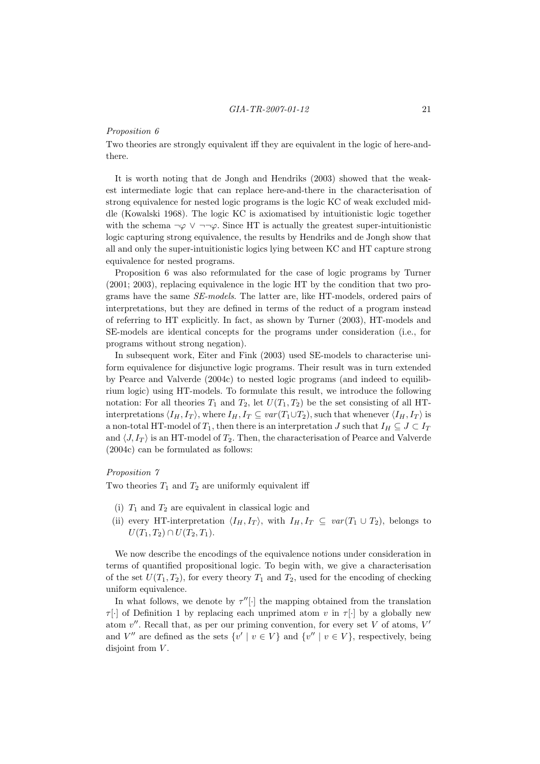#### Proposition 6

Two theories are strongly equivalent iff they are equivalent in the logic of here-andthere.

It is worth noting that de Jongh and Hendriks (2003) showed that the weakest intermediate logic that can replace here-and-there in the characterisation of strong equivalence for nested logic programs is the logic KC of weak excluded middle (Kowalski 1968). The logic KC is axiomatised by intuitionistic logic together with the schema  $\neg \varphi \lor \neg \neg \varphi$ . Since HT is actually the greatest super-intuitionistic logic capturing strong equivalence, the results by Hendriks and de Jongh show that all and only the super-intuitionistic logics lying between KC and HT capture strong equivalence for nested programs.

Proposition 6 was also reformulated for the case of logic programs by Turner (2001; 2003), replacing equivalence in the logic HT by the condition that two programs have the same SE-models. The latter are, like HT-models, ordered pairs of interpretations, but they are defined in terms of the reduct of a program instead of referring to HT explicitly. In fact, as shown by Turner (2003), HT-models and SE-models are identical concepts for the programs under consideration (i.e., for programs without strong negation).

In subsequent work, Eiter and Fink (2003) used SE-models to characterise uniform equivalence for disjunctive logic programs. Their result was in turn extended by Pearce and Valverde (2004c) to nested logic programs (and indeed to equilibrium logic) using HT-models. To formulate this result, we introduce the following notation: For all theories  $T_1$  and  $T_2$ , let  $U(T_1, T_2)$  be the set consisting of all HTinterpretations  $\langle I_H, I_T \rangle$ , where  $I_H, I_T \subseteq var(T_1 \cup T_2)$ , such that whenever  $\langle I_H, I_T \rangle$  is a non-total HT-model of  $T_1$ , then there is an interpretation  $J$  such that  $I_H \subseteq J \subset I_T$ and  $\langle J, I_T \rangle$  is an HT-model of  $T_2$ . Then, the characterisation of Pearce and Valverde (2004c) can be formulated as follows:

## Proposition 7

Two theories  $T_1$  and  $T_2$  are uniformly equivalent iff

- (i)  $T_1$  and  $T_2$  are equivalent in classical logic and
- (ii) every HT-interpretation  $\langle I_H, I_T \rangle$ , with  $I_H, I_T \subseteq \text{var}(T_1 \cup T_2)$ , belongs to  $U(T_1, T_2) \cap U(T_2, T_1).$

We now describe the encodings of the equivalence notions under consideration in terms of quantified propositional logic. To begin with, we give a characterisation of the set  $U(T_1, T_2)$ , for every theory  $T_1$  and  $T_2$ , used for the encoding of checking uniform equivalence.

In what follows, we denote by  $\tau''[\cdot]$  the mapping obtained from the translation  $\tau[\cdot]$  of Definition 1 by replacing each unprimed atom v in  $\tau[\cdot]$  by a globally new atom  $v''$ . Recall that, as per our priming convention, for every set V of atoms,  $V'$ and V'' are defined as the sets  $\{v' \mid v \in V\}$  and  $\{v'' \mid v \in V\}$ , respectively, being disjoint from  $V$ .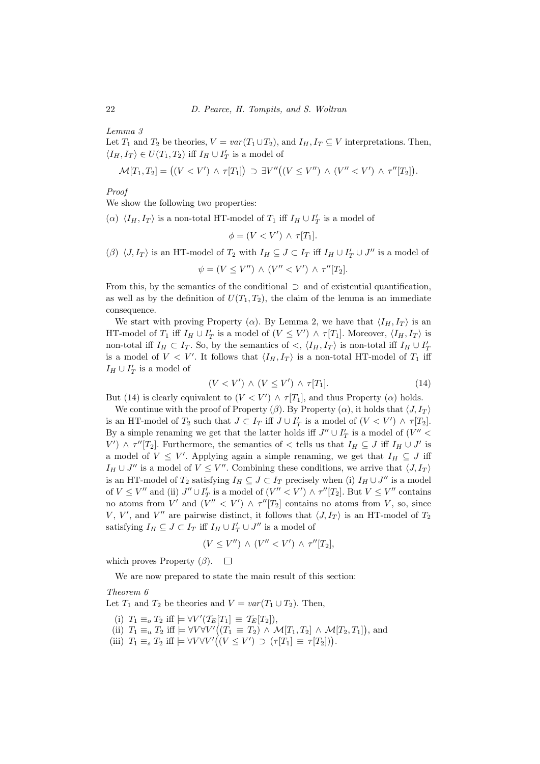Lemma 3

Let  $T_1$  and  $T_2$  be theories,  $V = var(T_1 \cup T_2)$ , and  $I_H, I_T \subseteq V$  interpretations. Then,  $\langle I_H, I_T \rangle \in U(T_1, T_2)$  iff  $I_H \cup I'_T$  is a model of

$$
\mathcal{M}[T_1, T_2] = ((V < V') \land \tau[T_1]) \supset \exists V''((V \leq V'') \land (V'' < V') \land \tau''[T_2]).
$$

Proof

We show the following two properties:

( $\alpha$ )  $\langle I_H, I_T \rangle$  is a non-total HT-model of  $T_1$  iff  $I_H \cup I'_T$  is a model of

$$
\phi = (V < V') \land \tau[T_1].
$$

( $\beta$ )  $\langle J, I_T \rangle$  is an HT-model of  $T_2$  with  $I_H \subseteq J \subset I_T$  iff  $I_H \cup I'_T \cup J''$  is a model of

$$
\psi = (V \leq V'') \wedge (V'' < V') \wedge \tau''[T_2].
$$

From this, by the semantics of the conditional  $\supset$  and of existential quantification, as well as by the definition of  $U(T_1, T_2)$ , the claim of the lemma is an immediate consequence.

We start with proving Property ( $\alpha$ ). By Lemma 2, we have that  $\langle I_H, I_T \rangle$  is an HT-model of  $T_1$  iff  $I_H \cup I'_T$  is a model of  $(V \leq V') \wedge \tau[T_1]$ . Moreover,  $\langle I_H, I_T \rangle$  is non-total iff  $I_H \subset I_T$ . So, by the semantics of  $\langle I_H, I_T \rangle$  is non-total iff  $I_H \cup I_T'$ is a model of  $V < V'$ . It follows that  $\langle I_H, I_T \rangle$  is a non-total HT-model of  $T_1$  iff  $I_H \cup I'_T$  is a model of

$$
(V < V') \land (V \le V') \land \tau[T_1].\tag{14}
$$

But (14) is clearly equivalent to  $(V < V') \wedge \tau[T_1]$ , and thus Property ( $\alpha$ ) holds.

We continue with the proof of Property  $(\beta)$ . By Property  $(\alpha)$ , it holds that  $\langle J, I_T \rangle$ is an HT-model of  $T_2$  such that  $J \subset I_T$  iff  $J \cup I'_T$  is a model of  $(V \lt V') \wedge \tau[T_2]$ . By a simple renaming we get that the latter holds iff  $J'' \cup I'_T$  is a model of  $(V'' <$  $V'$ )  $\wedge \tau''[T_2]$ . Furthermore, the semantics of  $\lt$  tells us that  $I_H \subseteq J$  iff  $I_H \cup J'$  is a model of  $V \leq V'$ . Applying again a simple renaming, we get that  $I_H \subseteq J$  iff  $I_H \cup J''$  is a model of  $V \leq V''$ . Combining these conditions, we arrive that  $\langle J, I_T \rangle$ is an HT-model of  $T_2$  satisfying  $I_H \subseteq J \subset I_T$  precisely when (i)  $I_H \cup J''$  is a model of  $V \leq V''$  and (ii)  $J'' \cup I'_T$  is a model of  $(V'' < V') \wedge \tau''[T_2]$ . But  $V \leq V''$  contains no atoms from V' and  $(V'' < V') \wedge \tau''[T_2]$  contains no atoms from V, so, since V, V', and V'' are pairwise distinct, it follows that  $\langle J, I_T \rangle$  is an HT-model of  $T_2$ satisfying  $I_H \subseteq J \subset I_T$  iff  $I_H \cup I'_T \cup J''$  is a model of

$$
(V \leq V'') \wedge (V'' < V') \wedge \tau''[T_2],
$$

which proves Property  $(\beta)$ .  $\Box$ 

We are now prepared to state the main result of this section:

## Theorem 6

Let  $T_1$  and  $T_2$  be theories and  $V = var(T_1 \cup T_2)$ . Then,

- (i)  $T_1 \equiv_o T_2$  iff  $\models \forall V'(\mathcal{T}_E[T_1] \equiv \mathcal{T}_E[T_2]),$
- (ii)  $T_1 \equiv_u T_2$  iff  $\models \forall V \forall V' ((T_1 \equiv T_2) \land \mathcal{M}[T_1, T_2] \land \mathcal{M}[T_2, T_1]),$  and
- (iii)  $T_1 \equiv_s T_2$  iff  $\models \forall V \forall V' ((V \leq V') \supset (\tau[T_1] \equiv \tau[T_2])$ .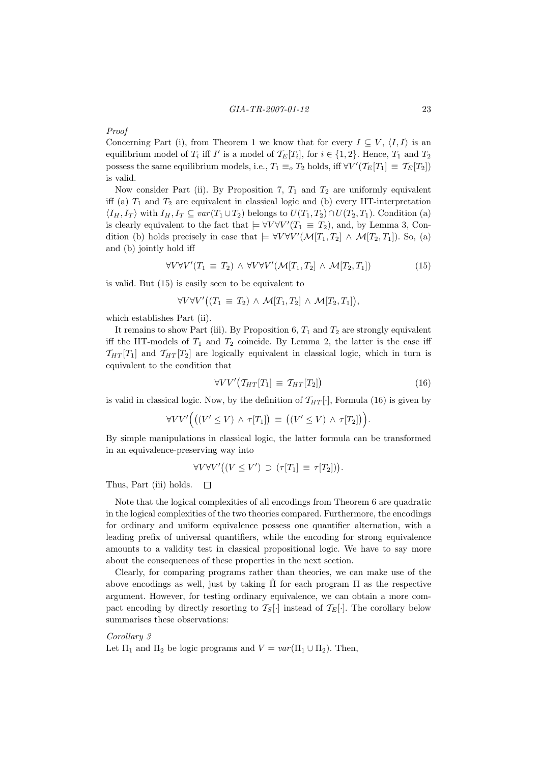## Proof

Concerning Part (i), from Theorem 1 we know that for every  $I \subseteq V$ ,  $\langle I, I \rangle$  is an equilibrium model of  $T_i$  iff  $I'$  is a model of  $\mathcal{T}_E[T_i]$ , for  $i \in \{1, 2\}$ . Hence,  $T_1$  and  $T_2$ possess the same equilibrium models, i.e.,  $T_1 \equiv_o T_2$  holds, iff  $\forall V'(\mathcal{T}_E[T_1] \equiv \mathcal{T}_E[T_2])$ is valid.

Now consider Part (ii). By Proposition 7,  $T_1$  and  $T_2$  are uniformly equivalent iff (a)  $T_1$  and  $T_2$  are equivalent in classical logic and (b) every HT-interpretation  $\langle I_H, I_T \rangle$  with  $I_H, I_T \subseteq var(T_1 \cup T_2)$  belongs to  $U(T_1, T_2) \cap U(T_2, T_1)$ . Condition (a) is clearly equivalent to the fact that  $\models \forall V \forall V' (T_1 \equiv T_2)$ , and, by Lemma 3, Condition (b) holds precisely in case that  $\models \forall V \forall V' (\mathcal{M}[T_1, T_2] \wedge \mathcal{M}[T_2, T_1])$ . So, (a) and (b) jointly hold iff

$$
\forall V \forall V' (T_1 \equiv T_2) \land \forall V \forall V' (\mathcal{M}[T_1, T_2] \land \mathcal{M}[T_2, T_1]) \tag{15}
$$

is valid. But (15) is easily seen to be equivalent to

$$
\forall V \forall V' \big( (T_1 \equiv T_2) \land \mathcal{M}[T_1, T_2] \land \mathcal{M}[T_2, T_1] \big),
$$

which establishes Part (ii).

It remains to show Part (iii). By Proposition 6,  $T_1$  and  $T_2$  are strongly equivalent iff the HT-models of  $T_1$  and  $T_2$  coincide. By Lemma 2, the latter is the case iff  $\mathcal{T}_{HT}[T_1]$  and  $\mathcal{T}_{HT}[T_2]$  are logically equivalent in classical logic, which in turn is equivalent to the condition that

$$
\forall V V' \big(\mathcal{T}_{HT}[T_1] \equiv \mathcal{T}_{HT}[T_2]\big) \tag{16}
$$

is valid in classical logic. Now, by the definition of  $\mathcal{T}_{HT}[\cdot]$ , Formula (16) is given by

$$
\forall V V'\Big(\big((V' \leq V) \,\wedge\, \tau[T_1]\big) \,\equiv\, \big((V' \leq V) \,\wedge\, \tau[T_2]\big)\Big).
$$

By simple manipulations in classical logic, the latter formula can be transformed in an equivalence-preserving way into

$$
\forall V \forall V' \big( (V \le V') \supset (\tau[T_1] \equiv \tau[T_2]) \big).
$$

Thus, Part (iii) holds.  $\Box$ 

Note that the logical complexities of all encodings from Theorem 6 are quadratic in the logical complexities of the two theories compared. Furthermore, the encodings for ordinary and uniform equivalence possess one quantifier alternation, with a leading prefix of universal quantifiers, while the encoding for strong equivalence amounts to a validity test in classical propositional logic. We have to say more about the consequences of these properties in the next section.

Clearly, for comparing programs rather than theories, we can make use of the above encodings as well, just by taking  $\hat{\Pi}$  for each program  $\Pi$  as the respective argument. However, for testing ordinary equivalence, we can obtain a more compact encoding by directly resorting to  $\mathcal{T}_{S}[\cdot]$  instead of  $\mathcal{T}_{E}[\cdot]$ . The corollary below summarises these observations:

## Corollary 3 Let  $\Pi_1$  and  $\Pi_2$  be logic programs and  $V = var(\Pi_1 \cup \Pi_2)$ . Then,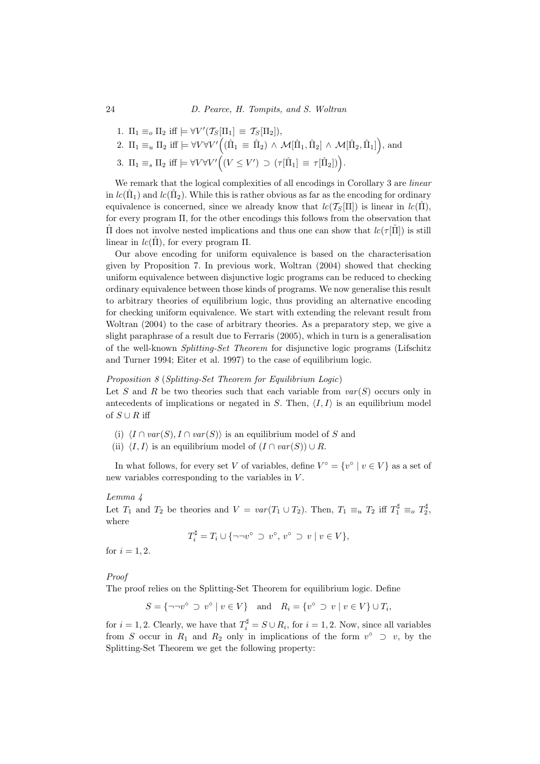1. 
$$
\Pi_1 \equiv_o \Pi_2
$$
 iff  $\models \forall V'(\mathcal{T}_S[\Pi_1] \equiv \mathcal{T}_S[\Pi_2]),$ 

2. 
$$
\Pi_1 \equiv_u \Pi_2
$$
 iff  $\models \forall V \forall V' ((\hat{\Pi}_1 \equiv \hat{\Pi}_2) \land \mathcal{M}[\hat{\Pi}_1, \hat{\Pi}_2] \land \mathcal{M}[\hat{\Pi}_2, \hat{\Pi}_1]),$  and

3.  $\Pi_1 \equiv_s \Pi_2$  iff  $\models \forall V \forall V' ((V \leq V') \supset (\tau[\hat{\Pi}_1] \equiv \tau[\hat{\Pi}_2])$ .

We remark that the logical complexities of all encodings in Corollary 3 are *linear* in  $lc(\hat{\Pi}_1)$  and  $lc(\hat{\Pi}_2)$ . While this is rather obvious as far as the encoding for ordinary equivalence is concerned, since we already know that  $lc(\mathcal{T}_{S}[\Pi])$  is linear in  $lc(\hat{\Pi}),$ for every program Π, for the other encodings this follows from the observation that If does not involve nested implications and thus one can show that  $lc(\tau[\Pi])$  is still linear in  $lc(\hat{\Pi})$ , for every program  $\Pi$ .

Our above encoding for uniform equivalence is based on the characterisation given by Proposition 7. In previous work, Woltran (2004) showed that checking uniform equivalence between disjunctive logic programs can be reduced to checking ordinary equivalence between those kinds of programs. We now generalise this result to arbitrary theories of equilibrium logic, thus providing an alternative encoding for checking uniform equivalence. We start with extending the relevant result from Woltran (2004) to the case of arbitrary theories. As a preparatory step, we give a slight paraphrase of a result due to Ferraris (2005), which in turn is a generalisation of the well-known Splitting-Set Theorem for disjunctive logic programs (Lifschitz and Turner 1994; Eiter et al. 1997) to the case of equilibrium logic.

## Proposition 8 (Splitting-Set Theorem for Equilibrium Logic)

Let S and R be two theories such that each variable from  $var(S)$  occurs only in antecedents of implications or negated in S. Then,  $\langle I, I \rangle$  is an equilibrium model of  $S \cup R$  iff

- (i)  $\langle I \cap var(S), I \cap var(S) \rangle$  is an equilibrium model of S and
- (ii)  $\langle I, I \rangle$  is an equilibrium model of  $(I \cap var(S)) \cup R$ .

In what follows, for every set V of variables, define  $V^{\circ} = \{v^{\circ} \mid v \in V\}$  as a set of new variables corresponding to the variables in V .

## Lemma 4

Let  $T_1$  and  $T_2$  be theories and  $V = var(T_1 \cup T_2)$ . Then,  $T_1 \equiv_u T_2$  iff  $T_1^{\sharp} \equiv_o T_2^{\sharp}$ , where

$$
T_i^{\sharp} = T_i \cup \{ \neg \neg v^{\circ} \supset v^{\circ}, v^{\circ} \supset v \mid v \in V \},
$$

for  $i = 1, 2$ .

## Proof

The proof relies on the Splitting-Set Theorem for equilibrium logic. Define

$$
S = \{\neg \neg v^{\circ} \supset v^{\circ} \mid v \in V\} \quad \text{and} \quad R_{i} = \{v^{\circ} \supset v \mid v \in V\} \cup T_{i},
$$

for  $i = 1, 2$ . Clearly, we have that  $T_i^{\sharp} = S \cup R_i$ , for  $i = 1, 2$ . Now, since all variables from S occur in  $R_1$  and  $R_2$  only in implications of the form  $v^{\circ} \supset v$ , by the Splitting-Set Theorem we get the following property: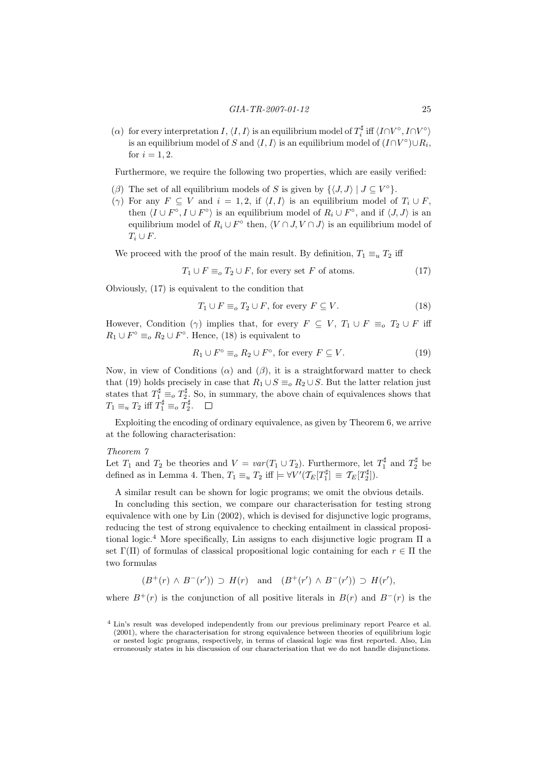( $\alpha$ ) for every interpretation I,  $\langle I, I \rangle$  is an equilibrium model of  $T_i^{\sharp}$  iff  $\langle I \cap V^{\circ}, I \cap V^{\circ} \rangle$ is an equilibrium model of S and  $\langle I, I \rangle$  is an equilibrium model of  $(I \cap V^{\circ}) \cup R_i$ , for  $i = 1, 2$ .

Furthermore, we require the following two properties, which are easily verified:

- ( $\beta$ ) The set of all equilibrium models of S is given by  $\{\langle J, J \rangle \mid J \subseteq V^{\circ}\}.$
- (γ) For any  $F \subseteq V$  and  $i = 1, 2$ , if  $\langle I, I \rangle$  is an equilibrium model of  $T_i \cup F$ , then  $\langle I \cup F^{\circ}, I \cup F^{\circ} \rangle$  is an equilibrium model of  $R_i \cup F^{\circ}$ , and if  $\langle J, J \rangle$  is an equilibrium model of  $R_i \cup F^{\circ}$  then,  $\langle V \cap J, V \cap J \rangle$  is an equilibrium model of  $T_i \cup F$ .

We proceed with the proof of the main result. By definition,  $T_1 \equiv_u T_2$  iff

$$
T_1 \cup F \equiv_o T_2 \cup F
$$
, for every set *F* of atoms. (17)

Obviously, (17) is equivalent to the condition that

$$
T_1 \cup F \equiv_o T_2 \cup F, \text{ for every } F \subseteq V. \tag{18}
$$

However, Condition (γ) implies that, for every  $F \subseteq V$ ,  $T_1 \cup F \equiv_o T_2 \cup F$  iff  $R_1 \cup F^{\circ} \equiv_o R_2 \cup F^{\circ}$ . Hence, (18) is equivalent to

$$
R_1 \cup F^\circ \equiv_o R_2 \cup F^\circ, \text{ for every } F \subseteq V. \tag{19}
$$

Now, in view of Conditions ( $\alpha$ ) and ( $\beta$ ), it is a straightforward matter to check that (19) holds precisely in case that  $R_1 \cup S \equiv_o R_2 \cup S$ . But the latter relation just states that  $T_1^{\sharp} \equiv_o T_2^{\sharp}$ . So, in summary, the above chain of equivalences shows that  $T_1 \equiv_u T_2$  iff  $T_1^{\sharp} \equiv_o T_2^{\sharp}$ .

Exploiting the encoding of ordinary equivalence, as given by Theorem 6, we arrive at the following characterisation:

## Theorem 7

Let  $T_1$  and  $T_2$  be theories and  $V = var(T_1 \cup T_2)$ . Furthermore, let  $T_1^{\sharp}$  and  $T_2^{\sharp}$  be defined as in Lemma 4. Then,  $T_1 \equiv_u T_2$  iff  $\models \forall V'(\mathcal{T}_E[T_1^{\sharp}] \equiv \mathcal{T}_E[T_2^{\sharp}]).$ 

A similar result can be shown for logic programs; we omit the obvious details.

In concluding this section, we compare our characterisation for testing strong equivalence with one by Lin (2002), which is devised for disjunctive logic programs, reducing the test of strong equivalence to checking entailment in classical propositional logic.<sup>4</sup> More specifically, Lin assigns to each disjunctive logic program  $\Pi$  a set  $\Gamma(\Pi)$  of formulas of classical propositional logic containing for each  $r \in \Pi$  the two formulas

$$
(B^+(r) \wedge B^-(r')) \supset H(r) \quad \text{and} \quad (B^+(r') \wedge B^-(r')) \supset H(r'),
$$

where  $B^+(r)$  is the conjunction of all positive literals in  $B(r)$  and  $B^-(r)$  is the

<sup>4</sup> Lin's result was developed independently from our previous preliminary report Pearce et al.  $(2001)$ , where the characterisation for strong equivalence between theories of equilibrium logic or nested logic programs, respectively, in terms of classical logic was first reported. Also, Lin erroneously states in his discussion of our characterisation that we do not handle disjunctions.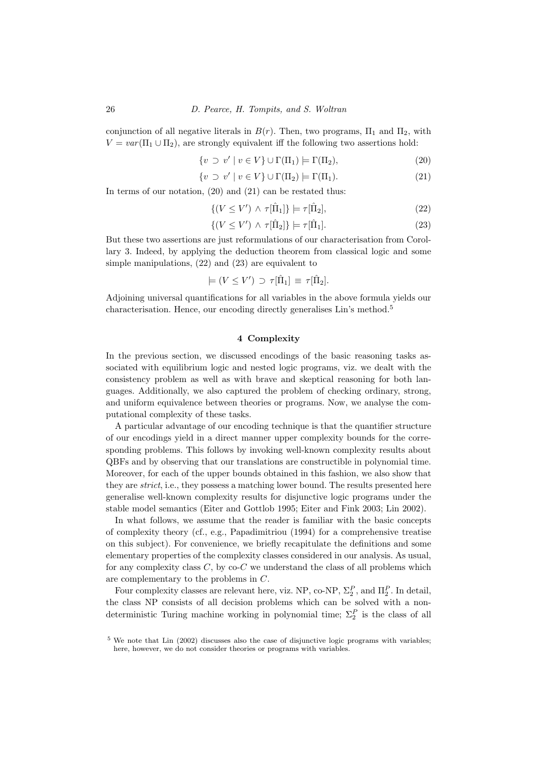conjunction of all negative literals in  $B(r)$ . Then, two programs,  $\Pi_1$  and  $\Pi_2$ , with  $V = var(\Pi_1 \cup \Pi_2)$ , are strongly equivalent iff the following two assertions hold:

$$
\{v \supset v' \mid v \in V\} \cup \Gamma(\Pi_1) \models \Gamma(\Pi_2),\tag{20}
$$

$$
\{v \supset v' \mid v \in V\} \cup \Gamma(\Pi_2) \models \Gamma(\Pi_1). \tag{21}
$$

In terms of our notation,  $(20)$  and  $(21)$  can be restated thus:

$$
\{(V \le V') \wedge \tau[\hat{\Pi}_1] \} \models \tau[\hat{\Pi}_2],\tag{22}
$$

$$
\{(V \le V') \wedge \tau[\hat{\Pi}_2]\} \models \tau[\hat{\Pi}_1].\tag{23}
$$

But these two assertions are just reformulations of our characterisation from Corollary 3. Indeed, by applying the deduction theorem from classical logic and some simple manipulations, (22) and (23) are equivalent to

$$
\models (V \leq V') \supset \tau[\hat{\Pi}_1] \equiv \tau[\hat{\Pi}_2].
$$

Adjoining universal quantifications for all variables in the above formula yields our characterisation. Hence, our encoding directly generalises Lin's method.<sup>5</sup>

## 4 Complexity

In the previous section, we discussed encodings of the basic reasoning tasks associated with equilibrium logic and nested logic programs, viz. we dealt with the consistency problem as well as with brave and skeptical reasoning for both languages. Additionally, we also captured the problem of checking ordinary, strong, and uniform equivalence between theories or programs. Now, we analyse the computational complexity of these tasks.

A particular advantage of our encoding technique is that the quantifier structure of our encodings yield in a direct manner upper complexity bounds for the corresponding problems. This follows by invoking well-known complexity results about QBFs and by observing that our translations are constructible in polynomial time. Moreover, for each of the upper bounds obtained in this fashion, we also show that they are *strict*, i.e., they possess a matching lower bound. The results presented here generalise well-known complexity results for disjunctive logic programs under the stable model semantics (Eiter and Gottlob 1995; Eiter and Fink 2003; Lin 2002).

In what follows, we assume that the reader is familiar with the basic concepts of complexity theory (cf., e.g., Papadimitriou (1994) for a comprehensive treatise on this subject). For convenience, we briefly recapitulate the definitions and some elementary properties of the complexity classes considered in our analysis. As usual, for any complexity class  $C$ , by co- $C$  we understand the class of all problems which are complementary to the problems in C.

Four complexity classes are relevant here, viz. NP, co-NP,  $\Sigma_2^P$ , and  $\Pi_2^P$ . In detail, the class NP consists of all decision problems which can be solved with a nondeterministic Turing machine working in polynomial time;  $\Sigma_2^P$  is the class of all

<sup>&</sup>lt;sup>5</sup> We note that Lin (2002) discusses also the case of disjunctive logic programs with variables; here, however, we do not consider theories or programs with variables.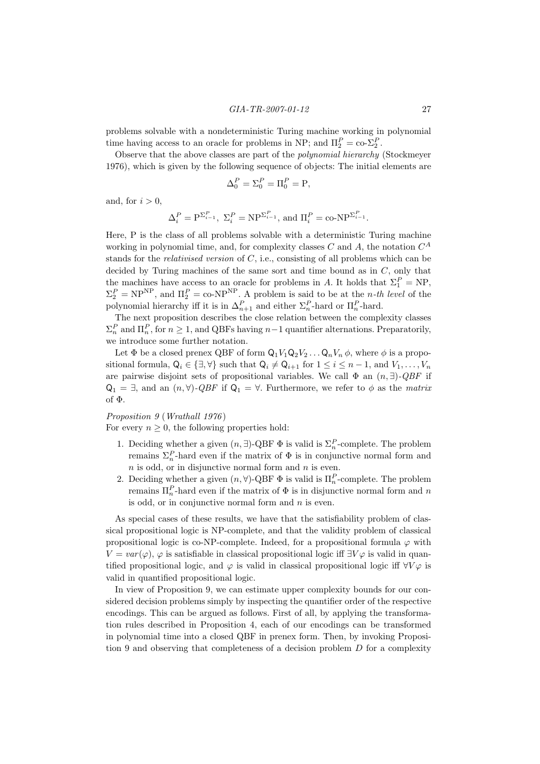problems solvable with a nondeterministic Turing machine working in polynomial time having access to an oracle for problems in NP; and  $\Pi_2^P = \text{co-} \Sigma_2^P$ .

Observe that the above classes are part of the polynomial hierarchy (Stockmeyer 1976), which is given by the following sequence of objects: The initial elements are

$$
\Delta_0^P = \Sigma_0^P = \Pi_0^P = \mathbf{P},
$$

and, for  $i > 0$ ,

$$
\Delta_i^P = \mathbf{P}^{\Sigma_{i-1}^P}, \ \Sigma_i^P = \mathbf{NP}^{\Sigma_{i-1}^P}, \ \text{and} \ \Pi_i^P = \text{co-NP}^{\Sigma_{i-1}^P}.
$$

Here, P is the class of all problems solvable with a deterministic Turing machine working in polynomial time, and, for complexity classes C and A, the notation  $C^A$ stands for the *relativised version* of  $C$ , i.e., consisting of all problems which can be decided by Turing machines of the same sort and time bound as in  $C$ , only that the machines have access to an oracle for problems in A. It holds that  $\Sigma_1^P = NP$ ,  $\Sigma_2^P = \text{NP}^{\text{NP}}$ , and  $\Pi_2^P = \text{co-NP}^{\text{NP}}$ . A problem is said to be at the *n*-th level of the polynomial hierarchy iff it is in  $\Delta_{n+1}^P$  and either  $\Sigma_n^P$ -hard or  $\Pi_n^P$ -hard.

The next proposition describes the close relation between the complexity classes  $\Sigma_n^P$  and  $\Pi_n^P$ , for  $n \geq 1$ , and QBFs having  $n-1$  quantifier alternations. Preparatorily, we introduce some further notation.

Let  $\Phi$  be a closed prenex QBF of form  $Q_1V_1Q_2V_2...Q_nV_n\phi$ , where  $\phi$  is a propositional formula,  $Q_i \in \{\exists, \forall\}$  such that  $Q_i \neq Q_{i+1}$  for  $1 \leq i \leq n-1$ , and  $V_1, \ldots, V_n$ are pairwise disjoint sets of propositional variables. We call  $\Phi$  an  $(n, \exists)$ - $QBF$  if  $Q_1 = \exists$ , and an  $(n, \forall)$ -QBF if  $Q_1 = \forall$ . Furthermore, we refer to  $\phi$  as the matrix of Φ.

## Proposition 9 (Wrathall 1976)

For every  $n \geq 0$ , the following properties hold:

- 1. Deciding whether a given  $(n, \exists)$ -QBF  $\Phi$  is valid is  $\Sigma_n^P$ -complete. The problem remains  $\Sigma_n^P$ -hard even if the matrix of  $\Phi$  is in conjunctive normal form and  $n$  is odd, or in disjunctive normal form and  $n$  is even.
- 2. Deciding whether a given  $(n, \forall)$ -QBF  $\Phi$  is valid is  $\Pi_n^P$ -complete. The problem remains  $\Pi_n^P$ -hard even if the matrix of  $\Phi$  is in disjunctive normal form and n is odd, or in conjunctive normal form and  $n$  is even.

As special cases of these results, we have that the satisfiability problem of classical propositional logic is NP-complete, and that the validity problem of classical propositional logic is co-NP-complete. Indeed, for a propositional formula  $\varphi$  with  $V = var(\varphi)$ ,  $\varphi$  is satisfiable in classical propositional logic iff  $\exists V \varphi$  is valid in quantified propositional logic, and  $\varphi$  is valid in classical propositional logic iff  $\forall V \varphi$  is valid in quantified propositional logic.

In view of Proposition 9, we can estimate upper complexity bounds for our considered decision problems simply by inspecting the quantifier order of the respective encodings. This can be argued as follows. First of all, by applying the transformation rules described in Proposition 4, each of our encodings can be transformed in polynomial time into a closed QBF in prenex form. Then, by invoking Proposition 9 and observing that completeness of a decision problem  $D$  for a complexity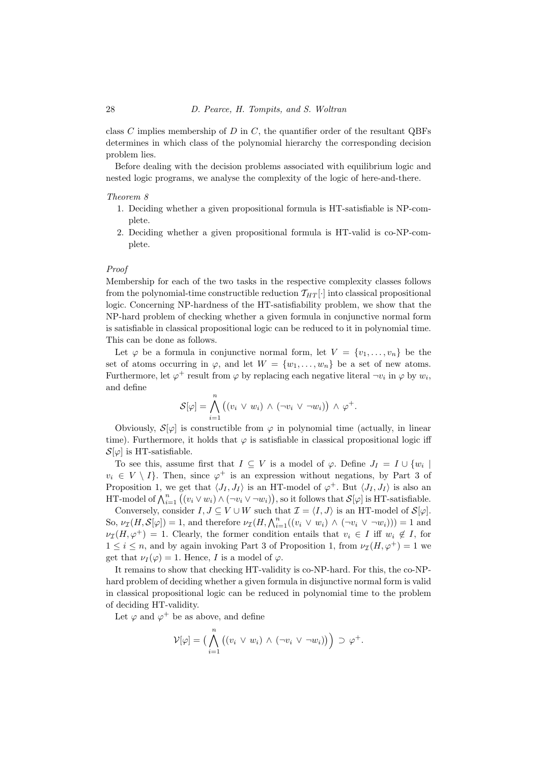class C implies membership of D in C, the quantifier order of the resultant QBFs determines in which class of the polynomial hierarchy the corresponding decision problem lies.

Before dealing with the decision problems associated with equilibrium logic and nested logic programs, we analyse the complexity of the logic of here-and-there.

#### Theorem 8

- 1. Deciding whether a given propositional formula is HT-satisfiable is NP-complete.
- 2. Deciding whether a given propositional formula is HT-valid is co-NP-complete.

#### Proof

Membership for each of the two tasks in the respective complexity classes follows from the polynomial-time constructible reduction  $T_{HT}$ . into classical propositional logic. Concerning NP-hardness of the HT-satisfiability problem, we show that the NP-hard problem of checking whether a given formula in conjunctive normal form is satisfiable in classical propositional logic can be reduced to it in polynomial time. This can be done as follows.

Let  $\varphi$  be a formula in conjunctive normal form, let  $V = \{v_1, \ldots, v_n\}$  be the set of atoms occurring in  $\varphi$ , and let  $W = \{w_1, \ldots, w_n\}$  be a set of new atoms. Furthermore, let  $\varphi^+$  result from  $\varphi$  by replacing each negative literal  $\neg v_i$  in  $\varphi$  by  $w_i$ , and define

$$
\mathcal{S}[\varphi] = \bigwedge_{i=1}^n ((v_i \vee w_i) \wedge (\neg v_i \vee \neg w_i)) \wedge \varphi^+.
$$

Obviously,  $S[\varphi]$  is constructible from  $\varphi$  in polynomial time (actually, in linear time). Furthermore, it holds that  $\varphi$  is satisfiable in classical propositional logic iff  $\mathcal{S}[\varphi]$  is HT-satisfiable.

To see this, assume first that  $I \subseteq V$  is a model of  $\varphi$ . Define  $J_I = I \cup \{w_i \mid$  $v_i \in V \setminus I$ . Then, since  $\varphi^+$  is an expression without negations, by Part 3 of Proposition 1, we get that  $\langle J_I, J_I \rangle$  is an HT-model of  $\varphi^+$ . But  $\langle J_I, J_I \rangle$  is also an HT-model of  $\bigwedge_{i=1}^{n} ((v_i \vee w_i) \wedge (\neg v_i \vee \neg w_i)),$  so it follows that  $\mathcal{S}[\varphi]$  is HT-satisfiable.

Conversely, consider  $I, J \subseteq V \cup W$  such that  $\mathcal{I} = \langle I, J \rangle$  is an HT-model of  $\mathcal{S}[\varphi]$ . So,  $\nu_{\mathcal{I}}(H, \mathcal{S}[\varphi]) = 1$ , and therefore  $\nu_{\mathcal{I}}(H, \bigwedge_{i=1}^{n} ((v_i \vee w_i) \wedge (\neg v_i \vee \neg w_i))) = 1$  and  $\nu_{\mathcal{I}}(H, \varphi^+) = 1$ . Clearly, the former condition entails that  $v_i \in I$  iff  $w_i \notin I$ , for  $1 \leq i \leq n$ , and by again invoking Part 3 of Proposition 1, from  $\nu_{\mathcal{I}}(H, \varphi^+) = 1$  we get that  $\nu_I(\varphi) = 1$ . Hence, I is a model of  $\varphi$ .

It remains to show that checking HT-validity is co-NP-hard. For this, the co-NPhard problem of deciding whether a given formula in disjunctive normal form is valid in classical propositional logic can be reduced in polynomial time to the problem of deciding HT-validity.

Let  $\varphi$  and  $\varphi^+$  be as above, and define

$$
\mathcal{V}[\varphi] = \big(\bigwedge_{i=1}^n \big((v_i \vee w_i) \wedge (\neg v_i \vee \neg w_i)\big)\big) \supset \varphi^+.
$$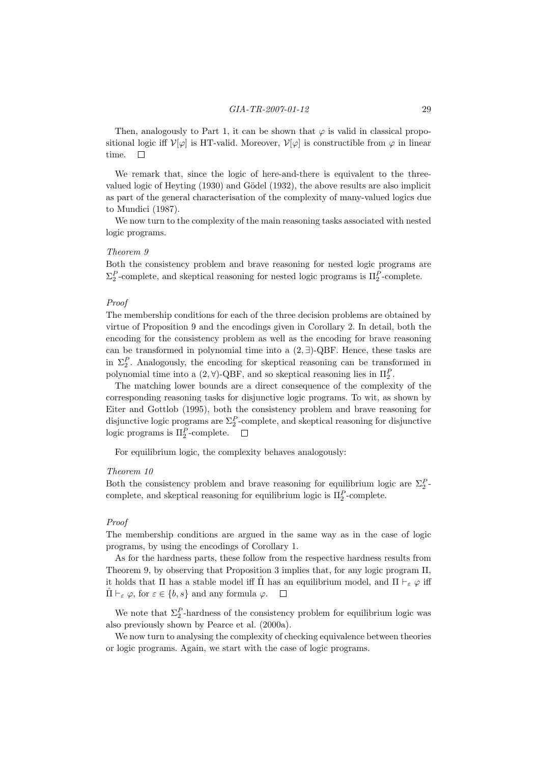Then, analogously to Part 1, it can be shown that  $\varphi$  is valid in classical propositional logic iff  $\mathcal{V}[\varphi]$  is HT-valid. Moreover,  $\mathcal{V}[\varphi]$  is constructible from  $\varphi$  in linear time.  $\Box$ 

We remark that, since the logic of here-and-there is equivalent to the threevalued logic of Heyting  $(1930)$  and Gödel  $(1932)$ , the above results are also implicit as part of the general characterisation of the complexity of many-valued logics due to Mundici (1987).

We now turn to the complexity of the main reasoning tasks associated with nested logic programs.

## Theorem 9

Both the consistency problem and brave reasoning for nested logic programs are  $\Sigma_2^P$ -complete, and skeptical reasoning for nested logic programs is  $\Pi_2^P$ -complete.

## Proof

The membership conditions for each of the three decision problems are obtained by virtue of Proposition 9 and the encodings given in Corollary 2. In detail, both the encoding for the consistency problem as well as the encoding for brave reasoning can be transformed in polynomial time into a  $(2, \exists)$ -QBF. Hence, these tasks are in  $\Sigma_2^P$ . Analogously, the encoding for skeptical reasoning can be transformed in polynomial time into a  $(2, \forall)$ -QBF, and so skeptical reasoning lies in  $\Pi_2^P$ .

The matching lower bounds are a direct consequence of the complexity of the corresponding reasoning tasks for disjunctive logic programs. To wit, as shown by Eiter and Gottlob (1995), both the consistency problem and brave reasoning for disjunctive logic programs are  $\Sigma_2^P$ -complete, and skeptical reasoning for disjunctive logic programs is  $\Pi_2^P$ -complete.

For equilibrium logic, the complexity behaves analogously:

## Theorem 10

Both the consistency problem and brave reasoning for equilibrium logic are  $\Sigma_2^P$ . complete, and skeptical reasoning for equilibrium logic is  $\Pi_2^P$ -complete.

## Proof

The membership conditions are argued in the same way as in the case of logic programs, by using the encodings of Corollary 1.

As for the hardness parts, these follow from the respective hardness results from Theorem 9, by observing that Proposition 3 implies that, for any logic program Π, it holds that Π has a stable model iff  $\hat{\Pi}$  has an equilibrium model, and  $\Pi \vdash_{\varepsilon} \varphi$  iff  $\Pi \vdash_{\varepsilon} \varphi$ , for  $\varepsilon \in \{b, s\}$  and any formula  $\varphi$ .  $\Box$ 

We note that  $\Sigma_2^P$ -hardness of the consistency problem for equilibrium logic was also previously shown by Pearce et al. (2000a).

We now turn to analysing the complexity of checking equivalence between theories or logic programs. Again, we start with the case of logic programs.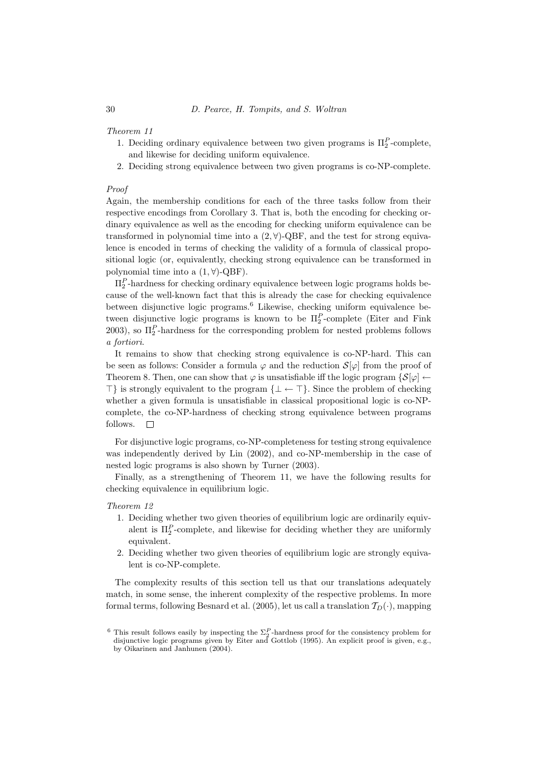## Theorem 11

- 1. Deciding ordinary equivalence between two given programs is  $\Pi_2^P$ -complete, and likewise for deciding uniform equivalence.
- 2. Deciding strong equivalence between two given programs is co-NP-complete.

## Proof

Again, the membership conditions for each of the three tasks follow from their respective encodings from Corollary 3. That is, both the encoding for checking ordinary equivalence as well as the encoding for checking uniform equivalence can be transformed in polynomial time into a  $(2, \forall)$ -QBF, and the test for strong equivalence is encoded in terms of checking the validity of a formula of classical propositional logic (or, equivalently, checking strong equivalence can be transformed in polynomial time into a  $(1, \forall)$ -QBF).

 $\Pi_2^P$ -hardness for checking ordinary equivalence between logic programs holds because of the well-known fact that this is already the case for checking equivalence between disjunctive logic programs.<sup>6</sup> Likewise, checking uniform equivalence between disjunctive logic programs is known to be  $\Pi_2^P$ -complete (Eiter and Fink 2003), so  $\Pi_2^P$ -hardness for the corresponding problem for nested problems follows a fortiori.

It remains to show that checking strong equivalence is co-NP-hard. This can be seen as follows: Consider a formula  $\varphi$  and the reduction  $\mathcal{S}[\varphi]$  from the proof of Theorem 8. Then, one can show that  $\varphi$  is unsatisfiable iff the logic program  $\{S[\varphi] \leftarrow$  $\top$ } is strongly equivalent to the program  $\{\bot \leftarrow \top\}$ . Since the problem of checking whether a given formula is unsatisfiable in classical propositional logic is co-NPcomplete, the co-NP-hardness of checking strong equivalence between programs follows.  $\square$ 

For disjunctive logic programs, co-NP-completeness for testing strong equivalence was independently derived by Lin (2002), and co-NP-membership in the case of nested logic programs is also shown by Turner (2003).

Finally, as a strengthening of Theorem 11, we have the following results for checking equivalence in equilibrium logic.

## Theorem 12

- 1. Deciding whether two given theories of equilibrium logic are ordinarily equivalent is  $\Pi_2^P$ -complete, and likewise for deciding whether they are uniformly equivalent.
- 2. Deciding whether two given theories of equilibrium logic are strongly equivalent is co-NP-complete.

The complexity results of this section tell us that our translations adequately match, in some sense, the inherent complexity of the respective problems. In more formal terms, following Besnard et al. (2005), let us call a translation  $T_D(\cdot)$ , mapping

<sup>&</sup>lt;sup>6</sup> This result follows easily by inspecting the  $\Sigma_2^P$ -hardness proof for the consistency problem for I his result follows easily by inspecting the  $\mathbb{Z}_2$ -hardness proof for the consistency problem for disjunctive logic programs given by Eiter and Gottlob (1995). An explicit proof is given, e.g., by Oikarinen and Janhunen (2004).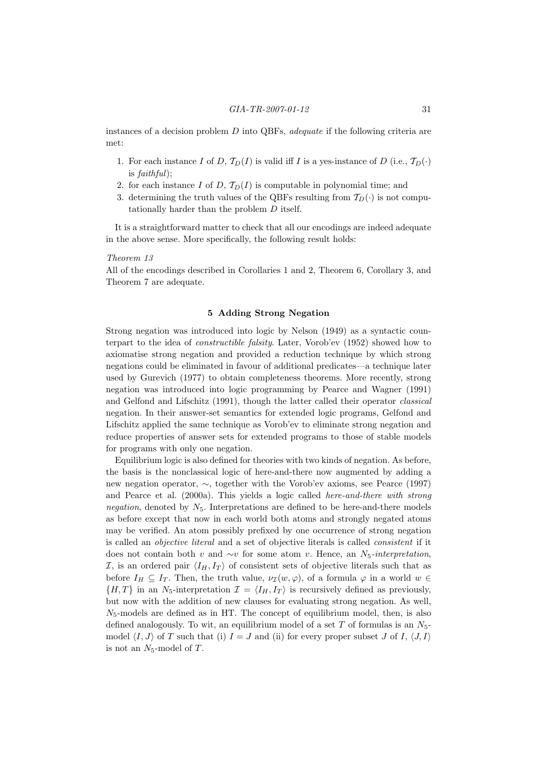instances of a decision problem  $D$  into QBFs, *adequate* if the following criteria are met:

- 1. For each instance I of D,  $T_D(I)$  is valid iff I is a yes-instance of D (i.e.,  $T_D(\cdot)$ ) is faithful);
- 2. for each instance I of D,  $\mathcal{T}_D(I)$  is computable in polynomial time; and
- 3. determining the truth values of the QBFs resulting from  $\mathcal{T}_D(\cdot)$  is not computationally harder than the problem D itself.

It is a straightforward matter to check that all our encodings are indeed adequate in the above sense. More specifically, the following result holds:

#### Theorem 13

All of the encodings described in Corollaries 1 and 2, Theorem 6, Corollary 3, and Theorem 7 are adequate.

## 5 Adding Strong Negation

Strong negation was introduced into logic by Nelson (1949) as a syntactic counterpart to the idea of constructible falsity. Later, Vorob'ev (1952) showed how to axiomatise strong negation and provided a reduction technique by which strong negations could be eliminated in favour of additional predicates—a technique later used by Gurevich (1977) to obtain completeness theorems. More recently, strong negation was introduced into logic programming by Pearce and Wagner (1991) and Gelfond and Lifschitz (1991), though the latter called their operator classical negation. In their answer-set semantics for extended logic programs, Gelfond and Lifschitz applied the same technique as Vorob'ev to eliminate strong negation and reduce properties of answer sets for extended programs to those of stable models for programs with only one negation.

Equilibrium logic is also defined for theories with two kinds of negation. As before, the basis is the nonclassical logic of here-and-there now augmented by adding a new negation operator, ∼, together with the Vorob'ev axioms, see Pearce (1997) and Pearce et al. (2000a). This yields a logic called *here-and-there with strong* negation, denoted by  $N_5$ . Interpretations are defined to be here-and-there models as before except that now in each world both atoms and strongly negated atoms may be verified. An atom possibly prefixed by one occurrence of strong negation is called an objective literal and a set of objective literals is called consistent if it does not contain both v and  $\sim v$  for some atom v. Hence, an N<sub>5</sub>-interpretation, I, is an ordered pair  $\langle I_H, I_T \rangle$  of consistent sets of objective literals such that as before  $I_H \subseteq I_T$ . Then, the truth value,  $\nu_{\mathcal{I}}(w, \varphi)$ , of a formula  $\varphi$  in a world  $w \in$  $\{H, T\}$  in an N<sub>5</sub>-interpretation  $\mathcal{I} = \langle I_H, I_T \rangle$  is recursively defined as previously, but now with the addition of new clauses for evaluating strong negation. As well,  $N_5$ -models are defined as in HT. The concept of equilibrium model, then, is also defined analogously. To wit, an equilibrium model of a set T of formulas is an  $N_5$ model  $\langle I, J \rangle$  of T such that (i)  $I = J$  and (ii) for every proper subset J of I,  $\langle J, I \rangle$ is not an  $N_5$ -model of T.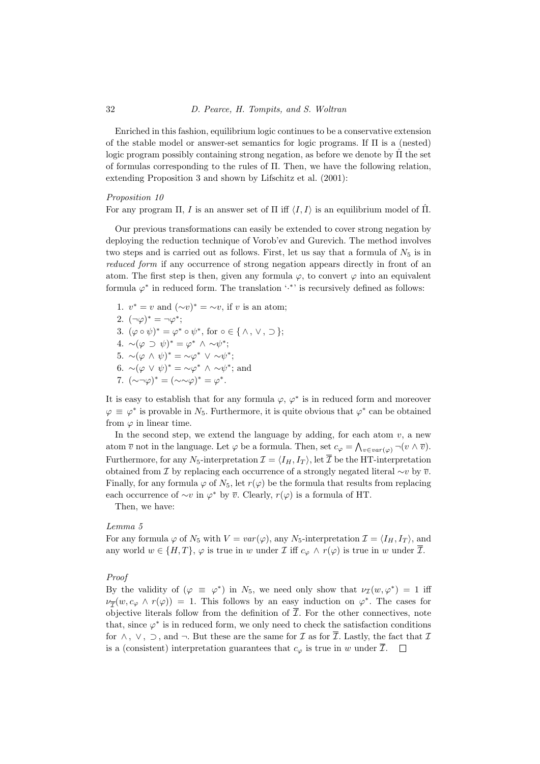Enriched in this fashion, equilibrium logic continues to be a conservative extension of the stable model or answer-set semantics for logic programs. If  $\Pi$  is a (nested) logic program possibly containing strong negation, as before we denote by  $\Pi$  the set of formulas corresponding to the rules of Π. Then, we have the following relation, extending Proposition 3 and shown by Lifschitz et al. (2001):

## Proposition 10

For any program Π, I is an answer set of Π iff  $\langle I, I \rangle$  is an equilibrium model of  $\Pi$ .

Our previous transformations can easily be extended to cover strong negation by deploying the reduction technique of Vorob'ev and Gurevich. The method involves two steps and is carried out as follows. First, let us say that a formula of  $N_5$  is in reduced form if any occurrence of strong negation appears directly in front of an atom. The first step is then, given any formula  $\varphi$ , to convert  $\varphi$  into an equivalent formula  $\varphi^*$  in reduced form. The translation '.<sup>\*</sup>' is recursively defined as follows:

1.  $v^* = v$  and  $(\sim v)^* = \sim v$ , if v is an atom; 2.  $(\neg \varphi)^* = \neg \varphi^*$ ; 3.  $(\varphi \circ \psi)^* = \varphi^* \circ \psi^*$ , for  $\circ \in \{ \land, \lor, \supset \}$ ; 4.  $\sim (\varphi \supset \psi)^* = \varphi^* \wedge \sim \psi^*;$ 5.  $\sim (\varphi \wedge \psi)^* = \sim \varphi^* \vee \sim \psi^*;$ 6.  $\sim (\varphi \lor \psi)^* = \sim \varphi^* \land \sim \psi^*$ ; and 7.  $(\sim \neg \varphi)^* = (\sim \sim \varphi)^* = \varphi^*.$ 

It is easy to establish that for any formula  $\varphi, \varphi^*$  is in reduced form and moreover  $\varphi \equiv \varphi^*$  is provable in  $N_5$ . Furthermore, it is quite obvious that  $\varphi^*$  can be obtained from  $\varphi$  in linear time.

In the second step, we extend the language by adding, for each atom  $v$ , a new atom  $\overline{v}$  not in the language. Let  $\varphi$  be a formula. Then, set  $c_{\varphi} = \bigwedge_{v \in var(\varphi)} \neg(v \wedge \overline{v})$ . Furthermore, for any  $N_5$ -interpretation  $\mathcal{I} = \langle I_H, I_T \rangle$ , let  $\overline{\mathcal{I}}$  be the HT-interpretation obtained from *I* by replacing each occurrence of a strongly negated literal  $\sim v$  by  $\overline{v}$ . Finally, for any formula  $\varphi$  of  $N_5$ , let  $r(\varphi)$  be the formula that results from replacing each occurrence of  $\sim v$  in  $\varphi^*$  by  $\overline{v}$ . Clearly,  $r(\varphi)$  is a formula of HT.

Then, we have:

### Lemma 5

For any formula  $\varphi$  of  $N_5$  with  $V = var(\varphi)$ , any  $N_5$ -interpretation  $\mathcal{I} = \langle I_H, I_T \rangle$ , and any world  $w \in \{H, T\}, \varphi$  is true in w under  $\mathcal I$  iff  $c_{\varphi} \wedge r(\varphi)$  is true in w under  $\overline{\mathcal I}$ .

## Proof

By the validity of  $(\varphi \equiv \varphi^*)$  in  $N_5$ , we need only show that  $\nu_{\mathcal{I}}(w, \varphi^*) = 1$  iff  $\nu_{\overline{\mathcal{I}}}(w, c_{\varphi} \wedge r(\varphi)) = 1$ . This follows by an easy induction on  $\varphi^*$ . The cases for objective literals follow from the definition of  $\overline{\mathcal{I}}$ . For the other connectives, note that, since  $\varphi^*$  is in reduced form, we only need to check the satisfaction conditions for  $\wedge$ ,  $\vee$ ,  $\supset$ , and  $\neg$ . But these are the same for  $\mathcal I$  as for  $\overline{\mathcal I}$ . Lastly, the fact that  $\mathcal I$ is a (consistent) interpretation guarantees that  $c_{\varphi}$  is true in w under  $\overline{\mathcal{I}}$ .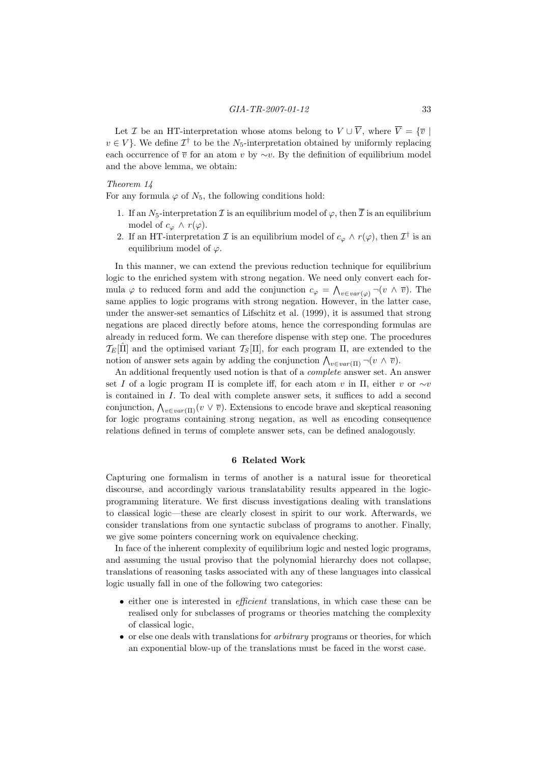Let *I* be an HT-interpretation whose atoms belong to  $V \cup \overline{V}$ , where  $\overline{V} = {\overline{v} \mid \overline{V}$  $v \in V$ . We define  $\mathcal{I}^{\dagger}$  to be the N<sub>5</sub>-interpretation obtained by uniformly replacing each occurrence of  $\overline{v}$  for an atom v by ∼v. By the definition of equilibrium model and the above lemma, we obtain:

## Theorem 14

For any formula  $\varphi$  of  $N_5$ , the following conditions hold:

- 1. If an  $N_5$ -interpretation  $\mathcal I$  is an equilibrium model of  $\varphi$ , then  $\overline{\mathcal I}$  is an equilibrium model of  $c_{\varphi} \wedge r(\varphi)$ .
- 2. If an HT-interpretation  $\mathcal I$  is an equilibrium model of  $c_\varphi \wedge r(\varphi)$ , then  $\mathcal I^\dagger$  is an equilibrium model of  $\varphi$ .

In this manner, we can extend the previous reduction technique for equilibrium logic to the enriched system with strong negation. We need only convert each formula  $\varphi$  to reduced form and add the conjunction  $c_{\varphi} = \bigwedge_{v \in var(\varphi)} \neg(v \land \overline{v})$ . The same applies to logic programs with strong negation. However, in the latter case, under the answer-set semantics of Lifschitz et al. (1999), it is assumed that strong negations are placed directly before atoms, hence the corresponding formulas are already in reduced form. We can therefore dispense with step one. The procedures  $\mathcal{T}_E[\hat{\Pi}]$  and the optimised variant  $\mathcal{T}_S[\Pi]$ , for each program  $\Pi$ , are extended to the notion of answer sets again by adding the conjunction  $\bigwedge_{v \in var(\Pi)} \neg(v \land \overline{v})$ .

An additional frequently used notion is that of a complete answer set. An answer set I of a logic program Π is complete iff, for each atom v in  $\Pi$ , either v or ∼v is contained in I. To deal with complete answer sets, it suffices to add a second conjunction,  $\bigwedge_{v \in var(\Pi)} (v \vee \overline{v})$ . Extensions to encode brave and skeptical reasoning for logic programs containing strong negation, as well as encoding consequence relations defined in terms of complete answer sets, can be defined analogously.

## 6 Related Work

Capturing one formalism in terms of another is a natural issue for theoretical discourse, and accordingly various translatability results appeared in the logicprogramming literature. We first discuss investigations dealing with translations to classical logic—these are clearly closest in spirit to our work. Afterwards, we consider translations from one syntactic subclass of programs to another. Finally, we give some pointers concerning work on equivalence checking.

In face of the inherent complexity of equilibrium logic and nested logic programs, and assuming the usual proviso that the polynomial hierarchy does not collapse, translations of reasoning tasks associated with any of these languages into classical logic usually fall in one of the following two categories:

- either one is interested in *efficient* translations, in which case these can be realised only for subclasses of programs or theories matching the complexity of classical logic,
- or else one deals with translations for arbitrary programs or theories, for which an exponential blow-up of the translations must be faced in the worst case.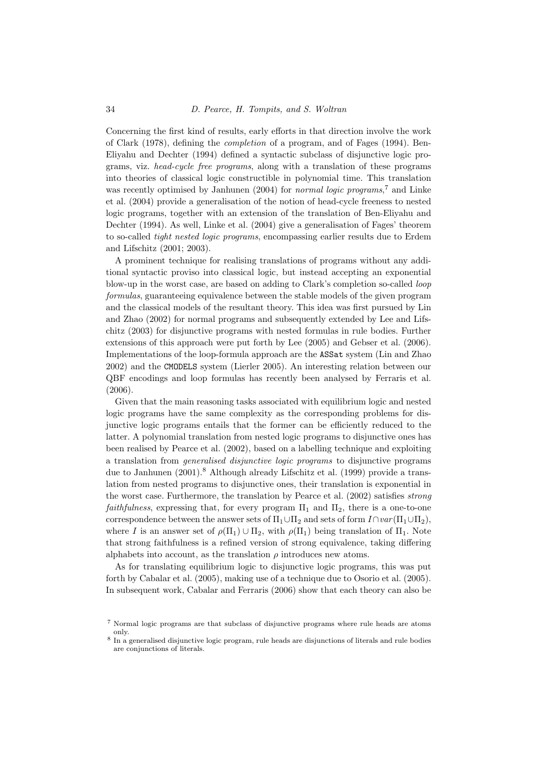Concerning the first kind of results, early efforts in that direction involve the work of Clark (1978), defining the completion of a program, and of Fages (1994). Ben-Eliyahu and Dechter (1994) defined a syntactic subclass of disjunctive logic programs, viz. head-cycle free programs, along with a translation of these programs into theories of classical logic constructible in polynomial time. This translation was recently optimised by Janhunen (2004) for *normal logic programs*,<sup>7</sup> and Linke et al. (2004) provide a generalisation of the notion of head-cycle freeness to nested logic programs, together with an extension of the translation of Ben-Eliyahu and Dechter (1994). As well, Linke et al. (2004) give a generalisation of Fages' theorem to so-called tight nested logic programs, encompassing earlier results due to Erdem and Lifschitz (2001; 2003).

A prominent technique for realising translations of programs without any additional syntactic proviso into classical logic, but instead accepting an exponential blow-up in the worst case, are based on adding to Clark's completion so-called loop formulas, guaranteeing equivalence between the stable models of the given program and the classical models of the resultant theory. This idea was first pursued by Lin and Zhao (2002) for normal programs and subsequently extended by Lee and Lifschitz (2003) for disjunctive programs with nested formulas in rule bodies. Further extensions of this approach were put forth by Lee (2005) and Gebser et al. (2006). Implementations of the loop-formula approach are the ASSat system (Lin and Zhao 2002) and the CMODELS system (Lierler 2005). An interesting relation between our QBF encodings and loop formulas has recently been analysed by Ferraris et al. (2006).

Given that the main reasoning tasks associated with equilibrium logic and nested logic programs have the same complexity as the corresponding problems for disjunctive logic programs entails that the former can be efficiently reduced to the latter. A polynomial translation from nested logic programs to disjunctive ones has been realised by Pearce et al. (2002), based on a labelling technique and exploiting a translation from generalised disjunctive logic programs to disjunctive programs due to Janhunen (2001).<sup>8</sup> Although already Lifschitz et al. (1999) provide a translation from nested programs to disjunctive ones, their translation is exponential in the worst case. Furthermore, the translation by Pearce et al. (2002) satisfies strong faithfulness, expressing that, for every program  $\Pi_1$  and  $\Pi_2$ , there is a one-to-one correspondence between the answer sets of  $\Pi_1 \cup \Pi_2$  and sets of form  $I \cap var(\Pi_1 \cup \Pi_2)$ , where I is an answer set of  $\rho(\Pi_1) \cup \Pi_2$ , with  $\rho(\Pi_1)$  being translation of  $\Pi_1$ . Note that strong faithfulness is a refined version of strong equivalence, taking differing alphabets into account, as the translation  $\rho$  introduces new atoms.

As for translating equilibrium logic to disjunctive logic programs, this was put forth by Cabalar et al. (2005), making use of a technique due to Osorio et al. (2005). In subsequent work, Cabalar and Ferraris (2006) show that each theory can also be

<sup>7</sup> Normal logic programs are that subclass of disjunctive programs where rule heads are atoms only.

<sup>8</sup> In a generalised disjunctive logic program, rule heads are disjunctions of literals and rule bodies are conjunctions of literals.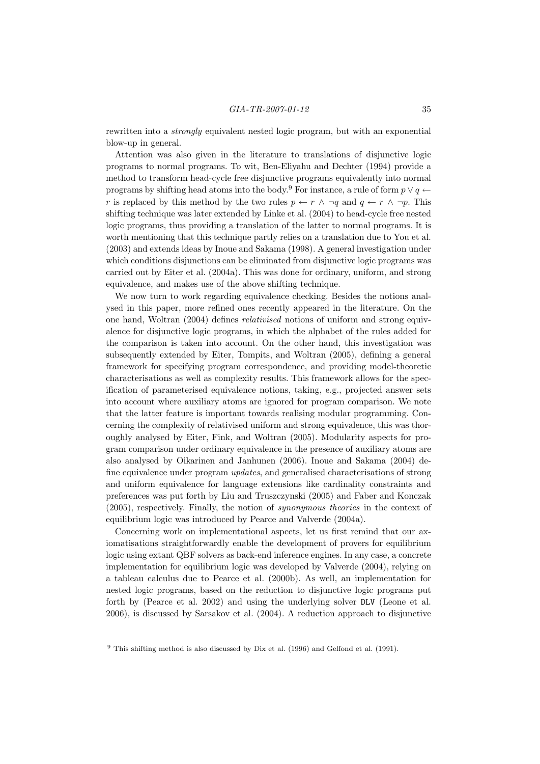rewritten into a strongly equivalent nested logic program, but with an exponential blow-up in general.

Attention was also given in the literature to translations of disjunctive logic programs to normal programs. To wit, Ben-Eliyahu and Dechter (1994) provide a method to transform head-cycle free disjunctive programs equivalently into normal programs by shifting head atoms into the body.<sup>9</sup> For instance, a rule of form  $p \vee q \leftarrow$ r is replaced by this method by the two rules  $p \leftarrow r \land \neg q$  and  $q \leftarrow r \land \neg p$ . This shifting technique was later extended by Linke et al. (2004) to head-cycle free nested logic programs, thus providing a translation of the latter to normal programs. It is worth mentioning that this technique partly relies on a translation due to You et al. (2003) and extends ideas by Inoue and Sakama (1998). A general investigation under which conditions disjunctions can be eliminated from disjunctive logic programs was carried out by Eiter et al. (2004a). This was done for ordinary, uniform, and strong equivalence, and makes use of the above shifting technique.

We now turn to work regarding equivalence checking. Besides the notions analysed in this paper, more refined ones recently appeared in the literature. On the one hand, Woltran (2004) defines relativised notions of uniform and strong equivalence for disjunctive logic programs, in which the alphabet of the rules added for the comparison is taken into account. On the other hand, this investigation was subsequently extended by Eiter, Tompits, and Woltran (2005), defining a general framework for specifying program correspondence, and providing model-theoretic characterisations as well as complexity results. This framework allows for the specification of parameterised equivalence notions, taking, e.g., projected answer sets into account where auxiliary atoms are ignored for program comparison. We note that the latter feature is important towards realising modular programming. Concerning the complexity of relativised uniform and strong equivalence, this was thoroughly analysed by Eiter, Fink, and Woltran (2005). Modularity aspects for program comparison under ordinary equivalence in the presence of auxiliary atoms are also analysed by Oikarinen and Janhunen (2006). Inoue and Sakama (2004) define equivalence under program updates, and generalised characterisations of strong and uniform equivalence for language extensions like cardinality constraints and preferences was put forth by Liu and Truszczynski (2005) and Faber and Konczak (2005), respectively. Finally, the notion of synonymous theories in the context of equilibrium logic was introduced by Pearce and Valverde (2004a).

Concerning work on implementational aspects, let us first remind that our axiomatisations straightforwardly enable the development of provers for equilibrium logic using extant QBF solvers as back-end inference engines. In any case, a concrete implementation for equilibrium logic was developed by Valverde (2004), relying on a tableau calculus due to Pearce et al. (2000b). As well, an implementation for nested logic programs, based on the reduction to disjunctive logic programs put forth by (Pearce et al. 2002) and using the underlying solver DLV (Leone et al. 2006), is discussed by Sarsakov et al. (2004). A reduction approach to disjunctive

<sup>9</sup> This shifting method is also discussed by Dix et al. (1996) and Gelfond et al. (1991).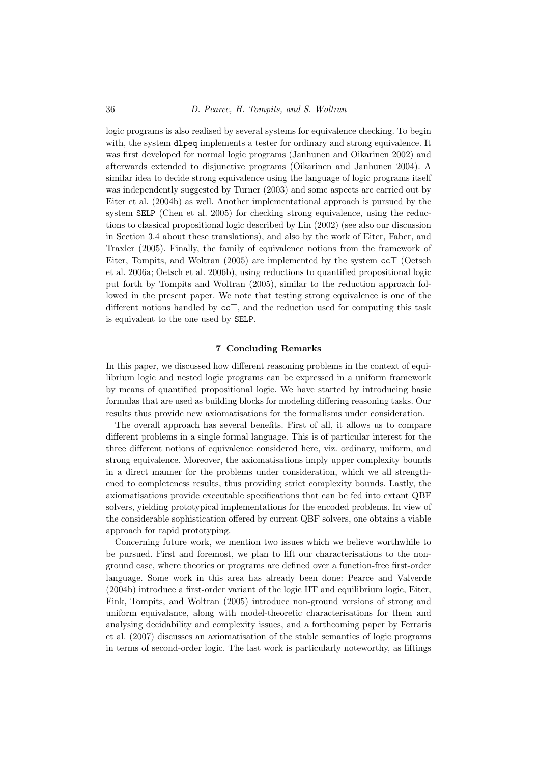logic programs is also realised by several systems for equivalence checking. To begin with, the system dlpeq implements a tester for ordinary and strong equivalence. It was first developed for normal logic programs (Janhunen and Oikarinen 2002) and afterwards extended to disjunctive programs (Oikarinen and Janhunen 2004). A similar idea to decide strong equivalence using the language of logic programs itself was independently suggested by Turner (2003) and some aspects are carried out by Eiter et al. (2004b) as well. Another implementational approach is pursued by the system SELP (Chen et al. 2005) for checking strong equivalence, using the reductions to classical propositional logic described by Lin (2002) (see also our discussion in Section 3.4 about these translations), and also by the work of Eiter, Faber, and Traxler (2005). Finally, the family of equivalence notions from the framework of Eiter, Tompits, and Woltran (2005) are implemented by the system  $cc\top$  (Oetsch et al. 2006a; Oetsch et al. 2006b), using reductions to quantified propositional logic put forth by Tompits and Woltran (2005), similar to the reduction approach followed in the present paper. We note that testing strong equivalence is one of the different notions handled by  $cc\bar{\tau}$ , and the reduction used for computing this task is equivalent to the one used by SELP.

## 7 Concluding Remarks

In this paper, we discussed how different reasoning problems in the context of equilibrium logic and nested logic programs can be expressed in a uniform framework by means of quantified propositional logic. We have started by introducing basic formulas that are used as building blocks for modeling differing reasoning tasks. Our results thus provide new axiomatisations for the formalisms under consideration.

The overall approach has several benefits. First of all, it allows us to compare different problems in a single formal language. This is of particular interest for the three different notions of equivalence considered here, viz. ordinary, uniform, and strong equivalence. Moreover, the axiomatisations imply upper complexity bounds in a direct manner for the problems under consideration, which we all strengthened to completeness results, thus providing strict complexity bounds. Lastly, the axiomatisations provide executable specifications that can be fed into extant QBF solvers, yielding prototypical implementations for the encoded problems. In view of the considerable sophistication offered by current QBF solvers, one obtains a viable approach for rapid prototyping.

Concerning future work, we mention two issues which we believe worthwhile to be pursued. First and foremost, we plan to lift our characterisations to the nonground case, where theories or programs are defined over a function-free first-order language. Some work in this area has already been done: Pearce and Valverde (2004b) introduce a first-order variant of the logic HT and equilibrium logic, Eiter, Fink, Tompits, and Woltran (2005) introduce non-ground versions of strong and uniform equivalance, along with model-theoretic characterisations for them and analysing decidability and complexity issues, and a forthcoming paper by Ferraris et al. (2007) discusses an axiomatisation of the stable semantics of logic programs in terms of second-order logic. The last work is particularly noteworthy, as liftings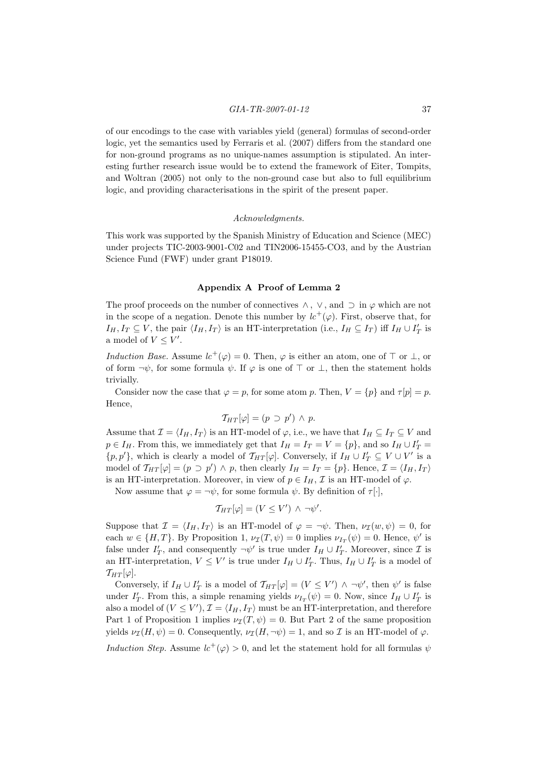of our encodings to the case with variables yield (general) formulas of second-order logic, yet the semantics used by Ferraris et al. (2007) differs from the standard one for non-ground programs as no unique-names assumption is stipulated. An interesting further research issue would be to extend the framework of Eiter, Tompits, and Woltran (2005) not only to the non-ground case but also to full equilibrium logic, and providing characterisations in the spirit of the present paper.

#### Acknowledgments.

This work was supported by the Spanish Ministry of Education and Science (MEC) under projects TIC-2003-9001-C02 and TIN2006-15455-CO3, and by the Austrian Science Fund (FWF) under grant P18019.

#### Appendix A Proof of Lemma 2

The proof proceeds on the number of connectives  $\wedge$ ,  $\vee$ , and  $\supset$  in  $\varphi$  which are not in the scope of a negation. Denote this number by  $lc^+(\varphi)$ . First, observe that, for  $I_H, I_T \subseteq V$ , the pair  $\langle I_H, I_T \rangle$  is an HT-interpretation (i.e.,  $I_H \subseteq I_T$ ) iff  $I_H \cup I'_T$  is a model of  $V \leq V'$ .

Induction Base. Assume  $lc^+(\varphi) = 0$ . Then,  $\varphi$  is either an atom, one of  $\top$  or  $\bot$ , or of form  $\neg \psi$ , for some formula  $\psi$ . If  $\varphi$  is one of  $\top$  or  $\bot$ , then the statement holds trivially.

Consider now the case that  $\varphi = p$ , for some atom p. Then,  $V = \{p\}$  and  $\tau[p] = p$ . Hence,

$$
\mathcal{T}_{HT}[\varphi] = (p \supset p') \wedge p.
$$

Assume that  $\mathcal{I} = \langle I_H, I_T \rangle$  is an HT-model of  $\varphi$ , i.e., we have that  $I_H \subseteq I_T \subseteq V$  and  $p \in I_H$ . From this, we immediately get that  $I_H = I_T = V = \{p\}$ , and so  $I_H \cup I'_T = I$  $\{p, p'\}$ , which is clearly a model of  $\mathcal{T}_{HT}[\varphi]$ . Conversely, if  $I_H \cup I'_T \subseteq V \cup V'$  is a model of  $T_{HT}[\varphi] = (p \supset p') \wedge p$ , then clearly  $I_H = I_T = \{p\}$ . Hence,  $\mathcal{I} = \langle I_H, I_T \rangle$ is an HT-interpretation. Moreover, in view of  $p \in I_H$ ,  $\mathcal I$  is an HT-model of  $\varphi$ .

Now assume that  $\varphi = \neg \psi$ , for some formula  $\psi$ . By definition of  $\tau[\cdot]$ ,

$$
\mathcal{T}_{HT}[\varphi] = (V \leq V') \wedge \neg \psi'.
$$

Suppose that  $\mathcal{I} = \langle I_H, I_T \rangle$  is an HT-model of  $\varphi = \neg \psi$ . Then,  $\nu_{\mathcal{I}}(w, \psi) = 0$ , for each  $w \in \{H, T\}$ . By Proposition 1,  $\nu_{\mathcal{I}}(T, \psi) = 0$  implies  $\nu_{I_T}(\psi) = 0$ . Hence,  $\psi'$  is false under  $I'_T$ , and consequently  $\neg \psi'$  is true under  $I_H \cup I'_T$ . Moreover, since  $\mathcal I$  is an HT-interpretation,  $V \leq V'$  is true under  $I_H \cup I'_T$ . Thus,  $I_H \cup I'_T$  is a model of  $T_{HT}[\varphi]$ .

Conversely, if  $I_H \cup I'_T$  is a model of  $\mathcal{T}_{HT}[\varphi] = (V \leq V') \wedge \neg \psi'$ , then  $\psi'$  is false under  $I'_T$ . From this, a simple renaming yields  $\nu_{I_T}(\psi) = 0$ . Now, since  $I_H \cup I'_T$  is also a model of  $(V \leq V')$ ,  $\mathcal{I} = \langle I_H, I_T \rangle$  must be an HT-interpretation, and therefore Part 1 of Proposition 1 implies  $\nu_{\mathcal{I}}(T, \psi) = 0$ . But Part 2 of the same proposition yields  $\nu_{\mathcal{I}}(H, \psi) = 0$ . Consequently,  $\nu_{\mathcal{I}}(H, \neg \psi) = 1$ , and so  $\mathcal{I}$  is an HT-model of  $\varphi$ . Induction Step. Assume  $lc^+(\varphi) > 0$ , and let the statement hold for all formulas  $\psi$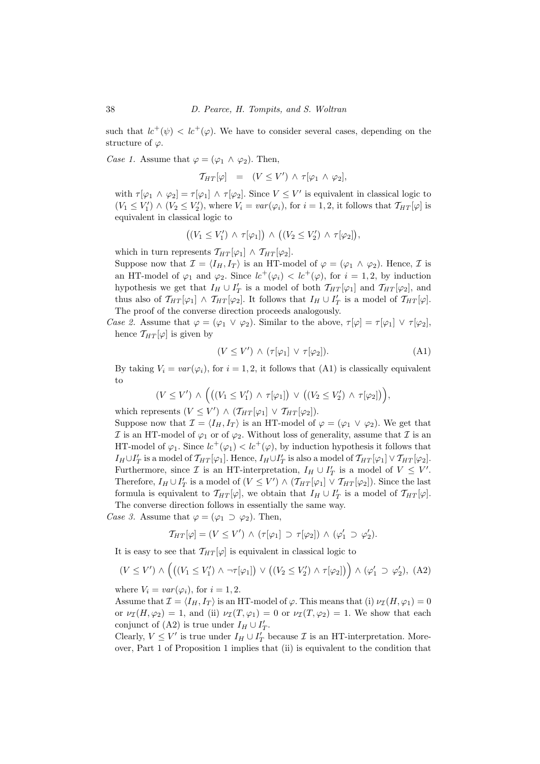such that  $lc^+(\psi) < lc^+(\varphi)$ . We have to consider several cases, depending on the structure of  $\varphi$ .

Case 1. Assume that  $\varphi = (\varphi_1 \wedge \varphi_2)$ . Then,

$$
T_{HT}[\varphi] = (V \leq V') \wedge \tau[\varphi_1 \wedge \varphi_2],
$$

with  $\tau[\varphi_1 \wedge \varphi_2] = \tau[\varphi_1] \wedge \tau[\varphi_2]$ . Since  $V \leq V'$  is equivalent in classical logic to  $(V_1 \leq V'_1) \wedge (V_2 \leq V'_2)$ , where  $V_i = var(\varphi_i)$ , for  $i = 1, 2$ , it follows that  $\mathcal{T}_{HT}[\varphi]$  is equivalent in classical logic to

$$
((V_1 \leq V'_1) \land \tau[\varphi_1]) \land ((V_2 \leq V'_2) \land \tau[\varphi_2]),
$$

which in turn represents  $\mathcal{T}_{HT}[\varphi_1] \wedge \mathcal{T}_{HT}[\varphi_2]$ .

Suppose now that  $\mathcal{I} = \langle I_H, I_T \rangle$  is an HT-model of  $\varphi = (\varphi_1 \wedge \varphi_2)$ . Hence,  $\mathcal{I}$  is an HT-model of  $\varphi_1$  and  $\varphi_2$ . Since  $lc^+(\varphi_i) < lc^+(\varphi)$ , for  $i = 1, 2$ , by induction hypothesis we get that  $I_H \cup I'_T$  is a model of both  $\mathcal{T}_{HT}[\varphi_1]$  and  $\mathcal{T}_{HT}[\varphi_2]$ , and thus also of  $\mathcal{T}_{HT}[\varphi_1] \wedge \mathcal{T}_{HT}[\varphi_2]$ . It follows that  $I_H \cup I'_T$  is a model of  $\mathcal{T}_{HT}[\varphi]$ . The proof of the converse direction proceeds analogously.

Case 2. Assume that  $\varphi = (\varphi_1 \lor \varphi_2)$ . Similar to the above,  $\tau[\varphi] = \tau[\varphi_1] \lor \tau[\varphi_2]$ , hence  $T_{HT}[\varphi]$  is given by

$$
(V \le V') \wedge (\tau[\varphi_1] \vee \tau[\varphi_2]). \tag{A1}
$$

By taking  $V_i = var(\varphi_i)$ , for  $i = 1, 2$ , it follows that (A1) is classically equivalent to

$$
(V \leq V') \wedge \Big( \big( (V_1 \leq V'_1) \wedge \tau[\varphi_1] \big) \vee \big( (V_2 \leq V'_2) \wedge \tau[\varphi_2] \big) \Big),
$$

which represents  $(V \leq V') \wedge (\mathcal{T}_{HT}[\varphi_1] \vee \mathcal{T}_{HT}[\varphi_2]).$ 

Suppose now that  $\mathcal{I} = \langle I_H, I_T \rangle$  is an HT-model of  $\varphi = (\varphi_1 \vee \varphi_2)$ . We get that I is an HT-model of  $\varphi_1$  or of  $\varphi_2$ . Without loss of generality, assume that I is an HT-model of  $\varphi_1$ . Since  $lc^+(\varphi_1) < lc^+(\varphi)$ , by induction hypothesis it follows that  $I_H \cup I'_T$  is a model of  $\mathcal{T}_{HT}[\varphi_1]$ . Hence,  $I_H \cup I'_T$  is also a model of  $\mathcal{T}_{HT}[\varphi_1] \vee \mathcal{T}_{HT}[\varphi_2]$ . Furthermore, since  $\mathcal I$  is an HT-interpretation,  $I_H \cup I'_T$  is a model of  $V \leq V'.$ Therefore,  $I_H \cup I'_T$  is a model of  $(V \leq V') \wedge (\mathcal{T}_{HT}[\varphi_1] \vee \mathcal{T}_{HT}[\varphi_2])$ . Since the last formula is equivalent to  $\mathcal{T}_{HT}[\varphi]$ , we obtain that  $I_H \cup I'_T$  is a model of  $\mathcal{T}_{HT}[\varphi]$ . The converse direction follows in essentially the same way.

Case 3. Assume that  $\varphi = (\varphi_1 \supset \varphi_2)$ . Then,

$$
\mathcal{T}_{HT}[\varphi] = (V \leq V') \land (\tau[\varphi_1] \supset \tau[\varphi_2]) \land (\varphi_1' \supset \varphi_2').
$$

It is easy to see that  $T_{HT}[\varphi]$  is equivalent in classical logic to

$$
(V \leq V') \land \left( \left( (V_1 \leq V'_1) \land \neg \tau[\varphi_1] \right) \lor \left( (V_2 \leq V'_2) \land \tau[\varphi_2] \right) \right) \land (\varphi'_1 \supset \varphi'_2), \ (A2)
$$

where  $V_i = var(\varphi_i)$ , for  $i = 1, 2$ .

Assume that  $\mathcal{I} = \langle I_H, I_T \rangle$  is an HT-model of  $\varphi$ . This means that (i)  $\nu_{\mathcal{I}}(H, \varphi_1) = 0$ or  $\nu_{\mathcal{I}}(H, \varphi_2) = 1$ , and (ii)  $\nu_{\mathcal{I}}(T, \varphi_1) = 0$  or  $\nu_{\mathcal{I}}(T, \varphi_2) = 1$ . We show that each conjunct of (A2) is true under  $I_H \cup I'_T$ .

Clearly,  $V \leq V'$  is true under  $I_H \cup I'_T$  because  $\mathcal I$  is an HT-interpretation. Moreover, Part 1 of Proposition 1 implies that (ii) is equivalent to the condition that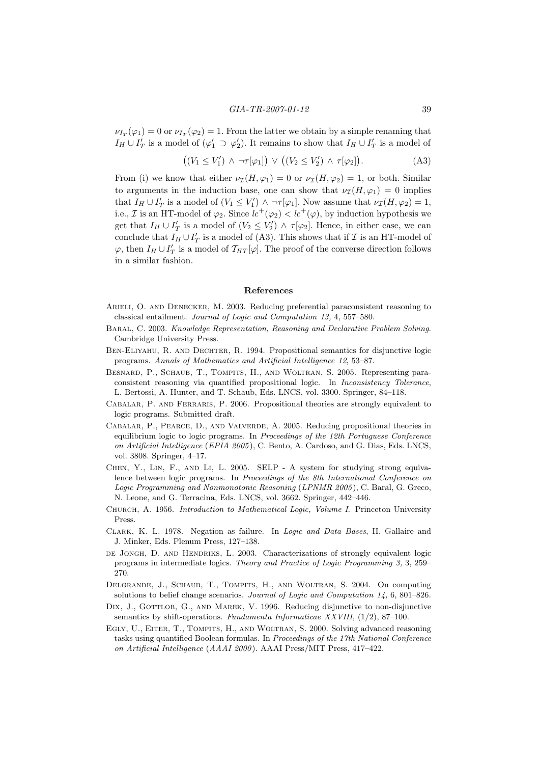$\nu_{I_T}(\varphi_1) = 0$  or  $\nu_{I_T}(\varphi_2) = 1$ . From the latter we obtain by a simple renaming that  $I_H \cup I'_T$  is a model of  $(\varphi'_1 \supset \varphi'_2)$ . It remains to show that  $I_H \cup I'_T$  is a model of

$$
((V_1 \le V'_1) \land \neg \tau[\varphi_1]) \lor ((V_2 \le V'_2) \land \tau[\varphi_2]). \tag{A3}
$$

From (i) we know that either  $\nu_{\mathcal{I}}(H, \varphi_1) = 0$  or  $\nu_{\mathcal{I}}(H, \varphi_2) = 1$ , or both. Similar to arguments in the induction base, one can show that  $\nu_{\mathcal{I}}(H, \varphi_1) = 0$  implies that  $I_H \cup I'_T$  is a model of  $(V_1 \le V'_1) \land \neg \tau[\varphi_1]$ . Now assume that  $\nu_{\mathcal{I}}(H, \varphi_2) = 1$ , i.e., *I* is an HT-model of  $\varphi_2$ . Since  $lc^+(\varphi_2) < lc^+(\varphi)$ , by induction hypothesis we get that  $I_H \cup I'_T$  is a model of  $(V_2 \le V'_2) \wedge \tau[\varphi_2]$ . Hence, in either case, we can conclude that  $I_H \cup I'_T$  is a model of (A3). This shows that if  $\mathcal I$  is an HT-model of  $\varphi$ , then  $I_H \cup I'_T$  is a model of  $\mathcal{T}_{HT}[\varphi]$ . The proof of the converse direction follows in a similar fashion.

## References

- Arieli, O. and Denecker, M. 2003. Reducing preferential paraconsistent reasoning to classical entailment. Journal of Logic and Computation 13, 4, 557–580.
- Baral, C. 2003. Knowledge Representation, Reasoning and Declarative Problem Solving. Cambridge University Press.
- Ben-Eliyahu, R. and Dechter, R. 1994. Propositional semantics for disjunctive logic programs. Annals of Mathematics and Artificial Intelligence 12, 53–87.
- BESNARD, P., SCHAUB, T., TOMPITS, H., AND WOLTRAN, S. 2005. Representing paraconsistent reasoning via quantified propositional logic. In Inconsistency Tolerance, L. Bertossi, A. Hunter, and T. Schaub, Eds. LNCS, vol. 3300. Springer, 84–118.
- Cabalar, P. and Ferraris, P. 2006. Propositional theories are strongly equivalent to logic programs. Submitted draft.
- Cabalar, P., Pearce, D., and Valverde, A. 2005. Reducing propositional theories in equilibrium logic to logic programs. In Proceedings of the 12th Portuguese Conference on Artificial Intelligence (EPIA 2005), C. Bento, A. Cardoso, and G. Dias, Eds. LNCS, vol. 3808. Springer, 4–17.
- Chen, Y., Lin, F., and Li, L. 2005. SELP A system for studying strong equivalence between logic programs. In Proceedings of the 8th International Conference on Logic Programming and Nonmonotonic Reasoning (LPNMR 2005), C. Baral, G. Greco, N. Leone, and G. Terracina, Eds. LNCS, vol. 3662. Springer, 442–446.
- Church, A. 1956. Introduction to Mathematical Logic, Volume I. Princeton University Press.
- Clark, K. L. 1978. Negation as failure. In Logic and Data Bases, H. Gallaire and J. Minker, Eds. Plenum Press, 127–138.
- DE JONGH, D. AND HENDRIKS, L. 2003. Characterizations of strongly equivalent logic programs in intermediate logics. Theory and Practice of Logic Programming 3, 3, 259– 270.
- Delgrande, J., Schaub, T., Tompits, H., and Woltran, S. 2004. On computing solutions to belief change scenarios. Journal of Logic and Computation 14, 6, 801–826.
- DIX, J., GOTTLOB, G., AND MAREK, V. 1996. Reducing disjunctive to non-disjunctive semantics by shift-operations. Fundamenta Informaticae XXVIII, (1/2), 87–100.
- EGLY, U., EITER, T., TOMPITS, H., AND WOLTRAN, S. 2000. Solving advanced reasoning tasks using quantified Boolean formulas. In Proceedings of the 17th National Conference on Artificial Intelligence (AAAI 2000 ). AAAI Press/MIT Press, 417–422.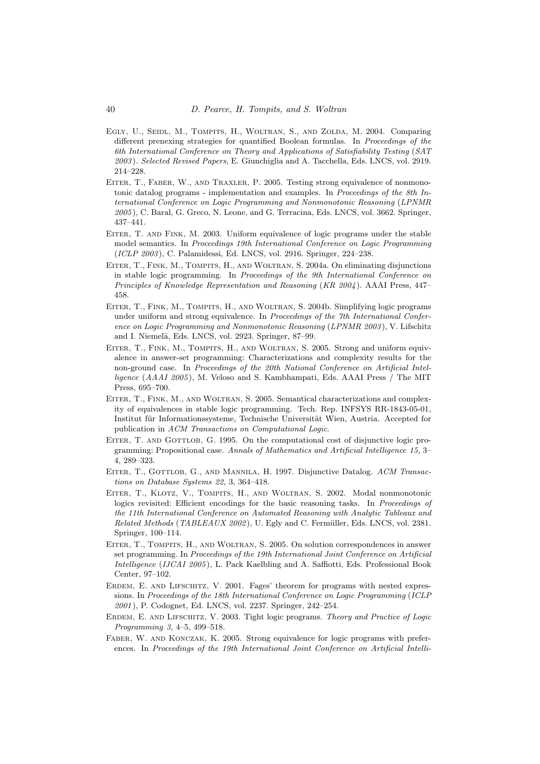- Egly, U., Seidl, M., Tompits, H., Woltran, S., and Zolda, M. 2004. Comparing different prenexing strategies for quantified Boolean formulas. In Proceedings of the 6th International Conference on Theory and Applications of Satisfiability Testing (SAT 2003 ). Selected Revised Papers, E. Giunchiglia and A. Tacchella, Eds. LNCS, vol. 2919. 214–228.
- EITER, T., FABER, W., AND TRAXLER, P. 2005. Testing strong equivalence of nonmonotonic datalog programs - implementation and examples. In Proceedings of the 8th International Conference on Logic Programming and Nonmonotonic Reasoning (LPNMR 2005 ), C. Baral, G. Greco, N. Leone, and G. Terracina, Eds. LNCS, vol. 3662. Springer, 437–441.
- Eiter, T. and Fink, M. 2003. Uniform equivalence of logic programs under the stable model semantics. In Proceedings 19th International Conference on Logic Programming (ICLP 2003 ), C. Palamidessi, Ed. LNCS, vol. 2916. Springer, 224–238.
- Eiter, T., Fink, M., Tompits, H., and Woltran, S. 2004a. On eliminating disjunctions in stable logic programming. In Proceedings of the 9th International Conference on Principles of Knowledge Representation and Reasoning (KR 2004 ). AAAI Press, 447– 458.
- Eiter, T., Fink, M., Tompits, H., and Woltran, S. 2004b. Simplifying logic programs under uniform and strong equivalence. In Proceedings of the 7th International Conference on Logic Programming and Nonmonotonic Reasoning (LPNMR 2003 ), V. Lifschitz and I. Niemelä, Eds. LNCS, vol. 2923. Springer, 87–99.
- Eiter, T., Fink, M., Tompits, H., and Woltran, S. 2005. Strong and uniform equivalence in answer-set programming: Characterizations and complexity results for the non-ground case. In Proceedings of the 20th National Conference on Artificial Intelligence (AAAI 2005), M. Veloso and S. Kambhampati, Eds. AAAI Press / The MIT Press, 695–700.
- Eiter, T., Fink, M., and Woltran, S. 2005. Semantical characterizations and complexity of equivalences in stable logic programming. Tech. Rep. INFSYS RR-1843-05-01, Institut für Informationssysteme, Technische Universität Wien, Austria. Accepted for publication in ACM Transactions on Computational Logic.
- EITER, T. AND GOTTLOB, G. 1995. On the computational cost of disjunctive logic programming: Propositional case. Annals of Mathematics and Artificial Intelligence 15, 3– 4, 289–323.
- EITER, T., GOTTLOB, G., AND MANNILA, H. 1997. Disjunctive Datalog. ACM Transactions on Database Systems 22, 3, 364–418.
- EITER, T., KLOTZ, V., TOMPITS, H., AND WOLTRAN, S. 2002. Modal nonmonotonic logics revisited: Efficient encodings for the basic reasoning tasks. In *Proceedings of* the 11th International Conference on Automated Reasoning with Analytic Tableaux and  $Related Methods (TABLEAUX 2002)$ , U. Egly and C. Fermüller, Eds. LNCS, vol. 2381. Springer, 100–114.
- Eiter, T., Tompits, H., and Woltran, S. 2005. On solution correspondences in answer set programming. In Proceedings of the 19th International Joint Conference on Artificial Intelligence (IJCAI 2005 ), L. Pack Kaelbling and A. Saffiotti, Eds. Professional Book Center, 97–102.
- ERDEM, E. AND LIFSCHITZ, V. 2001. Fages' theorem for programs with nested expressions. In Proceedings of the 18th International Conference on Logic Programming (ICLP 2001 ), P. Codognet, Ed. LNCS, vol. 2237. Springer, 242–254.
- ERDEM, E. AND LIFSCHITZ, V. 2003. Tight logic programs. Theory and Practice of Logic Programming 3, 4–5, 499–518.
- Faber, W. and Konczak, K. 2005. Strong equivalence for logic programs with preferences. In Proceedings of the 19th International Joint Conference on Artificial Intelli-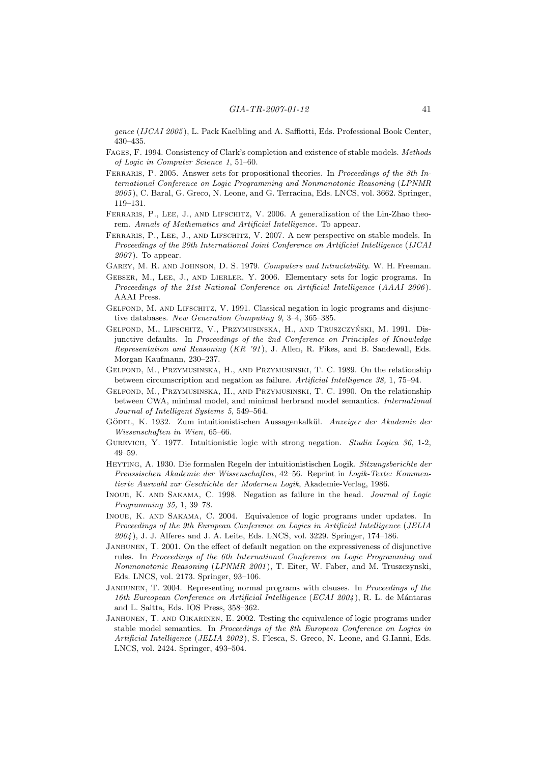gence (IJCAI 2005), L. Pack Kaelbling and A. Saffiotti, Eds. Professional Book Center, 430–435.

- Fages, F. 1994. Consistency of Clark's completion and existence of stable models. Methods of Logic in Computer Science 1, 51–60.
- FERRARIS, P. 2005. Answer sets for propositional theories. In Proceedings of the 8th International Conference on Logic Programming and Nonmonotonic Reasoning (LPNMR 2005 ), C. Baral, G. Greco, N. Leone, and G. Terracina, Eds. LNCS, vol. 3662. Springer, 119–131.
- FERRARIS, P., LEE, J., AND LIFSCHITZ, V. 2006. A generalization of the Lin-Zhao theorem. Annals of Mathematics and Artificial Intelligence. To appear.
- FERRARIS, P., LEE, J., AND LIFSCHITZ, V. 2007. A new perspective on stable models. In Proceedings of the 20th International Joint Conference on Artificial Intelligence (IJCAI  $2007$ ). To appear.
- Garey, M. R. and Johnson, D. S. 1979. Computers and Intractability. W. H. Freeman.
- Gebser, M., Lee, J., and Lierler, Y. 2006. Elementary sets for logic programs. In Proceedings of the 21st National Conference on Artificial Intelligence (AAAI 2006). AAAI Press.
- GELFOND, M. AND LIFSCHITZ, V. 1991. Classical negation in logic programs and disjunctive databases. New Generation Computing 9, 3–4, 365–385.
- GELFOND, M., LIFSCHITZ, V., PRZYMUSINSKA, H., AND TRUSZCZYŃSKI, M. 1991. Disjunctive defaults. In Proceedings of the 2nd Conference on Principles of Knowledge Representation and Reasoning  $(KR'91)$ , J. Allen, R. Fikes, and B. Sandewall, Eds. Morgan Kaufmann, 230–237.
- Gelfond, M., Przymusinska, H., and Przymusinski, T. C. 1989. On the relationship between circumscription and negation as failure. Artificial Intelligence 38, 1, 75–94.
- Gelfond, M., Przymusinska, H., and Przymusinski, T. C. 1990. On the relationship between CWA, minimal model, and minimal herbrand model semantics. International Journal of Intelligent Systems 5, 549–564.
- GÖDEL, K. 1932. Zum intuitionistischen Aussagenkalkül. Anzeiger der Akademie der Wissenschaften in Wien, 65–66.
- Gurevich, Y. 1977. Intuitionistic logic with strong negation. Studia Logica 36, 1-2, 49–59.
- Heyting, A. 1930. Die formalen Regeln der intuitionistischen Logik. Sitzungsberichte der Preussischen Akademie der Wissenschaften, 42–56. Reprint in Logik-Texte: Kommentierte Auswahl zur Geschichte der Modernen Logik, Akademie-Verlag, 1986.
- Inoue, K. and Sakama, C. 1998. Negation as failure in the head. Journal of Logic Programming 35, 1, 39–78.
- Inoue, K. and Sakama, C. 2004. Equivalence of logic programs under updates. In Proceedings of the 9th European Conference on Logics in Artificial Intelligence (JELIA 2004 ), J. J. Alferes and J. A. Leite, Eds. LNCS, vol. 3229. Springer, 174–186.
- JANHUNEN, T. 2001. On the effect of default negation on the expressiveness of disjunctive rules. In Proceedings of the 6th International Conference on Logic Programming and Nonmonotonic Reasoning (LPNMR 2001), T. Eiter, W. Faber, and M. Truszczynski, Eds. LNCS, vol. 2173. Springer, 93–106.
- JANHUNEN, T. 2004. Representing normal programs with clauses. In Proceedings of the 16th Eureopean Conference on Artificial Intelligence (ECAI 2004), R. L. de Mántaras and L. Saitta, Eds. IOS Press, 358–362.
- JANHUNEN, T. AND OIKARINEN, E. 2002. Testing the equivalence of logic programs under stable model semantics. In Proceedings of the 8th European Conference on Logics in Artificial Intelligence (JELIA 2002), S. Flesca, S. Greco, N. Leone, and G.Ianni, Eds. LNCS, vol. 2424. Springer, 493–504.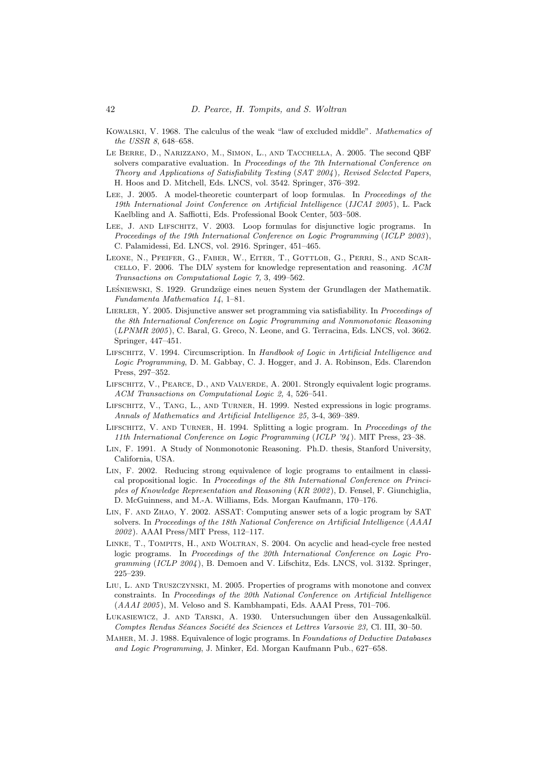- Kowalski, V. 1968. The calculus of the weak "law of excluded middle". Mathematics of the USSR 8, 648–658.
- Le Berre, D., Narizzano, M., Simon, L., and Tacchella, A. 2005. The second QBF solvers comparative evaluation. In Proceedings of the 7th International Conference on Theory and Applications of Satisfiability Testing (SAT 2004 ), Revised Selected Papers, H. Hoos and D. Mitchell, Eds. LNCS, vol. 3542. Springer, 376–392.
- Lee, J. 2005. A model-theoretic counterpart of loop formulas. In Proceedings of the 19th International Joint Conference on Artificial Intelligence (IJCAI 2005), L. Pack Kaelbling and A. Saffiotti, Eds. Professional Book Center, 503–508.
- LEE, J. AND LIFSCHITZ, V. 2003. Loop formulas for disjunctive logic programs. In Proceedings of the 19th International Conference on Logic Programming (ICLP 2003), C. Palamidessi, Ed. LNCS, vol. 2916. Springer, 451–465.
- Leone, N., Pfeifer, G., Faber, W., Eiter, T., Gottlob, G., Perri, S., and Scarcello, F. 2006. The DLV system for knowledge representation and reasoning. ACM Transactions on Computational Logic 7, 3, 499–562.
- LEŚNIEWSKI, S. 1929. Grundzüge eines neuen System der Grundlagen der Mathematik. Fundamenta Mathematica 14, 1–81.
- LIERLER, Y. 2005. Disjunctive answer set programming via satisfiability. In Proceedings of the 8th International Conference on Logic Programming and Nonmonotonic Reasoning (LPNMR 2005), C. Baral, G. Greco, N. Leone, and G. Terracina, Eds. LNCS, vol. 3662. Springer, 447–451.
- LIFSCHITZ, V. 1994. Circumscription. In Handbook of Logic in Artificial Intelligence and Logic Programming, D. M. Gabbay, C. J. Hogger, and J. A. Robinson, Eds. Clarendon Press, 297–352.
- LIFSCHITZ, V., PEARCE, D., AND VALVERDE, A. 2001. Strongly equivalent logic programs. ACM Transactions on Computational Logic 2, 4, 526–541.
- Lifschitz, V., Tang, L., and Turner, H. 1999. Nested expressions in logic programs. Annals of Mathematics and Artificial Intelligence 25, 3-4, 369–389.
- Lifschitz, V. and Turner, H. 1994. Splitting a logic program. In Proceedings of the 11th International Conference on Logic Programming (ICLP '94 ). MIT Press, 23–38.
- Lin, F. 1991. A Study of Nonmonotonic Reasoning. Ph.D. thesis, Stanford University, California, USA.
- Lin, F. 2002. Reducing strong equivalence of logic programs to entailment in classical propositional logic. In Proceedings of the 8th International Conference on Principles of Knowledge Representation and Reasoning (KR 2002 ), D. Fensel, F. Giunchiglia, D. McGuinness, and M.-A. Williams, Eds. Morgan Kaufmann, 170–176.
- Lin, F. and Zhao, Y. 2002. ASSAT: Computing answer sets of a logic program by SAT solvers. In Proceedings of the 18th National Conference on Artificial Intelligence (AAAI 2002 ). AAAI Press/MIT Press, 112–117.
- Linke, T., Tompits, H., and Woltran, S. 2004. On acyclic and head-cycle free nested logic programs. In Proceedings of the 20th International Conference on Logic Programming (ICLP 2004), B. Demoen and V. Lifschitz, Eds. LNCS, vol. 3132. Springer, 225–239.
- Liu, L. and Truszczynski, M. 2005. Properties of programs with monotone and convex constraints. In Proceedings of the 20th National Conference on Artificial Intelligence  $(AAAI 2005)$ , M. Veloso and S. Kambhampati, Eds. AAAI Press, 701–706.
- LUKASIEWICZ, J. AND TARSKI, A. 1930. Untersuchungen über den Aussagenkalkül. Comptes Rendus Séances Société des Sciences et Lettres Varsovie 23, Cl. III, 30–50.
- MAHER, M. J. 1988. Equivalence of logic programs. In Foundations of Deductive Databases and Logic Programming, J. Minker, Ed. Morgan Kaufmann Pub., 627–658.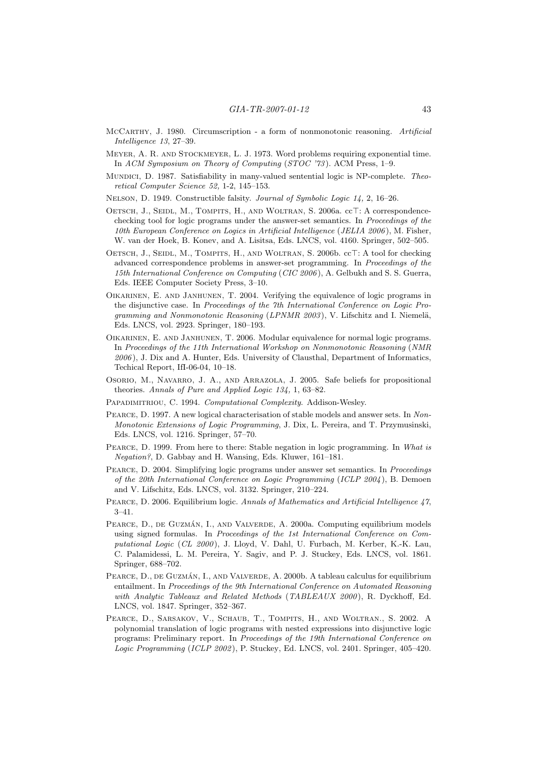- McCarthy, J. 1980. Circumscription a form of nonmonotonic reasoning. Artificial Intelligence 13, 27–39.
- Meyer, A. R. and Stockmeyer, L. J. 1973. Word problems requiring exponential time. In ACM Symposium on Theory of Computing (STOC '73 ). ACM Press, 1–9.
- Mundici, D. 1987. Satisfiability in many-valued sentential logic is NP-complete. Theoretical Computer Science 52, 1-2, 145–153.
- NELSON, D. 1949. Constructible falsity. Journal of Symbolic Logic 14, 2, 16–26.
- OETSCH, J., SEIDL, M., TOMPITS, H., AND WOLTRAN, S. 2006a. cc<sup>T</sup>: A correspondencechecking tool for logic programs under the answer-set semantics. In Proceedings of the 10th European Conference on Logics in Artificial Intelligence (JELIA 2006 ), M. Fisher, W. van der Hoek, B. Konev, and A. Lisitsa, Eds. LNCS, vol. 4160. Springer, 502–505.
- OETSCH, J., SEIDL, M., TOMPITS, H., AND WOLTRAN, S. 2006b. cc<sup>T</sup>: A tool for checking advanced correspondence problems in answer-set programming. In Proceedings of the 15th International Conference on Computing (CIC 2006 ), A. Gelbukh and S. S. Guerra, Eds. IEEE Computer Society Press, 3–10.
- Oikarinen, E. and Janhunen, T. 2004. Verifying the equivalence of logic programs in the disjunctive case. In Proceedings of the 7th International Conference on Logic Programming and Nonmonotonic Reasoning ( $LPNMR$  2003), V. Lifschitz and I. Niemelä, Eds. LNCS, vol. 2923. Springer, 180–193.
- Oikarinen, E. and Janhunen, T. 2006. Modular equivalence for normal logic programs. In Proceedings of the 11th International Workshop on Nonmonotonic Reasoning (NMR 2006 ), J. Dix and A. Hunter, Eds. University of Clausthal, Department of Informatics, Techical Report, IfI-06-04, 10–18.
- Osorio, M., Navarro, J. A., and Arrazola, J. 2005. Safe beliefs for propositional theories. Annals of Pure and Applied Logic 134, 1, 63–82.
- PAPADIMITRIOU, C. 1994. Computational Complexity. Addison-Wesley.
- Pearce, D. 1997. A new logical characterisation of stable models and answer sets. In Non-Monotonic Extensions of Logic Programming, J. Dix, L. Pereira, and T. Przymusinski, Eds. LNCS, vol. 1216. Springer, 57–70.
- PEARCE, D. 1999. From here to there: Stable negation in logic programming. In What is Negation?, D. Gabbay and H. Wansing, Eds. Kluwer, 161–181.
- Pearce, D. 2004. Simplifying logic programs under answer set semantics. In Proceedings of the 20th International Conference on Logic Programming (ICLP 2004), B. Demoen and V. Lifschitz, Eds. LNCS, vol. 3132. Springer, 210–224.
- PEARCE, D. 2006. Equilibrium logic. Annals of Mathematics and Artificial Intelligence 47, 3–41.
- PEARCE, D., DE GUZMÁN, I., AND VALVERDE, A. 2000a. Computing equilibrium models using signed formulas. In Proceedings of the 1st International Conference on Computational Logic (CL 2000), J. Lloyd, V. Dahl, U. Furbach, M. Kerber, K.-K. Lau, C. Palamidessi, L. M. Pereira, Y. Sagiv, and P. J. Stuckey, Eds. LNCS, vol. 1861. Springer, 688–702.
- PEARCE, D., DE GUZMÁN, I., AND VALVERDE, A. 2000b. A tableau calculus for equilibrium entailment. In Proceedings of the 9th International Conference on Automated Reasoning with Analytic Tableaux and Related Methods (TABLEAUX 2000), R. Dyckhoff, Ed. LNCS, vol. 1847. Springer, 352–367.
- Pearce, D., Sarsakov, V., Schaub, T., Tompits, H., and Woltran., S. 2002. A polynomial translation of logic programs with nested expressions into disjunctive logic programs: Preliminary report. In Proceedings of the 19th International Conference on Logic Programming (ICLP 2002 ), P. Stuckey, Ed. LNCS, vol. 2401. Springer, 405–420.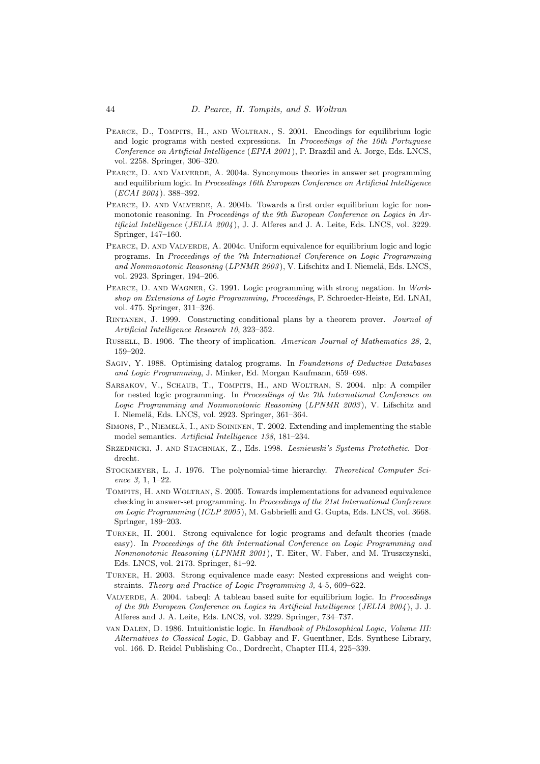- PEARCE, D., TOMPITS, H., AND WOLTRAN., S. 2001. Encodings for equilibrium logic and logic programs with nested expressions. In Proceedings of the 10th Portuguese Conference on Artificial Intelligence (EPIA 2001 ), P. Brazdil and A. Jorge, Eds. LNCS, vol. 2258. Springer, 306–320.
- PEARCE, D. AND VALVERDE, A. 2004a. Synonymous theories in answer set programming and equilibrium logic. In Proceedings 16th European Conference on Artificial Intelligence (ECAI 2004 ). 388–392.
- PEARCE, D. AND VALVERDE, A. 2004b. Towards a first order equilibrium logic for nonmonotonic reasoning. In Proceedings of the 9th European Conference on Logics in Artificial Intelligence (JELIA  $2004$ ), J. J. Alferes and J. A. Leite, Eds. LNCS, vol. 3229. Springer, 147–160.
- PEARCE, D. AND VALVERDE, A. 2004c. Uniform equivalence for equilibrium logic and logic programs. In Proceedings of the 7th International Conference on Logic Programming and Nonmonotonic Reasoning (LPNMR 2003), V. Lifschitz and I. Niemelä, Eds. LNCS, vol. 2923. Springer, 194–206.
- Pearce, D. and Wagner, G. 1991. Logic programming with strong negation. In Workshop on Extensions of Logic Programming, Proceedings, P. Schroeder-Heiste, Ed. LNAI, vol. 475. Springer, 311–326.
- Rintanen, J. 1999. Constructing conditional plans by a theorem prover. Journal of Artificial Intelligence Research 10, 323–352.
- Russell, B. 1906. The theory of implication. American Journal of Mathematics 28, 2, 159–202.
- Sagiv, Y. 1988. Optimising datalog programs. In Foundations of Deductive Databases and Logic Programming, J. Minker, Ed. Morgan Kaufmann, 659–698.
- Sarsakov, V., Schaub, T., Tompits, H., and Woltran, S. 2004. nlp: A compiler for nested logic programming. In Proceedings of the 7th International Conference on Logic Programming and Nonmonotonic Reasoning (LPNMR 2003), V. Lifschitz and I. Niemelä, Eds. LNCS, vol. 2923. Springer, 361–364.
- SIMONS,  $P$ ., NIEMELÄ, I., AND SOININEN, T. 2002. Extending and implementing the stable model semantics. Artificial Intelligence 138, 181–234.
- Srzednicki, J. and Stachniak, Z., Eds. 1998. Lesniewski's Systems Protothetic. Dordrecht.
- STOCKMEYER, L. J. 1976. The polynomial-time hierarchy. Theoretical Computer Science 3, 1, 1–22.
- Tompits, H. and Woltran, S. 2005. Towards implementations for advanced equivalence checking in answer-set programming. In Proceedings of the 21st International Conference on Logic Programming (ICLP 2005), M. Gabbrielli and G. Gupta, Eds. LNCS, vol. 3668. Springer, 189–203.
- Turner, H. 2001. Strong equivalence for logic programs and default theories (made easy). In Proceedings of the 6th International Conference on Logic Programming and Nonmonotonic Reasoning (LPNMR 2001 ), T. Eiter, W. Faber, and M. Truszczynski, Eds. LNCS, vol. 2173. Springer, 81–92.
- Turner, H. 2003. Strong equivalence made easy: Nested expressions and weight constraints. Theory and Practice of Logic Programming 3, 4-5, 609–622.
- VALVERDE, A. 2004. tabeql: A tableau based suite for equilibrium logic. In *Proceedings* of the 9th European Conference on Logics in Artificial Intelligence (JELIA 2004 ), J. J. Alferes and J. A. Leite, Eds. LNCS, vol. 3229. Springer, 734–737.
- van Dalen, D. 1986. Intuitionistic logic. In Handbook of Philosophical Logic, Volume III: Alternatives to Classical Logic, D. Gabbay and F. Guenthner, Eds. Synthese Library, vol. 166. D. Reidel Publishing Co., Dordrecht, Chapter III.4, 225–339.